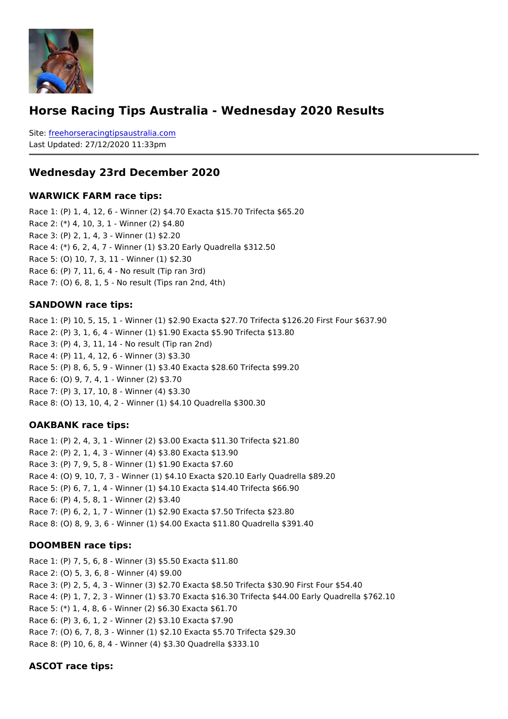Horse Racing Tips Australia - Wednesday 2020 Results

Sitefreehorseracingtipsaustralia.com Last Updated: 27/12/2020 11:33pm

Wednesday 23rd December 2020

WARWICK FARM race tips:

Race 1: (P) 1, 4, 12, 6 - Winner (2) \$4.70 Exacta \$15.70 Trifecta \$65.20 Race 2: (\*) 4, 10, 3, 1 - Winner (2) \$4.80 Race 3: (P) 2, 1, 4, 3 - Winner (1) \$2.20 Race 4: (\*) 6, 2, 4, 7 - Winner (1) \$3.20 Early Quadrella \$312.50 Race 5: (O) 10, 7, 3, 11 - Winner (1) \$2.30 Race 6: (P) 7, 11, 6, 4 - No result (Tip ran 3rd) Race 7: (O) 6, 8, 1, 5 - No result (Tips ran 2nd, 4th)

SANDOWN race tips:

Race 1: (P) 10, 5, 15, 1 - Winner (1) \$2.90 Exacta \$27.70 Trifecta \$126.20 First Four \$ Race 2: (P) 3, 1, 6, 4 - Winner (1) \$1.90 Exacta \$5.90 Trifecta \$13.80 Race 3: (P) 4, 3, 11, 14 - No result (Tip ran 2nd) Race 4: (P) 11, 4, 12, 6 - Winner (3) \$3.30 Race 5: (P) 8, 6, 5, 9 - Winner (1) \$3.40 Exacta \$28.60 Trifecta \$99.20 Race 6: (O) 9, 7, 4, 1 - Winner (2) \$3.70 Race 7: (P) 3, 17, 10, 8 - Winner (4) \$3.30 Race 8: (O) 13, 10, 4, 2 - Winner (1) \$4.10 Quadrella \$300.30

OAKBANK race tips:

Race 1: (P) 2, 4, 3, 1 - Winner (2) \$3.00 Exacta \$11.30 Trifecta \$21.80 Race 2: (P) 2, 1, 4, 3 - Winner (4) \$3.80 Exacta \$13.90 Race 3: (P) 7, 9, 5, 8 - Winner (1) \$1.90 Exacta \$7.60 Race 4: (O) 9, 10, 7, 3 - Winner (1) \$4.10 Exacta \$20.10 Early Quadrella \$89.20 Race 5: (P) 6, 7, 1, 4 - Winner (1) \$4.10 Exacta \$14.40 Trifecta \$66.90 Race 6: (P) 4, 5, 8, 1 - Winner (2) \$3.40 Race 7: (P) 6, 2, 1, 7 - Winner (1) \$2.90 Exacta \$7.50 Trifecta \$23.80 Race 8: (O) 8, 9, 3, 6 - Winner (1) \$4.00 Exacta \$11.80 Quadrella \$391.40

DOOMBEN race tips:

Race 1: (P) 7, 5, 6, 8 - Winner (3) \$5.50 Exacta \$11.80 Race 2: (O) 5, 3, 6, 8 - Winner (4) \$9.00 Race 3: (P) 2, 5, 4, 3 - Winner (3) \$2.70 Exacta \$8.50 Trifecta \$30.90 First Four \$54.40 Race 4: (P) 1, 7, 2, 3 - Winner (1) \$3.70 Exacta \$16.30 Trifecta \$44.00 Early Quadrella Race 5: (\*) 1, 4, 8, 6 - Winner (2) \$6.30 Exacta \$61.70 Race 6: (P) 3, 6, 1, 2 - Winner (2) \$3.10 Exacta \$7.90 Race 7: (O) 6, 7, 8, 3 - Winner (1) \$2.10 Exacta \$5.70 Trifecta \$29.30 Race 8: (P) 10, 6, 8, 4 - Winner (4) \$3.30 Quadrella \$333.10

ASCOT race tips: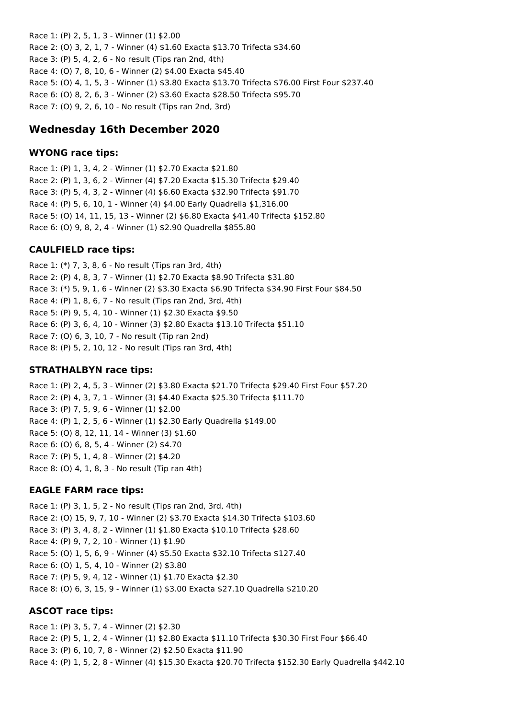Race 1: (P) 2, 5, 1, 3 - Winner (1) \$2.00 Race 2: (O) 3, 2, 1, 7 - Winner (4) \$1.60 Exacta \$13.70 Trifecta \$34.60 Race 3: (P) 5, 4, 2, 6 - No result (Tips ran 2nd, 4th) Race 4: (O) 7, 8, 10, 6 - Winner (2) \$4.00 Exacta \$45.40 Race 5: (O) 4, 1, 5, 3 - Winner (1) \$3.80 Exacta \$13.70 Trifecta \$76.00 First Four \$237.40 Race 6: (O) 8, 2, 6, 3 - Winner (2) \$3.60 Exacta \$28.50 Trifecta \$95.70 Race 7: (O) 9, 2, 6, 10 - No result (Tips ran 2nd, 3rd)

# **Wednesday 16th December 2020**

### **WYONG race tips:**

Race 1: (P) 1, 3, 4, 2 - Winner (1) \$2.70 Exacta \$21.80 Race 2: (P) 1, 3, 6, 2 - Winner (4) \$7.20 Exacta \$15.30 Trifecta \$29.40 Race 3: (P) 5, 4, 3, 2 - Winner (4) \$6.60 Exacta \$32.90 Trifecta \$91.70 Race 4: (P) 5, 6, 10, 1 - Winner (4) \$4.00 Early Quadrella \$1,316.00 Race 5: (O) 14, 11, 15, 13 - Winner (2) \$6.80 Exacta \$41.40 Trifecta \$152.80 Race 6: (O) 9, 8, 2, 4 - Winner (1) \$2.90 Quadrella \$855.80

# **CAULFIELD race tips:**

Race 1: (\*) 7, 3, 8, 6 - No result (Tips ran 3rd, 4th) Race 2: (P) 4, 8, 3, 7 - Winner (1) \$2.70 Exacta \$8.90 Trifecta \$31.80 Race 3: (\*) 5, 9, 1, 6 - Winner (2) \$3.30 Exacta \$6.90 Trifecta \$34.90 First Four \$84.50 Race 4: (P) 1, 8, 6, 7 - No result (Tips ran 2nd, 3rd, 4th) Race 5: (P) 9, 5, 4, 10 - Winner (1) \$2.30 Exacta \$9.50 Race 6: (P) 3, 6, 4, 10 - Winner (3) \$2.80 Exacta \$13.10 Trifecta \$51.10 Race 7: (O) 6, 3, 10, 7 - No result (Tip ran 2nd) Race 8: (P) 5, 2, 10, 12 - No result (Tips ran 3rd, 4th)

### **STRATHALBYN race tips:**

Race 1: (P) 2, 4, 5, 3 - Winner (2) \$3.80 Exacta \$21.70 Trifecta \$29.40 First Four \$57.20 Race 2: (P) 4, 3, 7, 1 - Winner (3) \$4.40 Exacta \$25.30 Trifecta \$111.70 Race 3: (P) 7, 5, 9, 6 - Winner (1) \$2.00 Race 4: (P) 1, 2, 5, 6 - Winner (1) \$2.30 Early Quadrella \$149.00 Race 5: (O) 8, 12, 11, 14 - Winner (3) \$1.60 Race 6: (O) 6, 8, 5, 4 - Winner (2) \$4.70 Race 7: (P) 5, 1, 4, 8 - Winner (2) \$4.20 Race 8: (O) 4, 1, 8, 3 - No result (Tip ran 4th)

### **EAGLE FARM race tips:**

Race 1: (P) 3, 1, 5, 2 - No result (Tips ran 2nd, 3rd, 4th) Race 2: (O) 15, 9, 7, 10 - Winner (2) \$3.70 Exacta \$14.30 Trifecta \$103.60 Race 3: (P) 3, 4, 8, 2 - Winner (1) \$1.80 Exacta \$10.10 Trifecta \$28.60 Race 4: (P) 9, 7, 2, 10 - Winner (1) \$1.90 Race 5: (O) 1, 5, 6, 9 - Winner (4) \$5.50 Exacta \$32.10 Trifecta \$127.40 Race 6: (O) 1, 5, 4, 10 - Winner (2) \$3.80 Race 7: (P) 5, 9, 4, 12 - Winner (1) \$1.70 Exacta \$2.30 Race 8: (O) 6, 3, 15, 9 - Winner (1) \$3.00 Exacta \$27.10 Quadrella \$210.20

### **ASCOT race tips:**

Race 1: (P) 3, 5, 7, 4 - Winner (2) \$2.30 Race 2: (P) 5, 1, 2, 4 - Winner (1) \$2.80 Exacta \$11.10 Trifecta \$30.30 First Four \$66.40 Race 3: (P) 6, 10, 7, 8 - Winner (2) \$2.50 Exacta \$11.90 Race 4: (P) 1, 5, 2, 8 - Winner (4) \$15.30 Exacta \$20.70 Trifecta \$152.30 Early Quadrella \$442.10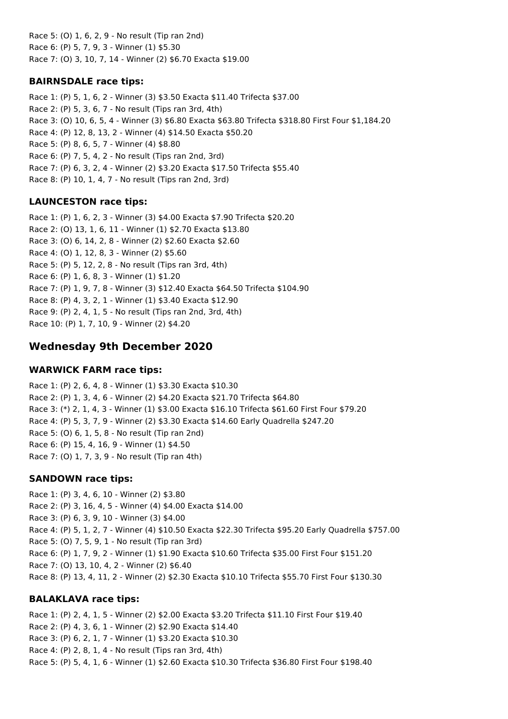Race 5: (O) 1, 6, 2, 9 - No result (Tip ran 2nd) Race 6: (P) 5, 7, 9, 3 - Winner (1) \$5.30 Race 7: (O) 3, 10, 7, 14 - Winner (2) \$6.70 Exacta \$19.00

### **BAIRNSDALE race tips:**

Race 1: (P) 5, 1, 6, 2 - Winner (3) \$3.50 Exacta \$11.40 Trifecta \$37.00 Race 2: (P) 5, 3, 6, 7 - No result (Tips ran 3rd, 4th) Race 3: (O) 10, 6, 5, 4 - Winner (3) \$6.80 Exacta \$63.80 Trifecta \$318.80 First Four \$1,184.20 Race 4: (P) 12, 8, 13, 2 - Winner (4) \$14.50 Exacta \$50.20 Race 5: (P) 8, 6, 5, 7 - Winner (4) \$8.80 Race 6: (P) 7, 5, 4, 2 - No result (Tips ran 2nd, 3rd) Race 7: (P) 6, 3, 2, 4 - Winner (2) \$3.20 Exacta \$17.50 Trifecta \$55.40 Race 8: (P) 10, 1, 4, 7 - No result (Tips ran 2nd, 3rd)

# **LAUNCESTON race tips:**

Race 1: (P) 1, 6, 2, 3 - Winner (3) \$4.00 Exacta \$7.90 Trifecta \$20.20 Race 2: (O) 13, 1, 6, 11 - Winner (1) \$2.70 Exacta \$13.80 Race 3: (O) 6, 14, 2, 8 - Winner (2) \$2.60 Exacta \$2.60 Race 4: (O) 1, 12, 8, 3 - Winner (2) \$5.60 Race 5: (P) 5, 12, 2, 8 - No result (Tips ran 3rd, 4th) Race 6: (P) 1, 6, 8, 3 - Winner (1) \$1.20 Race 7: (P) 1, 9, 7, 8 - Winner (3) \$12.40 Exacta \$64.50 Trifecta \$104.90 Race 8: (P) 4, 3, 2, 1 - Winner (1) \$3.40 Exacta \$12.90 Race 9: (P) 2, 4, 1, 5 - No result (Tips ran 2nd, 3rd, 4th) Race 10: (P) 1, 7, 10, 9 - Winner (2) \$4.20

# **Wednesday 9th December 2020**

### **WARWICK FARM race tips:**

Race 1: (P) 2, 6, 4, 8 - Winner (1) \$3.30 Exacta \$10.30 Race 2: (P) 1, 3, 4, 6 - Winner (2) \$4.20 Exacta \$21.70 Trifecta \$64.80 Race 3: (\*) 2, 1, 4, 3 - Winner (1) \$3.00 Exacta \$16.10 Trifecta \$61.60 First Four \$79.20 Race 4: (P) 5, 3, 7, 9 - Winner (2) \$3.30 Exacta \$14.60 Early Quadrella \$247.20 Race 5: (O) 6, 1, 5, 8 - No result (Tip ran 2nd) Race 6: (P) 15, 4, 16, 9 - Winner (1) \$4.50 Race 7: (O) 1, 7, 3, 9 - No result (Tip ran 4th)

# **SANDOWN race tips:**

Race 1: (P) 3, 4, 6, 10 - Winner (2) \$3.80 Race 2: (P) 3, 16, 4, 5 - Winner (4) \$4.00 Exacta \$14.00 Race 3: (P) 6, 3, 9, 10 - Winner (3) \$4.00 Race 4: (P) 5, 1, 2, 7 - Winner (4) \$10.50 Exacta \$22.30 Trifecta \$95.20 Early Quadrella \$757.00 Race 5: (O) 7, 5, 9, 1 - No result (Tip ran 3rd) Race 6: (P) 1, 7, 9, 2 - Winner (1) \$1.90 Exacta \$10.60 Trifecta \$35.00 First Four \$151.20 Race 7: (O) 13, 10, 4, 2 - Winner (2) \$6.40 Race 8: (P) 13, 4, 11, 2 - Winner (2) \$2.30 Exacta \$10.10 Trifecta \$55.70 First Four \$130.30

### **BALAKLAVA race tips:**

Race 1: (P) 2, 4, 1, 5 - Winner (2) \$2.00 Exacta \$3.20 Trifecta \$11.10 First Four \$19.40 Race 2: (P) 4, 3, 6, 1 - Winner (2) \$2.90 Exacta \$14.40 Race 3: (P) 6, 2, 1, 7 - Winner (1) \$3.20 Exacta \$10.30 Race 4: (P) 2, 8, 1, 4 - No result (Tips ran 3rd, 4th) Race 5: (P) 5, 4, 1, 6 - Winner (1) \$2.60 Exacta \$10.30 Trifecta \$36.80 First Four \$198.40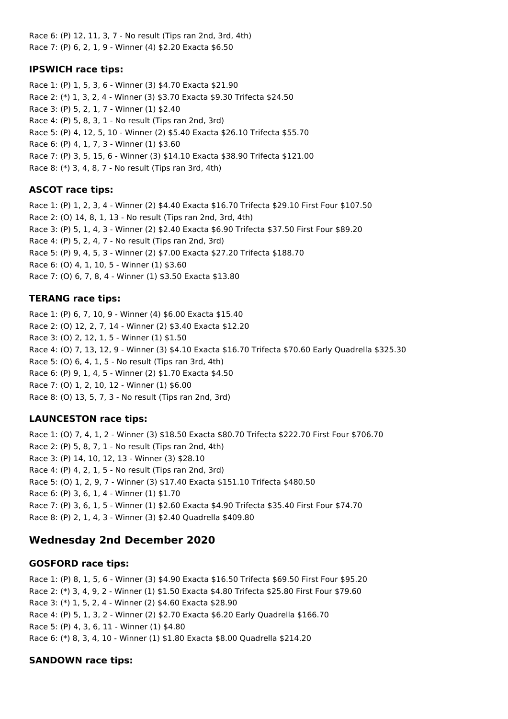Race 6: (P) 12, 11, 3, 7 - No result (Tips ran 2nd, 3rd, 4th) Race 7: (P) 6, 2, 1, 9 - Winner (4) \$2.20 Exacta \$6.50

#### **IPSWICH race tips:**

Race 1: (P) 1, 5, 3, 6 - Winner (3) \$4.70 Exacta \$21.90 Race 2: (\*) 1, 3, 2, 4 - Winner (3) \$3.70 Exacta \$9.30 Trifecta \$24.50 Race 3: (P) 5, 2, 1, 7 - Winner (1) \$2.40 Race 4: (P) 5, 8, 3, 1 - No result (Tips ran 2nd, 3rd) Race 5: (P) 4, 12, 5, 10 - Winner (2) \$5.40 Exacta \$26.10 Trifecta \$55.70 Race 6: (P) 4, 1, 7, 3 - Winner (1) \$3.60 Race 7: (P) 3, 5, 15, 6 - Winner (3) \$14.10 Exacta \$38.90 Trifecta \$121.00 Race 8: (\*) 3, 4, 8, 7 - No result (Tips ran 3rd, 4th)

### **ASCOT race tips:**

Race 1: (P) 1, 2, 3, 4 - Winner (2) \$4.40 Exacta \$16.70 Trifecta \$29.10 First Four \$107.50 Race 2: (O) 14, 8, 1, 13 - No result (Tips ran 2nd, 3rd, 4th) Race 3: (P) 5, 1, 4, 3 - Winner (2) \$2.40 Exacta \$6.90 Trifecta \$37.50 First Four \$89.20 Race 4: (P) 5, 2, 4, 7 - No result (Tips ran 2nd, 3rd) Race 5: (P) 9, 4, 5, 3 - Winner (2) \$7.00 Exacta \$27.20 Trifecta \$188.70 Race 6: (O) 4, 1, 10, 5 - Winner (1) \$3.60 Race 7: (O) 6, 7, 8, 4 - Winner (1) \$3.50 Exacta \$13.80

### **TERANG race tips:**

Race 1: (P) 6, 7, 10, 9 - Winner (4) \$6.00 Exacta \$15.40 Race 2: (O) 12, 2, 7, 14 - Winner (2) \$3.40 Exacta \$12.20 Race 3: (O) 2, 12, 1, 5 - Winner (1) \$1.50 Race 4: (O) 7, 13, 12, 9 - Winner (3) \$4.10 Exacta \$16.70 Trifecta \$70.60 Early Quadrella \$325.30 Race 5: (O) 6, 4, 1, 5 - No result (Tips ran 3rd, 4th) Race 6: (P) 9, 1, 4, 5 - Winner (2) \$1.70 Exacta \$4.50 Race 7: (O) 1, 2, 10, 12 - Winner (1) \$6.00 Race 8: (O) 13, 5, 7, 3 - No result (Tips ran 2nd, 3rd)

# **LAUNCESTON race tips:**

Race 1: (O) 7, 4, 1, 2 - Winner (3) \$18.50 Exacta \$80.70 Trifecta \$222.70 First Four \$706.70 Race 2: (P) 5, 8, 7, 1 - No result (Tips ran 2nd, 4th) Race 3: (P) 14, 10, 12, 13 - Winner (3) \$28.10 Race 4: (P) 4, 2, 1, 5 - No result (Tips ran 2nd, 3rd) Race 5: (O) 1, 2, 9, 7 - Winner (3) \$17.40 Exacta \$151.10 Trifecta \$480.50 Race 6: (P) 3, 6, 1, 4 - Winner (1) \$1.70 Race 7: (P) 3, 6, 1, 5 - Winner (1) \$2.60 Exacta \$4.90 Trifecta \$35.40 First Four \$74.70 Race 8: (P) 2, 1, 4, 3 - Winner (3) \$2.40 Quadrella \$409.80

# **Wednesday 2nd December 2020**

### **GOSFORD race tips:**

Race 1: (P) 8, 1, 5, 6 - Winner (3) \$4.90 Exacta \$16.50 Trifecta \$69.50 First Four \$95.20 Race 2: (\*) 3, 4, 9, 2 - Winner (1) \$1.50 Exacta \$4.80 Trifecta \$25.80 First Four \$79.60 Race 3: (\*) 1, 5, 2, 4 - Winner (2) \$4.60 Exacta \$28.90 Race 4: (P) 5, 1, 3, 2 - Winner (2) \$2.70 Exacta \$6.20 Early Quadrella \$166.70 Race 5: (P) 4, 3, 6, 11 - Winner (1) \$4.80 Race 6: (\*) 8, 3, 4, 10 - Winner (1) \$1.80 Exacta \$8.00 Quadrella \$214.20

### **SANDOWN race tips:**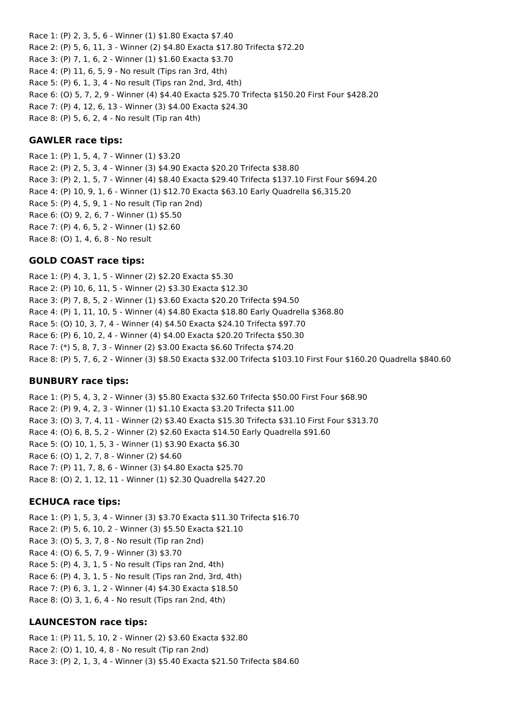Race 1: (P) 2, 3, 5, 6 - Winner (1) \$1.80 Exacta \$7.40 Race 2: (P) 5, 6, 11, 3 - Winner (2) \$4.80 Exacta \$17.80 Trifecta \$72.20 Race 3: (P) 7, 1, 6, 2 - Winner (1) \$1.60 Exacta \$3.70 Race 4: (P) 11, 6, 5, 9 - No result (Tips ran 3rd, 4th) Race 5: (P) 6, 1, 3, 4 - No result (Tips ran 2nd, 3rd, 4th) Race 6: (O) 5, 7, 2, 9 - Winner (4) \$4.40 Exacta \$25.70 Trifecta \$150.20 First Four \$428.20 Race 7: (P) 4, 12, 6, 13 - Winner (3) \$4.00 Exacta \$24.30 Race 8: (P) 5, 6, 2, 4 - No result (Tip ran 4th)

#### **GAWLER race tips:**

Race 1: (P) 1, 5, 4, 7 - Winner (1) \$3.20 Race 2: (P) 2, 5, 3, 4 - Winner (3) \$4.90 Exacta \$20.20 Trifecta \$38.80 Race 3: (P) 2, 1, 5, 7 - Winner (4) \$8.40 Exacta \$29.40 Trifecta \$137.10 First Four \$694.20 Race 4: (P) 10, 9, 1, 6 - Winner (1) \$12.70 Exacta \$63.10 Early Quadrella \$6,315.20 Race 5: (P) 4, 5, 9, 1 - No result (Tip ran 2nd) Race 6: (O) 9, 2, 6, 7 - Winner (1) \$5.50 Race 7: (P) 4, 6, 5, 2 - Winner (1) \$2.60 Race 8: (O) 1, 4, 6, 8 - No result

### **GOLD COAST race tips:**

Race 1: (P) 4, 3, 1, 5 - Winner (2) \$2.20 Exacta \$5.30 Race 2: (P) 10, 6, 11, 5 - Winner (2) \$3.30 Exacta \$12.30 Race 3: (P) 7, 8, 5, 2 - Winner (1) \$3.60 Exacta \$20.20 Trifecta \$94.50 Race 4: (P) 1, 11, 10, 5 - Winner (4) \$4.80 Exacta \$18.80 Early Quadrella \$368.80 Race 5: (O) 10, 3, 7, 4 - Winner (4) \$4.50 Exacta \$24.10 Trifecta \$97.70 Race 6: (P) 6, 10, 2, 4 - Winner (4) \$4.00 Exacta \$20.20 Trifecta \$50.30 Race 7: (\*) 5, 8, 7, 3 - Winner (2) \$3.00 Exacta \$6.60 Trifecta \$74.20 Race 8: (P) 5, 7, 6, 2 - Winner (3) \$8.50 Exacta \$32.00 Trifecta \$103.10 First Four \$160.20 Quadrella \$840.60

### **BUNBURY race tips:**

Race 1: (P) 5, 4, 3, 2 - Winner (3) \$5.80 Exacta \$32.60 Trifecta \$50.00 First Four \$68.90 Race 2: (P) 9, 4, 2, 3 - Winner (1) \$1.10 Exacta \$3.20 Trifecta \$11.00 Race 3: (O) 3, 7, 4, 11 - Winner (2) \$3.40 Exacta \$15.30 Trifecta \$31.10 First Four \$313.70 Race 4: (O) 6, 8, 5, 2 - Winner (2) \$2.60 Exacta \$14.50 Early Quadrella \$91.60 Race 5: (O) 10, 1, 5, 3 - Winner (1) \$3.90 Exacta \$6.30 Race 6: (O) 1, 2, 7, 8 - Winner (2) \$4.60 Race 7: (P) 11, 7, 8, 6 - Winner (3) \$4.80 Exacta \$25.70 Race 8: (O) 2, 1, 12, 11 - Winner (1) \$2.30 Quadrella \$427.20

#### **ECHUCA race tips:**

Race 1: (P) 1, 5, 3, 4 - Winner (3) \$3.70 Exacta \$11.30 Trifecta \$16.70 Race 2: (P) 5, 6, 10, 2 - Winner (3) \$5.50 Exacta \$21.10 Race 3: (O) 5, 3, 7, 8 - No result (Tip ran 2nd) Race 4: (O) 6, 5, 7, 9 - Winner (3) \$3.70 Race 5: (P) 4, 3, 1, 5 - No result (Tips ran 2nd, 4th) Race 6: (P) 4, 3, 1, 5 - No result (Tips ran 2nd, 3rd, 4th) Race 7: (P) 6, 3, 1, 2 - Winner (4) \$4.30 Exacta \$18.50 Race 8: (O) 3, 1, 6, 4 - No result (Tips ran 2nd, 4th)

### **LAUNCESTON race tips:**

Race 1: (P) 11, 5, 10, 2 - Winner (2) \$3.60 Exacta \$32.80 Race 2: (O) 1, 10, 4, 8 - No result (Tip ran 2nd) Race 3: (P) 2, 1, 3, 4 - Winner (3) \$5.40 Exacta \$21.50 Trifecta \$84.60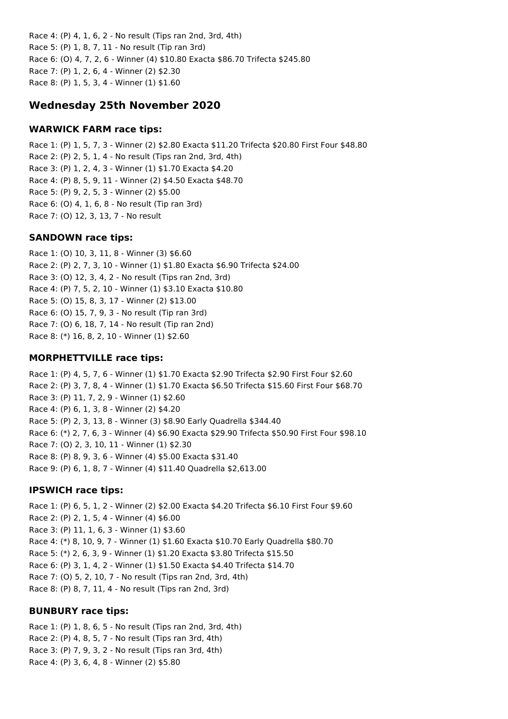Race 4: (P) 4, 1, 6, 2 - No result (Tips ran 2nd, 3rd, 4th) Race 5: (P) 1, 8, 7, 11 - No result (Tip ran 3rd) Race 6: (O) 4, 7, 2, 6 - Winner (4) \$10.80 Exacta \$86.70 Trifecta \$245.80 Race 7: (P) 1, 2, 6, 4 - Winner (2) \$2.30 Race 8: (P) 1, 5, 3, 4 - Winner (1) \$1.60

# **Wednesday 25th November 2020**

#### **WARWICK FARM race tips:**

Race 1: (P) 1, 5, 7, 3 - Winner (2) \$2.80 Exacta \$11.20 Trifecta \$20.80 First Four \$48.80 Race 2: (P) 2, 5, 1, 4 - No result (Tips ran 2nd, 3rd, 4th) Race 3: (P) 1, 2, 4, 3 - Winner (1) \$1.70 Exacta \$4.20 Race 4: (P) 8, 5, 9, 11 - Winner (2) \$4.50 Exacta \$48.70 Race 5: (P) 9, 2, 5, 3 - Winner (2) \$5.00 Race 6: (O) 4, 1, 6, 8 - No result (Tip ran 3rd) Race 7: (O) 12, 3, 13, 7 - No result

#### **SANDOWN race tips:**

Race 1: (O) 10, 3, 11, 8 - Winner (3) \$6.60 Race 2: (P) 2, 7, 3, 10 - Winner (1) \$1.80 Exacta \$6.90 Trifecta \$24.00 Race 3: (O) 12, 3, 4, 2 - No result (Tips ran 2nd, 3rd) Race 4: (P) 7, 5, 2, 10 - Winner (1) \$3.10 Exacta \$10.80 Race 5: (O) 15, 8, 3, 17 - Winner (2) \$13.00 Race 6: (O) 15, 7, 9, 3 - No result (Tip ran 3rd) Race 7: (O) 6, 18, 7, 14 - No result (Tip ran 2nd) Race 8: (\*) 16, 8, 2, 10 - Winner (1) \$2.60

#### **MORPHETTVILLE race tips:**

Race 1: (P) 4, 5, 7, 6 - Winner (1) \$1.70 Exacta \$2.90 Trifecta \$2.90 First Four \$2.60 Race 2: (P) 3, 7, 8, 4 - Winner (1) \$1.70 Exacta \$6.50 Trifecta \$15.60 First Four \$68.70 Race 3: (P) 11, 7, 2, 9 - Winner (1) \$2.60 Race 4: (P) 6, 1, 3, 8 - Winner (2) \$4.20 Race 5: (P) 2, 3, 13, 8 - Winner (3) \$8.90 Early Quadrella \$344.40 Race 6: (\*) 2, 7, 6, 3 - Winner (4) \$6.90 Exacta \$29.90 Trifecta \$50.90 First Four \$98.10 Race 7: (O) 2, 3, 10, 11 - Winner (1) \$2.30 Race 8: (P) 8, 9, 3, 6 - Winner (4) \$5.00 Exacta \$31.40 Race 9: (P) 6, 1, 8, 7 - Winner (4) \$11.40 Quadrella \$2,613.00

#### **IPSWICH race tips:**

Race 1: (P) 6, 5, 1, 2 - Winner (2) \$2.00 Exacta \$4.20 Trifecta \$6.10 First Four \$9.60 Race 2: (P) 2, 1, 5, 4 - Winner (4) \$6.00 Race 3: (P) 11, 1, 6, 3 - Winner (1) \$3.60 Race 4: (\*) 8, 10, 9, 7 - Winner (1) \$1.60 Exacta \$10.70 Early Quadrella \$80.70 Race 5: (\*) 2, 6, 3, 9 - Winner (1) \$1.20 Exacta \$3.80 Trifecta \$15.50 Race 6: (P) 3, 1, 4, 2 - Winner (1) \$1.50 Exacta \$4.40 Trifecta \$14.70 Race 7: (O) 5, 2, 10, 7 - No result (Tips ran 2nd, 3rd, 4th) Race 8: (P) 8, 7, 11, 4 - No result (Tips ran 2nd, 3rd)

#### **BUNBURY race tips:**

Race 1: (P) 1, 8, 6, 5 - No result (Tips ran 2nd, 3rd, 4th) Race 2: (P) 4, 8, 5, 7 - No result (Tips ran 3rd, 4th) Race 3: (P) 7, 9, 3, 2 - No result (Tips ran 3rd, 4th) Race 4: (P) 3, 6, 4, 8 - Winner (2) \$5.80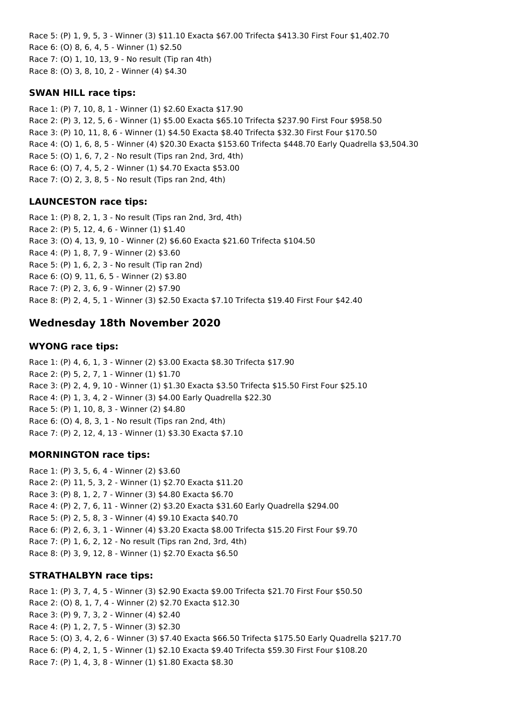Race 5: (P) 1, 9, 5, 3 - Winner (3) \$11.10 Exacta \$67.00 Trifecta \$413.30 First Four \$1,402.70 Race 6: (O) 8, 6, 4, 5 - Winner (1) \$2.50 Race 7: (O) 1, 10, 13, 9 - No result (Tip ran 4th) Race 8: (O) 3, 8, 10, 2 - Winner (4) \$4.30

#### **SWAN HILL race tips:**

Race 1: (P) 7, 10, 8, 1 - Winner (1) \$2.60 Exacta \$17.90 Race 2: (P) 3, 12, 5, 6 - Winner (1) \$5.00 Exacta \$65.10 Trifecta \$237.90 First Four \$958.50 Race 3: (P) 10, 11, 8, 6 - Winner (1) \$4.50 Exacta \$8.40 Trifecta \$32.30 First Four \$170.50 Race 4: (O) 1, 6, 8, 5 - Winner (4) \$20.30 Exacta \$153.60 Trifecta \$448.70 Early Quadrella \$3,504.30 Race 5: (O) 1, 6, 7, 2 - No result (Tips ran 2nd, 3rd, 4th) Race 6: (O) 7, 4, 5, 2 - Winner (1) \$4.70 Exacta \$53.00 Race 7: (O) 2, 3, 8, 5 - No result (Tips ran 2nd, 4th)

### **LAUNCESTON race tips:**

Race 1: (P) 8, 2, 1, 3 - No result (Tips ran 2nd, 3rd, 4th) Race 2: (P) 5, 12, 4, 6 - Winner (1) \$1.40 Race 3: (O) 4, 13, 9, 10 - Winner (2) \$6.60 Exacta \$21.60 Trifecta \$104.50 Race 4: (P) 1, 8, 7, 9 - Winner (2) \$3.60 Race 5: (P) 1, 6, 2, 3 - No result (Tip ran 2nd) Race 6: (O) 9, 11, 6, 5 - Winner (2) \$3.80 Race 7: (P) 2, 3, 6, 9 - Winner (2) \$7.90 Race 8: (P) 2, 4, 5, 1 - Winner (3) \$2.50 Exacta \$7.10 Trifecta \$19.40 First Four \$42.40

# **Wednesday 18th November 2020**

#### **WYONG race tips:**

Race 1: (P) 4, 6, 1, 3 - Winner (2) \$3.00 Exacta \$8.30 Trifecta \$17.90 Race 2: (P) 5, 2, 7, 1 - Winner (1) \$1.70 Race 3: (P) 2, 4, 9, 10 - Winner (1) \$1.30 Exacta \$3.50 Trifecta \$15.50 First Four \$25.10 Race 4: (P) 1, 3, 4, 2 - Winner (3) \$4.00 Early Quadrella \$22.30 Race 5: (P) 1, 10, 8, 3 - Winner (2) \$4.80 Race 6: (O) 4, 8, 3, 1 - No result (Tips ran 2nd, 4th) Race 7: (P) 2, 12, 4, 13 - Winner (1) \$3.30 Exacta \$7.10

#### **MORNINGTON race tips:**

Race 1: (P) 3, 5, 6, 4 - Winner (2) \$3.60 Race 2: (P) 11, 5, 3, 2 - Winner (1) \$2.70 Exacta \$11.20 Race 3: (P) 8, 1, 2, 7 - Winner (3) \$4.80 Exacta \$6.70 Race 4: (P) 2, 7, 6, 11 - Winner (2) \$3.20 Exacta \$31.60 Early Quadrella \$294.00 Race 5: (P) 2, 5, 8, 3 - Winner (4) \$9.10 Exacta \$40.70 Race 6: (P) 2, 6, 3, 1 - Winner (4) \$3.20 Exacta \$8.00 Trifecta \$15.20 First Four \$9.70 Race 7: (P) 1, 6, 2, 12 - No result (Tips ran 2nd, 3rd, 4th) Race 8: (P) 3, 9, 12, 8 - Winner (1) \$2.70 Exacta \$6.50

#### **STRATHALBYN race tips:**

Race 1: (P) 3, 7, 4, 5 - Winner (3) \$2.90 Exacta \$9.00 Trifecta \$21.70 First Four \$50.50 Race 2: (O) 8, 1, 7, 4 - Winner (2) \$2.70 Exacta \$12.30 Race 3: (P) 9, 7, 3, 2 - Winner (4) \$2.40 Race 4: (P) 1, 2, 7, 5 - Winner (3) \$2.30 Race 5: (O) 3, 4, 2, 6 - Winner (3) \$7.40 Exacta \$66.50 Trifecta \$175.50 Early Quadrella \$217.70 Race 6: (P) 4, 2, 1, 5 - Winner (1) \$2.10 Exacta \$9.40 Trifecta \$59.30 First Four \$108.20 Race 7: (P) 1, 4, 3, 8 - Winner (1) \$1.80 Exacta \$8.30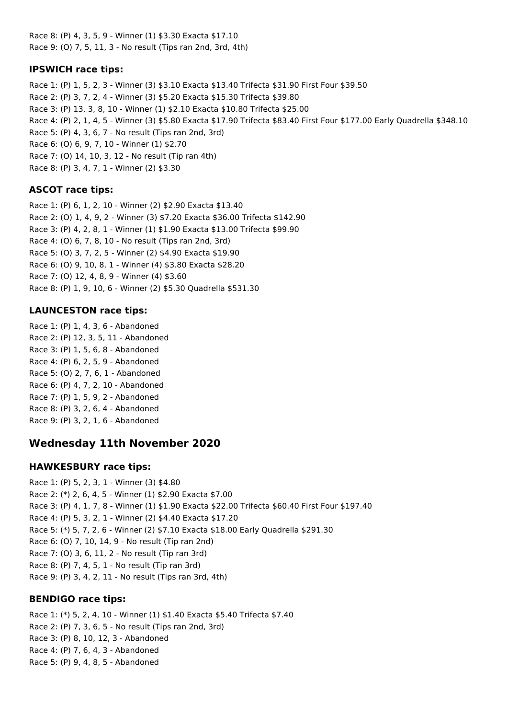Race 8: (P) 4, 3, 5, 9 - Winner (1) \$3.30 Exacta \$17.10 Race 9: (O) 7, 5, 11, 3 - No result (Tips ran 2nd, 3rd, 4th)

### **IPSWICH race tips:**

Race 1: (P) 1, 5, 2, 3 - Winner (3) \$3.10 Exacta \$13.40 Trifecta \$31.90 First Four \$39.50 Race 2: (P) 3, 7, 2, 4 - Winner (3) \$5.20 Exacta \$15.30 Trifecta \$39.80 Race 3: (P) 13, 3, 8, 10 - Winner (1) \$2.10 Exacta \$10.80 Trifecta \$25.00 Race 4: (P) 2, 1, 4, 5 - Winner (3) \$5.80 Exacta \$17.90 Trifecta \$83.40 First Four \$177.00 Early Quadrella \$348.10 Race 5: (P) 4, 3, 6, 7 - No result (Tips ran 2nd, 3rd) Race 6: (O) 6, 9, 7, 10 - Winner (1) \$2.70 Race 7: (O) 14, 10, 3, 12 - No result (Tip ran 4th) Race 8: (P) 3, 4, 7, 1 - Winner (2) \$3.30

# **ASCOT race tips:**

Race 1: (P) 6, 1, 2, 10 - Winner (2) \$2.90 Exacta \$13.40 Race 2: (O) 1, 4, 9, 2 - Winner (3) \$7.20 Exacta \$36.00 Trifecta \$142.90 Race 3: (P) 4, 2, 8, 1 - Winner (1) \$1.90 Exacta \$13.00 Trifecta \$99.90 Race 4: (O) 6, 7, 8, 10 - No result (Tips ran 2nd, 3rd) Race 5: (O) 3, 7, 2, 5 - Winner (2) \$4.90 Exacta \$19.90 Race 6: (O) 9, 10, 8, 1 - Winner (4) \$3.80 Exacta \$28.20 Race 7: (O) 12, 4, 8, 9 - Winner (4) \$3.60 Race 8: (P) 1, 9, 10, 6 - Winner (2) \$5.30 Quadrella \$531.30

### **LAUNCESTON race tips:**

Race 1: (P) 1, 4, 3, 6 - Abandoned Race 2: (P) 12, 3, 5, 11 - Abandoned Race 3: (P) 1, 5, 6, 8 - Abandoned Race 4: (P) 6, 2, 5, 9 - Abandoned Race 5: (O) 2, 7, 6, 1 - Abandoned Race 6: (P) 4, 7, 2, 10 - Abandoned Race 7: (P) 1, 5, 9, 2 - Abandoned Race 8: (P) 3, 2, 6, 4 - Abandoned Race 9: (P) 3, 2, 1, 6 - Abandoned

# **Wednesday 11th November 2020**

### **HAWKESBURY race tips:**

Race 1: (P) 5, 2, 3, 1 - Winner (3) \$4.80 Race 2: (\*) 2, 6, 4, 5 - Winner (1) \$2.90 Exacta \$7.00 Race 3: (P) 4, 1, 7, 8 - Winner (1) \$1.90 Exacta \$22.00 Trifecta \$60.40 First Four \$197.40 Race 4: (P) 5, 3, 2, 1 - Winner (2) \$4.40 Exacta \$17.20 Race 5: (\*) 5, 7, 2, 6 - Winner (2) \$7.10 Exacta \$18.00 Early Quadrella \$291.30 Race 6: (O) 7, 10, 14, 9 - No result (Tip ran 2nd) Race 7: (O) 3, 6, 11, 2 - No result (Tip ran 3rd) Race 8: (P) 7, 4, 5, 1 - No result (Tip ran 3rd) Race 9: (P) 3, 4, 2, 11 - No result (Tips ran 3rd, 4th)

### **BENDIGO race tips:**

Race 1: (\*) 5, 2, 4, 10 - Winner (1) \$1.40 Exacta \$5.40 Trifecta \$7.40 Race 2: (P) 7, 3, 6, 5 - No result (Tips ran 2nd, 3rd) Race 3: (P) 8, 10, 12, 3 - Abandoned Race 4: (P) 7, 6, 4, 3 - Abandoned Race 5: (P) 9, 4, 8, 5 - Abandoned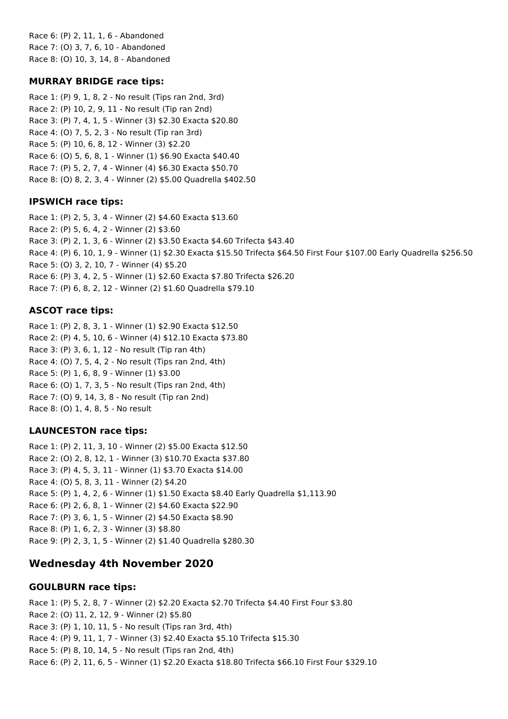Race 6: (P) 2, 11, 1, 6 - Abandoned Race 7: (O) 3, 7, 6, 10 - Abandoned Race 8: (O) 10, 3, 14, 8 - Abandoned

### **MURRAY BRIDGE race tips:**

Race 1: (P) 9, 1, 8, 2 - No result (Tips ran 2nd, 3rd) Race 2: (P) 10, 2, 9, 11 - No result (Tip ran 2nd) Race 3: (P) 7, 4, 1, 5 - Winner (3) \$2.30 Exacta \$20.80 Race 4: (O) 7, 5, 2, 3 - No result (Tip ran 3rd) Race 5: (P) 10, 6, 8, 12 - Winner (3) \$2.20 Race 6: (O) 5, 6, 8, 1 - Winner (1) \$6.90 Exacta \$40.40 Race 7: (P) 5, 2, 7, 4 - Winner (4) \$6.30 Exacta \$50.70 Race 8: (O) 8, 2, 3, 4 - Winner (2) \$5.00 Quadrella \$402.50

# **IPSWICH race tips:**

Race 1: (P) 2, 5, 3, 4 - Winner (2) \$4.60 Exacta \$13.60 Race 2: (P) 5, 6, 4, 2 - Winner (2) \$3.60 Race 3: (P) 2, 1, 3, 6 - Winner (2) \$3.50 Exacta \$4.60 Trifecta \$43.40 Race 4: (P) 6, 10, 1, 9 - Winner (1) \$2.30 Exacta \$15.50 Trifecta \$64.50 First Four \$107.00 Early Quadrella \$256.50 Race 5: (O) 3, 2, 10, 7 - Winner (4) \$5.20 Race 6: (P) 3, 4, 2, 5 - Winner (1) \$2.60 Exacta \$7.80 Trifecta \$26.20 Race 7: (P) 6, 8, 2, 12 - Winner (2) \$1.60 Quadrella \$79.10

# **ASCOT race tips:**

Race 1: (P) 2, 8, 3, 1 - Winner (1) \$2.90 Exacta \$12.50 Race 2: (P) 4, 5, 10, 6 - Winner (4) \$12.10 Exacta \$73.80 Race 3: (P) 3, 6, 1, 12 - No result (Tip ran 4th) Race 4: (O) 7, 5, 4, 2 - No result (Tips ran 2nd, 4th) Race 5: (P) 1, 6, 8, 9 - Winner (1) \$3.00 Race 6: (O) 1, 7, 3, 5 - No result (Tips ran 2nd, 4th) Race 7: (O) 9, 14, 3, 8 - No result (Tip ran 2nd) Race 8: (O) 1, 4, 8, 5 - No result

# **LAUNCESTON race tips:**

Race 1: (P) 2, 11, 3, 10 - Winner (2) \$5.00 Exacta \$12.50 Race 2: (O) 2, 8, 12, 1 - Winner (3) \$10.70 Exacta \$37.80 Race 3: (P) 4, 5, 3, 11 - Winner (1) \$3.70 Exacta \$14.00 Race 4: (O) 5, 8, 3, 11 - Winner (2) \$4.20 Race 5: (P) 1, 4, 2, 6 - Winner (1) \$1.50 Exacta \$8.40 Early Quadrella \$1,113.90 Race 6: (P) 2, 6, 8, 1 - Winner (2) \$4.60 Exacta \$22.90 Race 7: (P) 3, 6, 1, 5 - Winner (2) \$4.50 Exacta \$8.90 Race 8: (P) 1, 6, 2, 3 - Winner (3) \$8.80 Race 9: (P) 2, 3, 1, 5 - Winner (2) \$1.40 Quadrella \$280.30

# **Wednesday 4th November 2020**

# **GOULBURN race tips:**

Race 1: (P) 5, 2, 8, 7 - Winner (2) \$2.20 Exacta \$2.70 Trifecta \$4.40 First Four \$3.80 Race 2: (O) 11, 2, 12, 9 - Winner (2) \$5.80 Race 3: (P) 1, 10, 11, 5 - No result (Tips ran 3rd, 4th) Race 4: (P) 9, 11, 1, 7 - Winner (3) \$2.40 Exacta \$5.10 Trifecta \$15.30 Race 5: (P) 8, 10, 14, 5 - No result (Tips ran 2nd, 4th) Race 6: (P) 2, 11, 6, 5 - Winner (1) \$2.20 Exacta \$18.80 Trifecta \$66.10 First Four \$329.10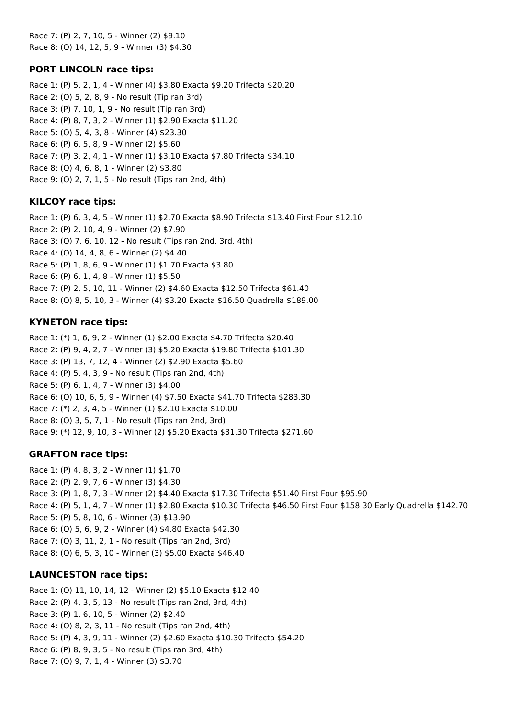Race 7: (P) 2, 7, 10, 5 - Winner (2) \$9.10 Race 8: (O) 14, 12, 5, 9 - Winner (3) \$4.30

### **PORT LINCOLN race tips:**

Race 1: (P) 5, 2, 1, 4 - Winner (4) \$3.80 Exacta \$9.20 Trifecta \$20.20 Race 2: (O) 5, 2, 8, 9 - No result (Tip ran 3rd) Race 3: (P) 7, 10, 1, 9 - No result (Tip ran 3rd) Race 4: (P) 8, 7, 3, 2 - Winner (1) \$2.90 Exacta \$11.20 Race 5: (O) 5, 4, 3, 8 - Winner (4) \$23.30 Race 6: (P) 6, 5, 8, 9 - Winner (2) \$5.60 Race 7: (P) 3, 2, 4, 1 - Winner (1) \$3.10 Exacta \$7.80 Trifecta \$34.10 Race 8: (O) 4, 6, 8, 1 - Winner (2) \$3.80 Race 9: (O) 2, 7, 1, 5 - No result (Tips ran 2nd, 4th)

#### **KILCOY race tips:**

Race 1: (P) 6, 3, 4, 5 - Winner (1) \$2.70 Exacta \$8.90 Trifecta \$13.40 First Four \$12.10 Race 2: (P) 2, 10, 4, 9 - Winner (2) \$7.90 Race 3: (O) 7, 6, 10, 12 - No result (Tips ran 2nd, 3rd, 4th) Race 4: (O) 14, 4, 8, 6 - Winner (2) \$4.40 Race 5: (P) 1, 8, 6, 9 - Winner (1) \$1.70 Exacta \$3.80 Race 6: (P) 6, 1, 4, 8 - Winner (1) \$5.50 Race 7: (P) 2, 5, 10, 11 - Winner (2) \$4.60 Exacta \$12.50 Trifecta \$61.40 Race 8: (O) 8, 5, 10, 3 - Winner (4) \$3.20 Exacta \$16.50 Quadrella \$189.00

#### **KYNETON race tips:**

Race 1: (\*) 1, 6, 9, 2 - Winner (1) \$2.00 Exacta \$4.70 Trifecta \$20.40 Race 2: (P) 9, 4, 2, 7 - Winner (3) \$5.20 Exacta \$19.80 Trifecta \$101.30 Race 3: (P) 13, 7, 12, 4 - Winner (2) \$2.90 Exacta \$5.60 Race 4: (P) 5, 4, 3, 9 - No result (Tips ran 2nd, 4th) Race 5: (P) 6, 1, 4, 7 - Winner (3) \$4.00 Race 6: (O) 10, 6, 5, 9 - Winner (4) \$7.50 Exacta \$41.70 Trifecta \$283.30 Race 7: (\*) 2, 3, 4, 5 - Winner (1) \$2.10 Exacta \$10.00 Race 8: (O) 3, 5, 7, 1 - No result (Tips ran 2nd, 3rd) Race 9: (\*) 12, 9, 10, 3 - Winner (2) \$5.20 Exacta \$31.30 Trifecta \$271.60

#### **GRAFTON race tips:**

Race 1: (P) 4, 8, 3, 2 - Winner (1) \$1.70 Race 2: (P) 2, 9, 7, 6 - Winner (3) \$4.30 Race 3: (P) 1, 8, 7, 3 - Winner (2) \$4.40 Exacta \$17.30 Trifecta \$51.40 First Four \$95.90 Race 4: (P) 5, 1, 4, 7 - Winner (1) \$2.80 Exacta \$10.30 Trifecta \$46.50 First Four \$158.30 Early Quadrella \$142.70 Race 5: (P) 5, 8, 10, 6 - Winner (3) \$13.90 Race 6: (O) 5, 6, 9, 2 - Winner (4) \$4.80 Exacta \$42.30 Race 7: (O) 3, 11, 2, 1 - No result (Tips ran 2nd, 3rd) Race 8: (O) 6, 5, 3, 10 - Winner (3) \$5.00 Exacta \$46.40

#### **LAUNCESTON race tips:**

Race 1: (O) 11, 10, 14, 12 - Winner (2) \$5.10 Exacta \$12.40 Race 2: (P) 4, 3, 5, 13 - No result (Tips ran 2nd, 3rd, 4th) Race 3: (P) 1, 6, 10, 5 - Winner (2) \$2.40 Race 4: (O) 8, 2, 3, 11 - No result (Tips ran 2nd, 4th) Race 5: (P) 4, 3, 9, 11 - Winner (2) \$2.60 Exacta \$10.30 Trifecta \$54.20 Race 6: (P) 8, 9, 3, 5 - No result (Tips ran 3rd, 4th) Race 7: (O) 9, 7, 1, 4 - Winner (3) \$3.70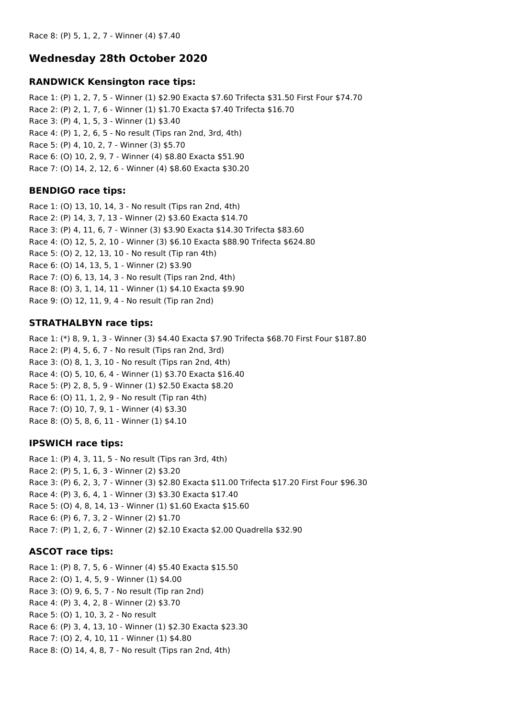# **Wednesday 28th October 2020**

#### **RANDWICK Kensington race tips:**

Race 1: (P) 1, 2, 7, 5 - Winner (1) \$2.90 Exacta \$7.60 Trifecta \$31.50 First Four \$74.70 Race 2: (P) 2, 1, 7, 6 - Winner (1) \$1.70 Exacta \$7.40 Trifecta \$16.70 Race 3: (P) 4, 1, 5, 3 - Winner (1) \$3.40 Race 4: (P) 1, 2, 6, 5 - No result (Tips ran 2nd, 3rd, 4th) Race 5: (P) 4, 10, 2, 7 - Winner (3) \$5.70 Race 6: (O) 10, 2, 9, 7 - Winner (4) \$8.80 Exacta \$51.90 Race 7: (O) 14, 2, 12, 6 - Winner (4) \$8.60 Exacta \$30.20

### **BENDIGO race tips:**

Race 1: (O) 13, 10, 14, 3 - No result (Tips ran 2nd, 4th) Race 2: (P) 14, 3, 7, 13 - Winner (2) \$3.60 Exacta \$14.70 Race 3: (P) 4, 11, 6, 7 - Winner (3) \$3.90 Exacta \$14.30 Trifecta \$83.60 Race 4: (O) 12, 5, 2, 10 - Winner (3) \$6.10 Exacta \$88.90 Trifecta \$624.80 Race 5: (O) 2, 12, 13, 10 - No result (Tip ran 4th) Race 6: (O) 14, 13, 5, 1 - Winner (2) \$3.90 Race 7: (O) 6, 13, 14, 3 - No result (Tips ran 2nd, 4th) Race 8: (O) 3, 1, 14, 11 - Winner (1) \$4.10 Exacta \$9.90 Race 9: (O) 12, 11, 9, 4 - No result (Tip ran 2nd)

# **STRATHALBYN race tips:**

Race 1: (\*) 8, 9, 1, 3 - Winner (3) \$4.40 Exacta \$7.90 Trifecta \$68.70 First Four \$187.80 Race 2: (P) 4, 5, 6, 7 - No result (Tips ran 2nd, 3rd) Race 3: (O) 8, 1, 3, 10 - No result (Tips ran 2nd, 4th) Race 4: (O) 5, 10, 6, 4 - Winner (1) \$3.70 Exacta \$16.40 Race 5: (P) 2, 8, 5, 9 - Winner (1) \$2.50 Exacta \$8.20 Race 6: (O) 11, 1, 2, 9 - No result (Tip ran 4th) Race 7: (O) 10, 7, 9, 1 - Winner (4) \$3.30 Race 8: (O) 5, 8, 6, 11 - Winner (1) \$4.10

### **IPSWICH race tips:**

Race 1: (P) 4, 3, 11, 5 - No result (Tips ran 3rd, 4th) Race 2: (P) 5, 1, 6, 3 - Winner (2) \$3.20 Race 3: (P) 6, 2, 3, 7 - Winner (3) \$2.80 Exacta \$11.00 Trifecta \$17.20 First Four \$96.30 Race 4: (P) 3, 6, 4, 1 - Winner (3) \$3.30 Exacta \$17.40 Race 5: (O) 4, 8, 14, 13 - Winner (1) \$1.60 Exacta \$15.60 Race 6: (P) 6, 7, 3, 2 - Winner (2) \$1.70 Race 7: (P) 1, 2, 6, 7 - Winner (2) \$2.10 Exacta \$2.00 Quadrella \$32.90

### **ASCOT race tips:**

Race 1: (P) 8, 7, 5, 6 - Winner (4) \$5.40 Exacta \$15.50 Race 2: (O) 1, 4, 5, 9 - Winner (1) \$4.00 Race 3: (O) 9, 6, 5, 7 - No result (Tip ran 2nd) Race 4: (P) 3, 4, 2, 8 - Winner (2) \$3.70 Race 5: (O) 1, 10, 3, 2 - No result Race 6: (P) 3, 4, 13, 10 - Winner (1) \$2.30 Exacta \$23.30 Race 7: (O) 2, 4, 10, 11 - Winner (1) \$4.80 Race 8: (O) 14, 4, 8, 7 - No result (Tips ran 2nd, 4th)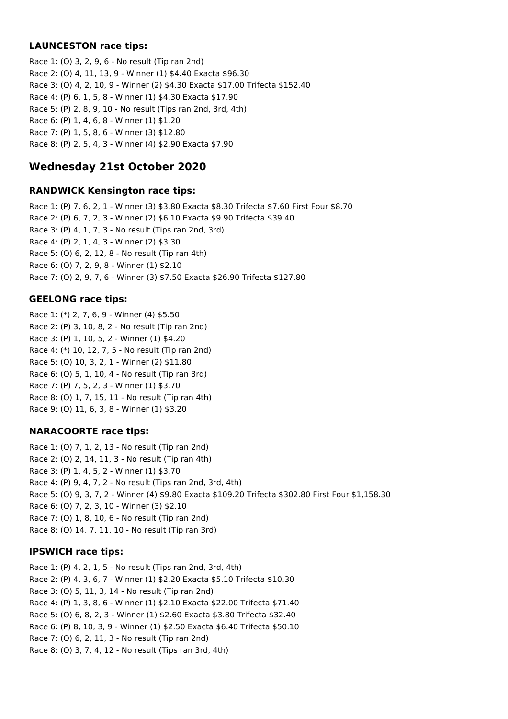### **LAUNCESTON race tips:**

Race 1: (O) 3, 2, 9, 6 - No result (Tip ran 2nd) Race 2: (O) 4, 11, 13, 9 - Winner (1) \$4.40 Exacta \$96.30 Race 3: (O) 4, 2, 10, 9 - Winner (2) \$4.30 Exacta \$17.00 Trifecta \$152.40 Race 4: (P) 6, 1, 5, 8 - Winner (1) \$4.30 Exacta \$17.90 Race 5: (P) 2, 8, 9, 10 - No result (Tips ran 2nd, 3rd, 4th) Race 6: (P) 1, 4, 6, 8 - Winner (1) \$1.20 Race 7: (P) 1, 5, 8, 6 - Winner (3) \$12.80 Race 8: (P) 2, 5, 4, 3 - Winner (4) \$2.90 Exacta \$7.90

# **Wednesday 21st October 2020**

### **RANDWICK Kensington race tips:**

Race 1: (P) 7, 6, 2, 1 - Winner (3) \$3.80 Exacta \$8.30 Trifecta \$7.60 First Four \$8.70 Race 2: (P) 6, 7, 2, 3 - Winner (2) \$6.10 Exacta \$9.90 Trifecta \$39.40 Race 3: (P) 4, 1, 7, 3 - No result (Tips ran 2nd, 3rd) Race 4: (P) 2, 1, 4, 3 - Winner (2) \$3.30 Race 5: (O) 6, 2, 12, 8 - No result (Tip ran 4th) Race 6: (O) 7, 2, 9, 8 - Winner (1) \$2.10 Race 7: (O) 2, 9, 7, 6 - Winner (3) \$7.50 Exacta \$26.90 Trifecta \$127.80

### **GEELONG race tips:**

Race 1: (\*) 2, 7, 6, 9 - Winner (4) \$5.50 Race 2: (P) 3, 10, 8, 2 - No result (Tip ran 2nd) Race 3: (P) 1, 10, 5, 2 - Winner (1) \$4.20 Race 4: (\*) 10, 12, 7, 5 - No result (Tip ran 2nd) Race 5: (O) 10, 3, 2, 1 - Winner (2) \$11.80 Race 6: (O) 5, 1, 10, 4 - No result (Tip ran 3rd) Race 7: (P) 7, 5, 2, 3 - Winner (1) \$3.70 Race 8: (O) 1, 7, 15, 11 - No result (Tip ran 4th) Race 9: (O) 11, 6, 3, 8 - Winner (1) \$3.20

### **NARACOORTE race tips:**

Race 1: (O) 7, 1, 2, 13 - No result (Tip ran 2nd) Race 2: (O) 2, 14, 11, 3 - No result (Tip ran 4th) Race 3: (P) 1, 4, 5, 2 - Winner (1) \$3.70 Race 4: (P) 9, 4, 7, 2 - No result (Tips ran 2nd, 3rd, 4th) Race 5: (O) 9, 3, 7, 2 - Winner (4) \$9.80 Exacta \$109.20 Trifecta \$302.80 First Four \$1,158.30 Race 6: (O) 7, 2, 3, 10 - Winner (3) \$2.10 Race 7: (O) 1, 8, 10, 6 - No result (Tip ran 2nd) Race 8: (O) 14, 7, 11, 10 - No result (Tip ran 3rd)

### **IPSWICH race tips:**

Race 1: (P) 4, 2, 1, 5 - No result (Tips ran 2nd, 3rd, 4th) Race 2: (P) 4, 3, 6, 7 - Winner (1) \$2.20 Exacta \$5.10 Trifecta \$10.30 Race 3: (O) 5, 11, 3, 14 - No result (Tip ran 2nd) Race 4: (P) 1, 3, 8, 6 - Winner (1) \$2.10 Exacta \$22.00 Trifecta \$71.40 Race 5: (O) 6, 8, 2, 3 - Winner (1) \$2.60 Exacta \$3.80 Trifecta \$32.40 Race 6: (P) 8, 10, 3, 9 - Winner (1) \$2.50 Exacta \$6.40 Trifecta \$50.10 Race 7: (O) 6, 2, 11, 3 - No result (Tip ran 2nd) Race 8: (O) 3, 7, 4, 12 - No result (Tips ran 3rd, 4th)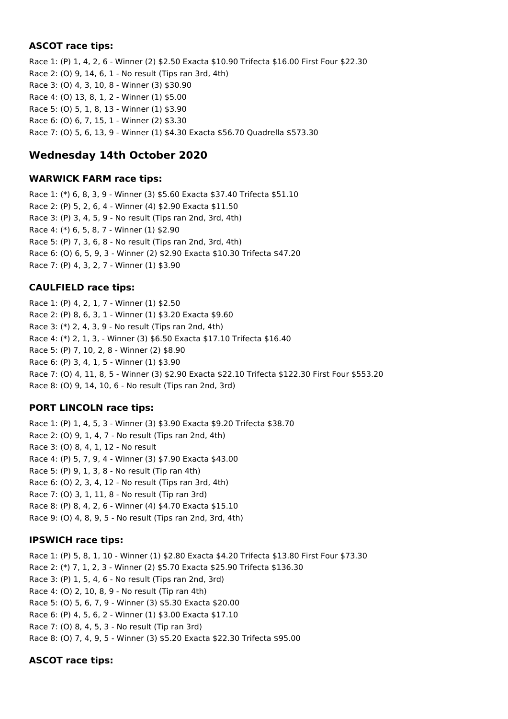### **ASCOT race tips:**

Race 1: (P) 1, 4, 2, 6 - Winner (2) \$2.50 Exacta \$10.90 Trifecta \$16.00 First Four \$22.30 Race 2: (O) 9, 14, 6, 1 - No result (Tips ran 3rd, 4th) Race 3: (O) 4, 3, 10, 8 - Winner (3) \$30.90 Race 4: (O) 13, 8, 1, 2 - Winner (1) \$5.00 Race 5: (O) 5, 1, 8, 13 - Winner (1) \$3.90 Race 6: (O) 6, 7, 15, 1 - Winner (2) \$3.30 Race 7: (O) 5, 6, 13, 9 - Winner (1) \$4.30 Exacta \$56.70 Quadrella \$573.30

# **Wednesday 14th October 2020**

#### **WARWICK FARM race tips:**

Race 1: (\*) 6, 8, 3, 9 - Winner (3) \$5.60 Exacta \$37.40 Trifecta \$51.10 Race 2: (P) 5, 2, 6, 4 - Winner (4) \$2.90 Exacta \$11.50 Race 3: (P) 3, 4, 5, 9 - No result (Tips ran 2nd, 3rd, 4th) Race 4: (\*) 6, 5, 8, 7 - Winner (1) \$2.90 Race 5: (P) 7, 3, 6, 8 - No result (Tips ran 2nd, 3rd, 4th) Race 6: (O) 6, 5, 9, 3 - Winner (2) \$2.90 Exacta \$10.30 Trifecta \$47.20 Race 7: (P) 4, 3, 2, 7 - Winner (1) \$3.90

### **CAULFIELD race tips:**

Race 1: (P) 4, 2, 1, 7 - Winner (1) \$2.50 Race 2: (P) 8, 6, 3, 1 - Winner (1) \$3.20 Exacta \$9.60 Race 3: (\*) 2, 4, 3, 9 - No result (Tips ran 2nd, 4th) Race 4: (\*) 2, 1, 3, - Winner (3) \$6.50 Exacta \$17.10 Trifecta \$16.40 Race 5: (P) 7, 10, 2, 8 - Winner (2) \$8.90 Race 6: (P) 3, 4, 1, 5 - Winner (1) \$3.90 Race 7: (O) 4, 11, 8, 5 - Winner (3) \$2.90 Exacta \$22.10 Trifecta \$122.30 First Four \$553.20 Race 8: (O) 9, 14, 10, 6 - No result (Tips ran 2nd, 3rd)

# **PORT LINCOLN race tips:**

Race 1: (P) 1, 4, 5, 3 - Winner (3) \$3.90 Exacta \$9.20 Trifecta \$38.70 Race 2: (O) 9, 1, 4, 7 - No result (Tips ran 2nd, 4th) Race 3: (O) 8, 4, 1, 12 - No result Race 4: (P) 5, 7, 9, 4 - Winner (3) \$7.90 Exacta \$43.00 Race 5: (P) 9, 1, 3, 8 - No result (Tip ran 4th) Race 6: (O) 2, 3, 4, 12 - No result (Tips ran 3rd, 4th) Race 7: (O) 3, 1, 11, 8 - No result (Tip ran 3rd) Race 8: (P) 8, 4, 2, 6 - Winner (4) \$4.70 Exacta \$15.10 Race 9: (O) 4, 8, 9, 5 - No result (Tips ran 2nd, 3rd, 4th)

# **IPSWICH race tips:**

Race 1: (P) 5, 8, 1, 10 - Winner (1) \$2.80 Exacta \$4.20 Trifecta \$13.80 First Four \$73.30 Race 2: (\*) 7, 1, 2, 3 - Winner (2) \$5.70 Exacta \$25.90 Trifecta \$136.30 Race 3: (P) 1, 5, 4, 6 - No result (Tips ran 2nd, 3rd) Race 4: (O) 2, 10, 8, 9 - No result (Tip ran 4th) Race 5: (O) 5, 6, 7, 9 - Winner (3) \$5.30 Exacta \$20.00 Race 6: (P) 4, 5, 6, 2 - Winner (1) \$3.00 Exacta \$17.10 Race 7: (O) 8, 4, 5, 3 - No result (Tip ran 3rd) Race 8: (O) 7, 4, 9, 5 - Winner (3) \$5.20 Exacta \$22.30 Trifecta \$95.00

# **ASCOT race tips:**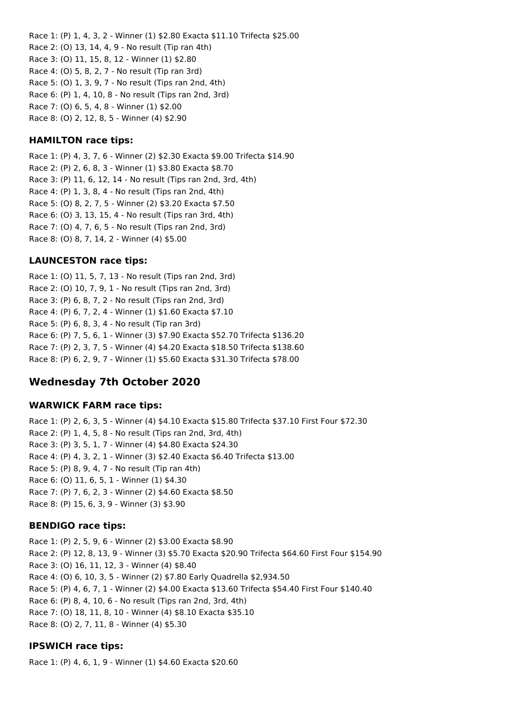Race 1: (P) 1, 4, 3, 2 - Winner (1) \$2.80 Exacta \$11.10 Trifecta \$25.00 Race 2: (O) 13, 14, 4, 9 - No result (Tip ran 4th) Race 3: (O) 11, 15, 8, 12 - Winner (1) \$2.80 Race 4: (O) 5, 8, 2, 7 - No result (Tip ran 3rd) Race 5: (O) 1, 3, 9, 7 - No result (Tips ran 2nd, 4th) Race 6: (P) 1, 4, 10, 8 - No result (Tips ran 2nd, 3rd) Race 7: (O) 6, 5, 4, 8 - Winner (1) \$2.00 Race 8: (O) 2, 12, 8, 5 - Winner (4) \$2.90

#### **HAMILTON race tips:**

Race 1: (P) 4, 3, 7, 6 - Winner (2) \$2.30 Exacta \$9.00 Trifecta \$14.90 Race 2: (P) 2, 6, 8, 3 - Winner (1) \$3.80 Exacta \$8.70 Race 3: (P) 11, 6, 12, 14 - No result (Tips ran 2nd, 3rd, 4th) Race 4: (P) 1, 3, 8, 4 - No result (Tips ran 2nd, 4th) Race 5: (O) 8, 2, 7, 5 - Winner (2) \$3.20 Exacta \$7.50 Race 6: (O) 3, 13, 15, 4 - No result (Tips ran 3rd, 4th) Race 7: (O) 4, 7, 6, 5 - No result (Tips ran 2nd, 3rd) Race 8: (O) 8, 7, 14, 2 - Winner (4) \$5.00

### **LAUNCESTON race tips:**

Race 1: (O) 11, 5, 7, 13 - No result (Tips ran 2nd, 3rd) Race 2: (O) 10, 7, 9, 1 - No result (Tips ran 2nd, 3rd) Race 3: (P) 6, 8, 7, 2 - No result (Tips ran 2nd, 3rd) Race 4: (P) 6, 7, 2, 4 - Winner (1) \$1.60 Exacta \$7.10 Race 5: (P) 6, 8, 3, 4 - No result (Tip ran 3rd) Race 6: (P) 7, 5, 6, 1 - Winner (3) \$7.90 Exacta \$52.70 Trifecta \$136.20 Race 7: (P) 2, 3, 7, 5 - Winner (4) \$4.20 Exacta \$18.50 Trifecta \$138.60 Race 8: (P) 6, 2, 9, 7 - Winner (1) \$5.60 Exacta \$31.30 Trifecta \$78.00

# **Wednesday 7th October 2020**

### **WARWICK FARM race tips:**

Race 1: (P) 2, 6, 3, 5 - Winner (4) \$4.10 Exacta \$15.80 Trifecta \$37.10 First Four \$72.30 Race 2: (P) 1, 4, 5, 8 - No result (Tips ran 2nd, 3rd, 4th) Race 3: (P) 3, 5, 1, 7 - Winner (4) \$4.80 Exacta \$24.30 Race 4: (P) 4, 3, 2, 1 - Winner (3) \$2.40 Exacta \$6.40 Trifecta \$13.00 Race 5: (P) 8, 9, 4, 7 - No result (Tip ran 4th) Race 6: (O) 11, 6, 5, 1 - Winner (1) \$4.30 Race 7: (P) 7, 6, 2, 3 - Winner (2) \$4.60 Exacta \$8.50 Race 8: (P) 15, 6, 3, 9 - Winner (3) \$3.90

### **BENDIGO race tips:**

Race 1: (P) 2, 5, 9, 6 - Winner (2) \$3.00 Exacta \$8.90 Race 2: (P) 12, 8, 13, 9 - Winner (3) \$5.70 Exacta \$20.90 Trifecta \$64.60 First Four \$154.90 Race 3: (O) 16, 11, 12, 3 - Winner (4) \$8.40 Race 4: (O) 6, 10, 3, 5 - Winner (2) \$7.80 Early Quadrella \$2,934.50 Race 5: (P) 4, 6, 7, 1 - Winner (2) \$4.00 Exacta \$13.60 Trifecta \$54.40 First Four \$140.40 Race 6: (P) 8, 4, 10, 6 - No result (Tips ran 2nd, 3rd, 4th) Race 7: (O) 18, 11, 8, 10 - Winner (4) \$8.10 Exacta \$35.10 Race 8: (O) 2, 7, 11, 8 - Winner (4) \$5.30

### **IPSWICH race tips:**

Race 1: (P) 4, 6, 1, 9 - Winner (1) \$4.60 Exacta \$20.60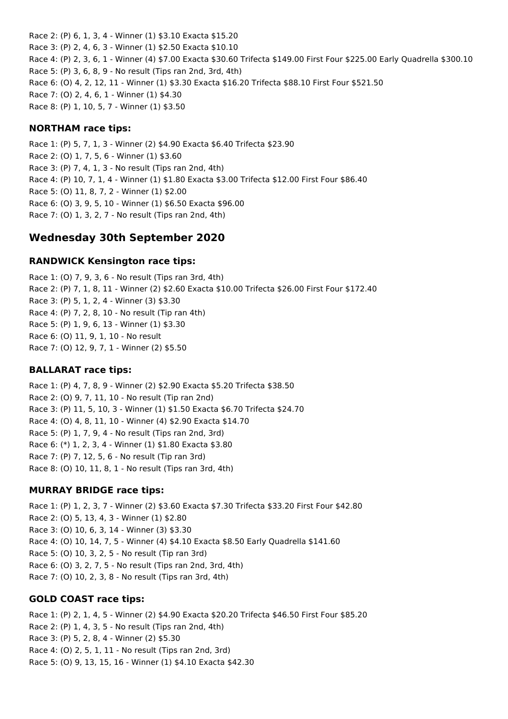Race 2: (P) 6, 1, 3, 4 - Winner (1) \$3.10 Exacta \$15.20 Race 3: (P) 2, 4, 6, 3 - Winner (1) \$2.50 Exacta \$10.10 Race 4: (P) 2, 3, 6, 1 - Winner (4) \$7.00 Exacta \$30.60 Trifecta \$149.00 First Four \$225.00 Early Quadrella \$300.10 Race 5: (P) 3, 6, 8, 9 - No result (Tips ran 2nd, 3rd, 4th) Race 6: (O) 4, 2, 12, 11 - Winner (1) \$3.30 Exacta \$16.20 Trifecta \$88.10 First Four \$521.50 Race 7: (O) 2, 4, 6, 1 - Winner (1) \$4.30 Race 8: (P) 1, 10, 5, 7 - Winner (1) \$3.50

#### **NORTHAM race tips:**

Race 1: (P) 5, 7, 1, 3 - Winner (2) \$4.90 Exacta \$6.40 Trifecta \$23.90 Race 2: (O) 1, 7, 5, 6 - Winner (1) \$3.60 Race 3: (P) 7, 4, 1, 3 - No result (Tips ran 2nd, 4th) Race 4: (P) 10, 7, 1, 4 - Winner (1) \$1.80 Exacta \$3.00 Trifecta \$12.00 First Four \$86.40 Race 5: (O) 11, 8, 7, 2 - Winner (1) \$2.00 Race 6: (O) 3, 9, 5, 10 - Winner (1) \$6.50 Exacta \$96.00 Race 7: (O) 1, 3, 2, 7 - No result (Tips ran 2nd, 4th)

# **Wednesday 30th September 2020**

#### **RANDWICK Kensington race tips:**

Race 1: (O) 7, 9, 3, 6 - No result (Tips ran 3rd, 4th) Race 2: (P) 7, 1, 8, 11 - Winner (2) \$2.60 Exacta \$10.00 Trifecta \$26.00 First Four \$172.40 Race 3: (P) 5, 1, 2, 4 - Winner (3) \$3.30 Race 4: (P) 7, 2, 8, 10 - No result (Tip ran 4th) Race 5: (P) 1, 9, 6, 13 - Winner (1) \$3.30 Race 6: (O) 11, 9, 1, 10 - No result Race 7: (O) 12, 9, 7, 1 - Winner (2) \$5.50

### **BALLARAT race tips:**

Race 1: (P) 4, 7, 8, 9 - Winner (2) \$2.90 Exacta \$5.20 Trifecta \$38.50 Race 2: (O) 9, 7, 11, 10 - No result (Tip ran 2nd) Race 3: (P) 11, 5, 10, 3 - Winner (1) \$1.50 Exacta \$6.70 Trifecta \$24.70 Race 4: (O) 4, 8, 11, 10 - Winner (4) \$2.90 Exacta \$14.70 Race 5: (P) 1, 7, 9, 4 - No result (Tips ran 2nd, 3rd) Race 6: (\*) 1, 2, 3, 4 - Winner (1) \$1.80 Exacta \$3.80 Race 7: (P) 7, 12, 5, 6 - No result (Tip ran 3rd) Race 8: (O) 10, 11, 8, 1 - No result (Tips ran 3rd, 4th)

### **MURRAY BRIDGE race tips:**

Race 1: (P) 1, 2, 3, 7 - Winner (2) \$3.60 Exacta \$7.30 Trifecta \$33.20 First Four \$42.80 Race 2: (O) 5, 13, 4, 3 - Winner (1) \$2.80 Race 3: (O) 10, 6, 3, 14 - Winner (3) \$3.30 Race 4: (O) 10, 14, 7, 5 - Winner (4) \$4.10 Exacta \$8.50 Early Quadrella \$141.60 Race 5: (O) 10, 3, 2, 5 - No result (Tip ran 3rd) Race 6: (O) 3, 2, 7, 5 - No result (Tips ran 2nd, 3rd, 4th) Race 7: (O) 10, 2, 3, 8 - No result (Tips ran 3rd, 4th)

### **GOLD COAST race tips:**

Race 1: (P) 2, 1, 4, 5 - Winner (2) \$4.90 Exacta \$20.20 Trifecta \$46.50 First Four \$85.20 Race 2: (P) 1, 4, 3, 5 - No result (Tips ran 2nd, 4th) Race 3: (P) 5, 2, 8, 4 - Winner (2) \$5.30 Race 4: (O) 2, 5, 1, 11 - No result (Tips ran 2nd, 3rd) Race 5: (O) 9, 13, 15, 16 - Winner (1) \$4.10 Exacta \$42.30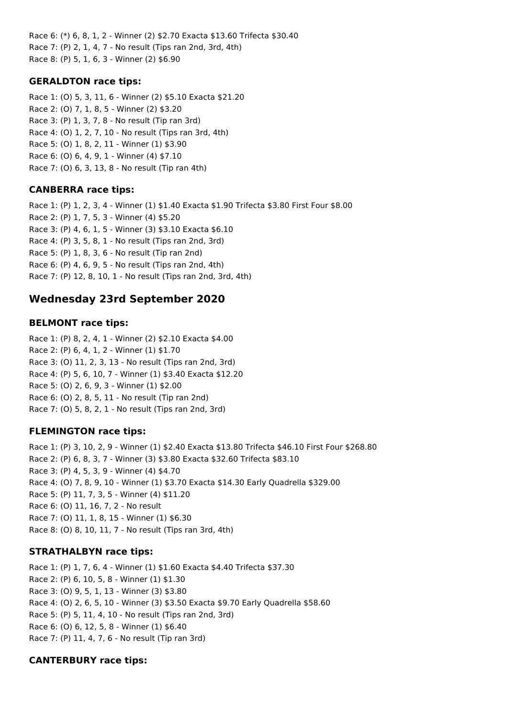Race 6: (\*) 6, 8, 1, 2 - Winner (2) \$2.70 Exacta \$13.60 Trifecta \$30.40 Race 7: (P) 2, 1, 4, 7 - No result (Tips ran 2nd, 3rd, 4th) Race 8: (P) 5, 1, 6, 3 - Winner (2) \$6.90

### **GERALDTON race tips:**

Race 1: (O) 5, 3, 11, 6 - Winner (2) \$5.10 Exacta \$21.20 Race 2: (O) 7, 1, 8, 5 - Winner (2) \$3.20 Race 3: (P) 1, 3, 7, 8 - No result (Tip ran 3rd) Race 4: (O) 1, 2, 7, 10 - No result (Tips ran 3rd, 4th) Race 5: (O) 1, 8, 2, 11 - Winner (1) \$3.90 Race 6: (O) 6, 4, 9, 1 - Winner (4) \$7.10 Race 7: (O) 6, 3, 13, 8 - No result (Tip ran 4th)

# **CANBERRA race tips:**

Race 1: (P) 1, 2, 3, 4 - Winner (1) \$1.40 Exacta \$1.90 Trifecta \$3.80 First Four \$8.00 Race 2: (P) 1, 7, 5, 3 - Winner (4) \$5.20 Race 3: (P) 4, 6, 1, 5 - Winner (3) \$3.10 Exacta \$6.10 Race 4: (P) 3, 5, 8, 1 - No result (Tips ran 2nd, 3rd) Race 5: (P) 1, 8, 3, 6 - No result (Tip ran 2nd) Race 6: (P) 4, 6, 9, 5 - No result (Tips ran 2nd, 4th) Race 7: (P) 12, 8, 10, 1 - No result (Tips ran 2nd, 3rd, 4th)

# **Wednesday 23rd September 2020**

# **BELMONT race tips:**

Race 1: (P) 8, 2, 4, 1 - Winner (2) \$2.10 Exacta \$4.00 Race 2: (P) 6, 4, 1, 2 - Winner (1) \$1.70 Race 3: (O) 11, 2, 3, 13 - No result (Tips ran 2nd, 3rd) Race 4: (P) 5, 6, 10, 7 - Winner (1) \$3.40 Exacta \$12.20 Race 5: (O) 2, 6, 9, 3 - Winner (1) \$2.00 Race 6: (O) 2, 8, 5, 11 - No result (Tip ran 2nd) Race 7: (O) 5, 8, 2, 1 - No result (Tips ran 2nd, 3rd)

# **FLEMINGTON race tips:**

Race 1: (P) 3, 10, 2, 9 - Winner (1) \$2.40 Exacta \$13.80 Trifecta \$46.10 First Four \$268.80 Race 2: (P) 6, 8, 3, 7 - Winner (3) \$3.80 Exacta \$32.60 Trifecta \$83.10 Race 3: (P) 4, 5, 3, 9 - Winner (4) \$4.70 Race 4: (O) 7, 8, 9, 10 - Winner (1) \$3.70 Exacta \$14.30 Early Quadrella \$329.00 Race 5: (P) 11, 7, 3, 5 - Winner (4) \$11.20 Race 6: (O) 11, 16, 7, 2 - No result Race 7: (O) 11, 1, 8, 15 - Winner (1) \$6.30 Race 8: (O) 8, 10, 11, 7 - No result (Tips ran 3rd, 4th)

# **STRATHALBYN race tips:**

Race 1: (P) 1, 7, 6, 4 - Winner (1) \$1.60 Exacta \$4.40 Trifecta \$37.30 Race 2: (P) 6, 10, 5, 8 - Winner (1) \$1.30 Race 3: (O) 9, 5, 1, 13 - Winner (3) \$3.80 Race 4: (O) 2, 6, 5, 10 - Winner (3) \$3.50 Exacta \$9.70 Early Quadrella \$58.60 Race 5: (P) 5, 11, 4, 10 - No result (Tips ran 2nd, 3rd) Race 6: (O) 6, 12, 5, 8 - Winner (1) \$6.40 Race 7: (P) 11, 4, 7, 6 - No result (Tip ran 3rd)

# **CANTERBURY race tips:**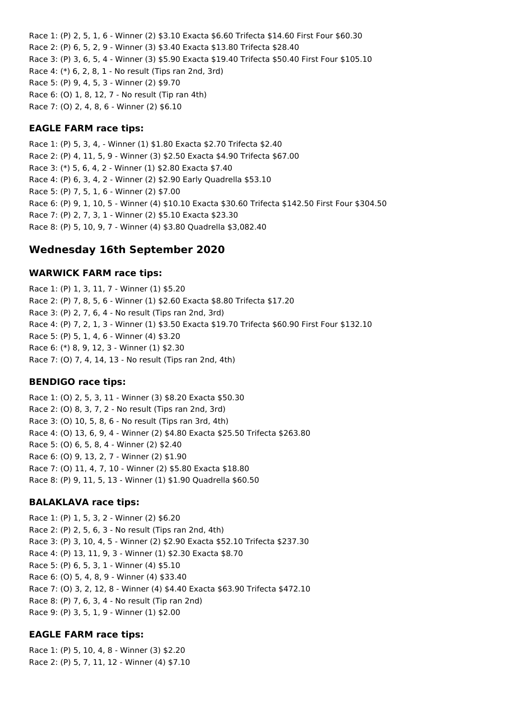Race 1: (P) 2, 5, 1, 6 - Winner (2) \$3.10 Exacta \$6.60 Trifecta \$14.60 First Four \$60.30 Race 2: (P) 6, 5, 2, 9 - Winner (3) \$3.40 Exacta \$13.80 Trifecta \$28.40 Race 3: (P) 3, 6, 5, 4 - Winner (3) \$5.90 Exacta \$19.40 Trifecta \$50.40 First Four \$105.10 Race 4: (\*) 6, 2, 8, 1 - No result (Tips ran 2nd, 3rd) Race 5: (P) 9, 4, 5, 3 - Winner (2) \$9.70 Race 6: (O) 1, 8, 12, 7 - No result (Tip ran 4th) Race 7: (O) 2, 4, 8, 6 - Winner (2) \$6.10

#### **EAGLE FARM race tips:**

Race 1: (P) 5, 3, 4, - Winner (1) \$1.80 Exacta \$2.70 Trifecta \$2.40 Race 2: (P) 4, 11, 5, 9 - Winner (3) \$2.50 Exacta \$4.90 Trifecta \$67.00 Race 3: (\*) 5, 6, 4, 2 - Winner (1) \$2.80 Exacta \$7.40 Race 4: (P) 6, 3, 4, 2 - Winner (2) \$2.90 Early Quadrella \$53.10 Race 5: (P) 7, 5, 1, 6 - Winner (2) \$7.00 Race 6: (P) 9, 1, 10, 5 - Winner (4) \$10.10 Exacta \$30.60 Trifecta \$142.50 First Four \$304.50 Race 7: (P) 2, 7, 3, 1 - Winner (2) \$5.10 Exacta \$23.30 Race 8: (P) 5, 10, 9, 7 - Winner (4) \$3.80 Quadrella \$3,082.40

# **Wednesday 16th September 2020**

#### **WARWICK FARM race tips:**

Race 1: (P) 1, 3, 11, 7 - Winner (1) \$5.20 Race 2: (P) 7, 8, 5, 6 - Winner (1) \$2.60 Exacta \$8.80 Trifecta \$17.20 Race 3: (P) 2, 7, 6, 4 - No result (Tips ran 2nd, 3rd) Race 4: (P) 7, 2, 1, 3 - Winner (1) \$3.50 Exacta \$19.70 Trifecta \$60.90 First Four \$132.10 Race 5: (P) 5, 1, 4, 6 - Winner (4) \$3.20 Race 6: (\*) 8, 9, 12, 3 - Winner (1) \$2.30 Race 7: (O) 7, 4, 14, 13 - No result (Tips ran 2nd, 4th)

#### **BENDIGO race tips:**

Race 1: (O) 2, 5, 3, 11 - Winner (3) \$8.20 Exacta \$50.30 Race 2: (O) 8, 3, 7, 2 - No result (Tips ran 2nd, 3rd) Race 3: (O) 10, 5, 8, 6 - No result (Tips ran 3rd, 4th) Race 4: (O) 13, 6, 9, 4 - Winner (2) \$4.80 Exacta \$25.50 Trifecta \$263.80 Race 5: (O) 6, 5, 8, 4 - Winner (2) \$2.40 Race 6: (O) 9, 13, 2, 7 - Winner (2) \$1.90 Race 7: (O) 11, 4, 7, 10 - Winner (2) \$5.80 Exacta \$18.80 Race 8: (P) 9, 11, 5, 13 - Winner (1) \$1.90 Quadrella \$60.50

#### **BALAKLAVA race tips:**

Race 1: (P) 1, 5, 3, 2 - Winner (2) \$6.20 Race 2: (P) 2, 5, 6, 3 - No result (Tips ran 2nd, 4th) Race 3: (P) 3, 10, 4, 5 - Winner (2) \$2.90 Exacta \$52.10 Trifecta \$237.30 Race 4: (P) 13, 11, 9, 3 - Winner (1) \$2.30 Exacta \$8.70 Race 5: (P) 6, 5, 3, 1 - Winner (4) \$5.10 Race 6: (O) 5, 4, 8, 9 - Winner (4) \$33.40 Race 7: (O) 3, 2, 12, 8 - Winner (4) \$4.40 Exacta \$63.90 Trifecta \$472.10 Race 8: (P) 7, 6, 3, 4 - No result (Tip ran 2nd) Race 9: (P) 3, 5, 1, 9 - Winner (1) \$2.00

#### **EAGLE FARM race tips:**

Race 1: (P) 5, 10, 4, 8 - Winner (3) \$2.20 Race 2: (P) 5, 7, 11, 12 - Winner (4) \$7.10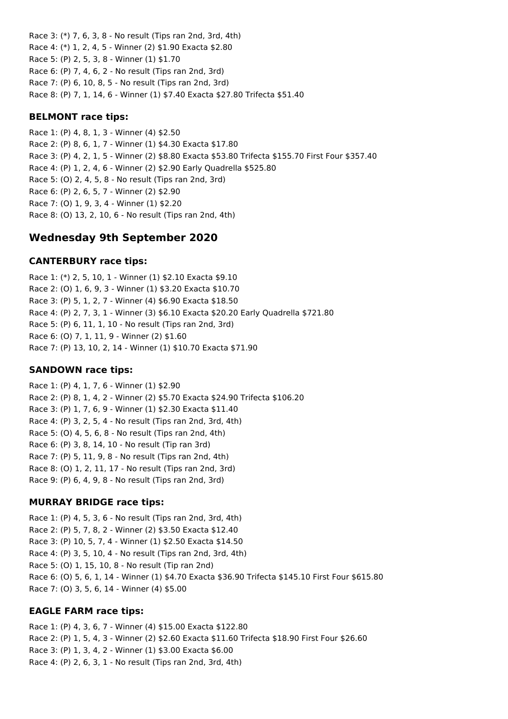Race 3: (\*) 7, 6, 3, 8 - No result (Tips ran 2nd, 3rd, 4th) Race 4: (\*) 1, 2, 4, 5 - Winner (2) \$1.90 Exacta \$2.80 Race 5: (P) 2, 5, 3, 8 - Winner (1) \$1.70 Race 6: (P) 7, 4, 6, 2 - No result (Tips ran 2nd, 3rd) Race 7: (P) 6, 10, 8, 5 - No result (Tips ran 2nd, 3rd) Race 8: (P) 7, 1, 14, 6 - Winner (1) \$7.40 Exacta \$27.80 Trifecta \$51.40

#### **BELMONT race tips:**

Race 1: (P) 4, 8, 1, 3 - Winner (4) \$2.50 Race 2: (P) 8, 6, 1, 7 - Winner (1) \$4.30 Exacta \$17.80 Race 3: (P) 4, 2, 1, 5 - Winner (2) \$8.80 Exacta \$53.80 Trifecta \$155.70 First Four \$357.40 Race 4: (P) 1, 2, 4, 6 - Winner (2) \$2.90 Early Quadrella \$525.80 Race 5: (O) 2, 4, 5, 8 - No result (Tips ran 2nd, 3rd) Race 6: (P) 2, 6, 5, 7 - Winner (2) \$2.90 Race 7: (O) 1, 9, 3, 4 - Winner (1) \$2.20 Race 8: (O) 13, 2, 10, 6 - No result (Tips ran 2nd, 4th)

# **Wednesday 9th September 2020**

#### **CANTERBURY race tips:**

Race 1: (\*) 2, 5, 10, 1 - Winner (1) \$2.10 Exacta \$9.10 Race 2: (O) 1, 6, 9, 3 - Winner (1) \$3.20 Exacta \$10.70 Race 3: (P) 5, 1, 2, 7 - Winner (4) \$6.90 Exacta \$18.50 Race 4: (P) 2, 7, 3, 1 - Winner (3) \$6.10 Exacta \$20.20 Early Quadrella \$721.80 Race 5: (P) 6, 11, 1, 10 - No result (Tips ran 2nd, 3rd) Race 6: (O) 7, 1, 11, 9 - Winner (2) \$1.60 Race 7: (P) 13, 10, 2, 14 - Winner (1) \$10.70 Exacta \$71.90

#### **SANDOWN race tips:**

Race 1: (P) 4, 1, 7, 6 - Winner (1) \$2.90 Race 2: (P) 8, 1, 4, 2 - Winner (2) \$5.70 Exacta \$24.90 Trifecta \$106.20 Race 3: (P) 1, 7, 6, 9 - Winner (1) \$2.30 Exacta \$11.40 Race 4: (P) 3, 2, 5, 4 - No result (Tips ran 2nd, 3rd, 4th) Race 5: (O) 4, 5, 6, 8 - No result (Tips ran 2nd, 4th) Race 6: (P) 3, 8, 14, 10 - No result (Tip ran 3rd) Race 7: (P) 5, 11, 9, 8 - No result (Tips ran 2nd, 4th) Race 8: (O) 1, 2, 11, 17 - No result (Tips ran 2nd, 3rd) Race 9: (P) 6, 4, 9, 8 - No result (Tips ran 2nd, 3rd)

### **MURRAY BRIDGE race tips:**

Race 1: (P) 4, 5, 3, 6 - No result (Tips ran 2nd, 3rd, 4th) Race 2: (P) 5, 7, 8, 2 - Winner (2) \$3.50 Exacta \$12.40 Race 3: (P) 10, 5, 7, 4 - Winner (1) \$2.50 Exacta \$14.50 Race 4: (P) 3, 5, 10, 4 - No result (Tips ran 2nd, 3rd, 4th) Race 5: (O) 1, 15, 10, 8 - No result (Tip ran 2nd) Race 6: (O) 5, 6, 1, 14 - Winner (1) \$4.70 Exacta \$36.90 Trifecta \$145.10 First Four \$615.80 Race 7: (O) 3, 5, 6, 14 - Winner (4) \$5.00

### **EAGLE FARM race tips:**

Race 1: (P) 4, 3, 6, 7 - Winner (4) \$15.00 Exacta \$122.80 Race 2: (P) 1, 5, 4, 3 - Winner (2) \$2.60 Exacta \$11.60 Trifecta \$18.90 First Four \$26.60 Race 3: (P) 1, 3, 4, 2 - Winner (1) \$3.00 Exacta \$6.00 Race 4: (P) 2, 6, 3, 1 - No result (Tips ran 2nd, 3rd, 4th)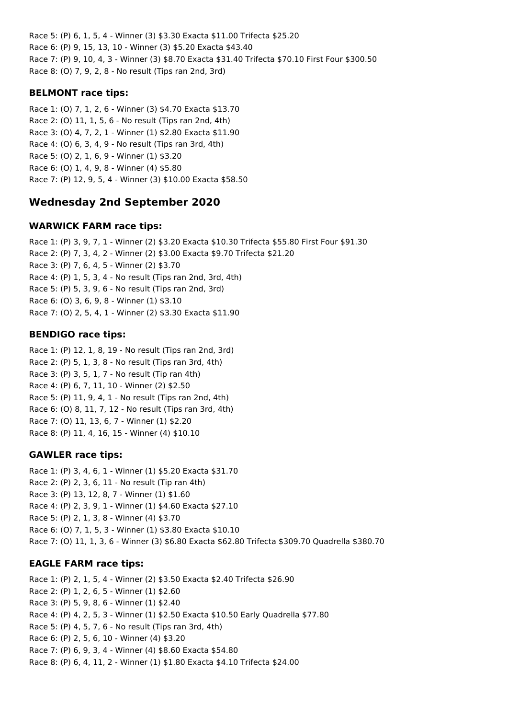Race 5: (P) 6, 1, 5, 4 - Winner (3) \$3.30 Exacta \$11.00 Trifecta \$25.20 Race 6: (P) 9, 15, 13, 10 - Winner (3) \$5.20 Exacta \$43.40 Race 7: (P) 9, 10, 4, 3 - Winner (3) \$8.70 Exacta \$31.40 Trifecta \$70.10 First Four \$300.50 Race 8: (O) 7, 9, 2, 8 - No result (Tips ran 2nd, 3rd)

### **BELMONT race tips:**

Race 1: (O) 7, 1, 2, 6 - Winner (3) \$4.70 Exacta \$13.70 Race 2: (O) 11, 1, 5, 6 - No result (Tips ran 2nd, 4th) Race 3: (O) 4, 7, 2, 1 - Winner (1) \$2.80 Exacta \$11.90 Race 4: (O) 6, 3, 4, 9 - No result (Tips ran 3rd, 4th) Race 5: (O) 2, 1, 6, 9 - Winner (1) \$3.20 Race 6: (O) 1, 4, 9, 8 - Winner (4) \$5.80 Race 7: (P) 12, 9, 5, 4 - Winner (3) \$10.00 Exacta \$58.50

# **Wednesday 2nd September 2020**

### **WARWICK FARM race tips:**

Race 1: (P) 3, 9, 7, 1 - Winner (2) \$3.20 Exacta \$10.30 Trifecta \$55.80 First Four \$91.30 Race 2: (P) 7, 3, 4, 2 - Winner (2) \$3.00 Exacta \$9.70 Trifecta \$21.20 Race 3: (P) 7, 6, 4, 5 - Winner (2) \$3.70 Race 4: (P) 1, 5, 3, 4 - No result (Tips ran 2nd, 3rd, 4th) Race 5: (P) 5, 3, 9, 6 - No result (Tips ran 2nd, 3rd) Race 6: (O) 3, 6, 9, 8 - Winner (1) \$3.10 Race 7: (O) 2, 5, 4, 1 - Winner (2) \$3.30 Exacta \$11.90

# **BENDIGO race tips:**

Race 1: (P) 12, 1, 8, 19 - No result (Tips ran 2nd, 3rd) Race 2: (P) 5, 1, 3, 8 - No result (Tips ran 3rd, 4th) Race 3: (P) 3, 5, 1, 7 - No result (Tip ran 4th) Race 4: (P) 6, 7, 11, 10 - Winner (2) \$2.50 Race 5: (P) 11, 9, 4, 1 - No result (Tips ran 2nd, 4th) Race 6: (O) 8, 11, 7, 12 - No result (Tips ran 3rd, 4th) Race 7: (O) 11, 13, 6, 7 - Winner (1) \$2.20 Race 8: (P) 11, 4, 16, 15 - Winner (4) \$10.10

# **GAWLER race tips:**

Race 1: (P) 3, 4, 6, 1 - Winner (1) \$5.20 Exacta \$31.70 Race 2: (P) 2, 3, 6, 11 - No result (Tip ran 4th) Race 3: (P) 13, 12, 8, 7 - Winner (1) \$1.60 Race 4: (P) 2, 3, 9, 1 - Winner (1) \$4.60 Exacta \$27.10 Race 5: (P) 2, 1, 3, 8 - Winner (4) \$3.70 Race 6: (O) 7, 1, 5, 3 - Winner (1) \$3.80 Exacta \$10.10 Race 7: (O) 11, 1, 3, 6 - Winner (3) \$6.80 Exacta \$62.80 Trifecta \$309.70 Quadrella \$380.70

# **EAGLE FARM race tips:**

Race 1: (P) 2, 1, 5, 4 - Winner (2) \$3.50 Exacta \$2.40 Trifecta \$26.90 Race 2: (P) 1, 2, 6, 5 - Winner (1) \$2.60 Race 3: (P) 5, 9, 8, 6 - Winner (1) \$2.40 Race 4: (P) 4, 2, 5, 3 - Winner (1) \$2.50 Exacta \$10.50 Early Quadrella \$77.80 Race 5: (P) 4, 5, 7, 6 - No result (Tips ran 3rd, 4th) Race 6: (P) 2, 5, 6, 10 - Winner (4) \$3.20 Race 7: (P) 6, 9, 3, 4 - Winner (4) \$8.60 Exacta \$54.80 Race 8: (P) 6, 4, 11, 2 - Winner (1) \$1.80 Exacta \$4.10 Trifecta \$24.00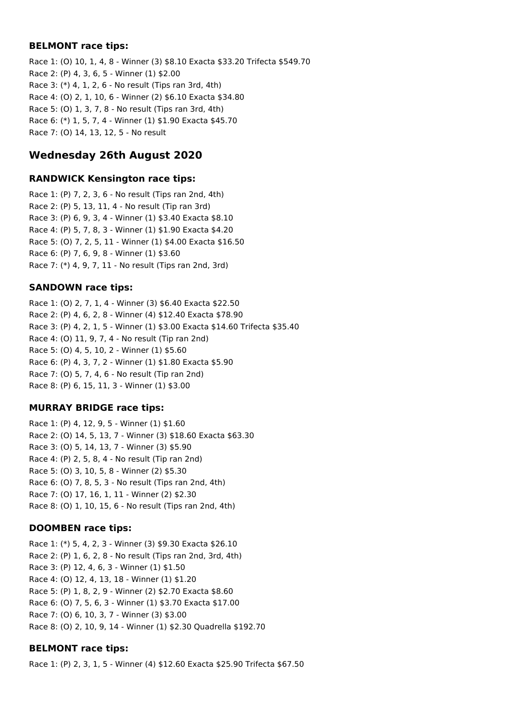#### **BELMONT race tips:**

Race 1: (O) 10, 1, 4, 8 - Winner (3) \$8.10 Exacta \$33.20 Trifecta \$549.70 Race 2: (P) 4, 3, 6, 5 - Winner (1) \$2.00 Race 3: (\*) 4, 1, 2, 6 - No result (Tips ran 3rd, 4th) Race 4: (O) 2, 1, 10, 6 - Winner (2) \$6.10 Exacta \$34.80 Race 5: (O) 1, 3, 7, 8 - No result (Tips ran 3rd, 4th) Race 6: (\*) 1, 5, 7, 4 - Winner (1) \$1.90 Exacta \$45.70 Race 7: (O) 14, 13, 12, 5 - No result

# **Wednesday 26th August 2020**

### **RANDWICK Kensington race tips:**

Race 1: (P) 7, 2, 3, 6 - No result (Tips ran 2nd, 4th) Race 2: (P) 5, 13, 11, 4 - No result (Tip ran 3rd) Race 3: (P) 6, 9, 3, 4 - Winner (1) \$3.40 Exacta \$8.10 Race 4: (P) 5, 7, 8, 3 - Winner (1) \$1.90 Exacta \$4.20 Race 5: (O) 7, 2, 5, 11 - Winner (1) \$4.00 Exacta \$16.50 Race 6: (P) 7, 6, 9, 8 - Winner (1) \$3.60 Race 7: (\*) 4, 9, 7, 11 - No result (Tips ran 2nd, 3rd)

### **SANDOWN race tips:**

Race 1: (O) 2, 7, 1, 4 - Winner (3) \$6.40 Exacta \$22.50 Race 2: (P) 4, 6, 2, 8 - Winner (4) \$12.40 Exacta \$78.90 Race 3: (P) 4, 2, 1, 5 - Winner (1) \$3.00 Exacta \$14.60 Trifecta \$35.40 Race 4: (O) 11, 9, 7, 4 - No result (Tip ran 2nd) Race 5: (O) 4, 5, 10, 2 - Winner (1) \$5.60 Race 6: (P) 4, 3, 7, 2 - Winner (1) \$1.80 Exacta \$5.90 Race 7: (O) 5, 7, 4, 6 - No result (Tip ran 2nd) Race 8: (P) 6, 15, 11, 3 - Winner (1) \$3.00

### **MURRAY BRIDGE race tips:**

Race 1: (P) 4, 12, 9, 5 - Winner (1) \$1.60 Race 2: (O) 14, 5, 13, 7 - Winner (3) \$18.60 Exacta \$63.30 Race 3: (O) 5, 14, 13, 7 - Winner (3) \$5.90 Race 4: (P) 2, 5, 8, 4 - No result (Tip ran 2nd) Race 5: (O) 3, 10, 5, 8 - Winner (2) \$5.30 Race 6: (O) 7, 8, 5, 3 - No result (Tips ran 2nd, 4th) Race 7: (O) 17, 16, 1, 11 - Winner (2) \$2.30 Race 8: (O) 1, 10, 15, 6 - No result (Tips ran 2nd, 4th)

# **DOOMBEN race tips:**

Race 1: (\*) 5, 4, 2, 3 - Winner (3) \$9.30 Exacta \$26.10 Race 2: (P) 1, 6, 2, 8 - No result (Tips ran 2nd, 3rd, 4th) Race 3: (P) 12, 4, 6, 3 - Winner (1) \$1.50 Race 4: (O) 12, 4, 13, 18 - Winner (1) \$1.20 Race 5: (P) 1, 8, 2, 9 - Winner (2) \$2.70 Exacta \$8.60 Race 6: (O) 7, 5, 6, 3 - Winner (1) \$3.70 Exacta \$17.00 Race 7: (O) 6, 10, 3, 7 - Winner (3) \$3.00 Race 8: (O) 2, 10, 9, 14 - Winner (1) \$2.30 Quadrella \$192.70

# **BELMONT race tips:**

Race 1: (P) 2, 3, 1, 5 - Winner (4) \$12.60 Exacta \$25.90 Trifecta \$67.50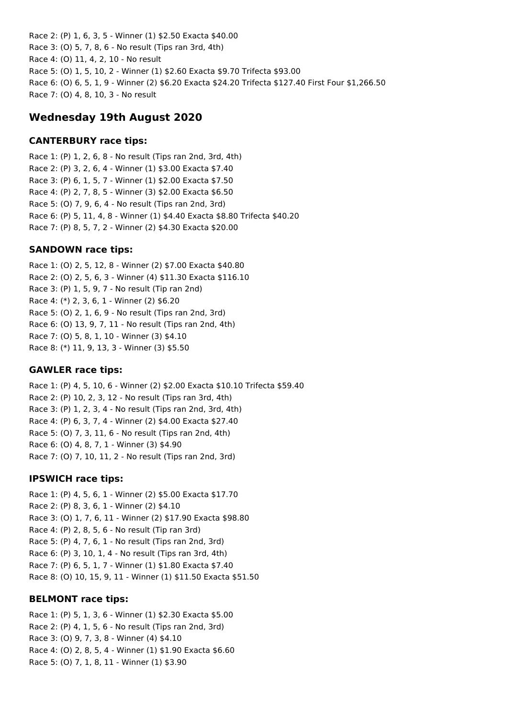Race 2: (P) 1, 6, 3, 5 - Winner (1) \$2.50 Exacta \$40.00 Race 3: (O) 5, 7, 8, 6 - No result (Tips ran 3rd, 4th) Race 4: (O) 11, 4, 2, 10 - No result Race 5: (O) 1, 5, 10, 2 - Winner (1) \$2.60 Exacta \$9.70 Trifecta \$93.00 Race 6: (O) 6, 5, 1, 9 - Winner (2) \$6.20 Exacta \$24.20 Trifecta \$127.40 First Four \$1,266.50 Race 7: (O) 4, 8, 10, 3 - No result

# **Wednesday 19th August 2020**

#### **CANTERBURY race tips:**

Race 1: (P) 1, 2, 6, 8 - No result (Tips ran 2nd, 3rd, 4th) Race 2: (P) 3, 2, 6, 4 - Winner (1) \$3.00 Exacta \$7.40 Race 3: (P) 6, 1, 5, 7 - Winner (1) \$2.00 Exacta \$7.50 Race 4: (P) 2, 7, 8, 5 - Winner (3) \$2.00 Exacta \$6.50 Race 5: (O) 7, 9, 6, 4 - No result (Tips ran 2nd, 3rd) Race 6: (P) 5, 11, 4, 8 - Winner (1) \$4.40 Exacta \$8.80 Trifecta \$40.20 Race 7: (P) 8, 5, 7, 2 - Winner (2) \$4.30 Exacta \$20.00

### **SANDOWN race tips:**

Race 1: (O) 2, 5, 12, 8 - Winner (2) \$7.00 Exacta \$40.80 Race 2: (O) 2, 5, 6, 3 - Winner (4) \$11.30 Exacta \$116.10 Race 3: (P) 1, 5, 9, 7 - No result (Tip ran 2nd) Race 4: (\*) 2, 3, 6, 1 - Winner (2) \$6.20 Race 5: (O) 2, 1, 6, 9 - No result (Tips ran 2nd, 3rd) Race 6: (O) 13, 9, 7, 11 - No result (Tips ran 2nd, 4th) Race 7: (O) 5, 8, 1, 10 - Winner (3) \$4.10 Race 8: (\*) 11, 9, 13, 3 - Winner (3) \$5.50

### **GAWLER race tips:**

Race 1: (P) 4, 5, 10, 6 - Winner (2) \$2.00 Exacta \$10.10 Trifecta \$59.40 Race 2: (P) 10, 2, 3, 12 - No result (Tips ran 3rd, 4th) Race 3: (P) 1, 2, 3, 4 - No result (Tips ran 2nd, 3rd, 4th) Race 4: (P) 6, 3, 7, 4 - Winner (2) \$4.00 Exacta \$27.40 Race 5: (O) 7, 3, 11, 6 - No result (Tips ran 2nd, 4th) Race 6: (O) 4, 8, 7, 1 - Winner (3) \$4.90 Race 7: (O) 7, 10, 11, 2 - No result (Tips ran 2nd, 3rd)

#### **IPSWICH race tips:**

Race 1: (P) 4, 5, 6, 1 - Winner (2) \$5.00 Exacta \$17.70 Race 2: (P) 8, 3, 6, 1 - Winner (2) \$4.10 Race 3: (O) 1, 7, 6, 11 - Winner (2) \$17.90 Exacta \$98.80 Race 4: (P) 2, 8, 5, 6 - No result (Tip ran 3rd) Race 5: (P) 4, 7, 6, 1 - No result (Tips ran 2nd, 3rd) Race 6: (P) 3, 10, 1, 4 - No result (Tips ran 3rd, 4th) Race 7: (P) 6, 5, 1, 7 - Winner (1) \$1.80 Exacta \$7.40 Race 8: (O) 10, 15, 9, 11 - Winner (1) \$11.50 Exacta \$51.50

### **BELMONT race tips:**

Race 1: (P) 5, 1, 3, 6 - Winner (1) \$2.30 Exacta \$5.00 Race 2: (P) 4, 1, 5, 6 - No result (Tips ran 2nd, 3rd) Race 3: (O) 9, 7, 3, 8 - Winner (4) \$4.10 Race 4: (O) 2, 8, 5, 4 - Winner (1) \$1.90 Exacta \$6.60 Race 5: (O) 7, 1, 8, 11 - Winner (1) \$3.90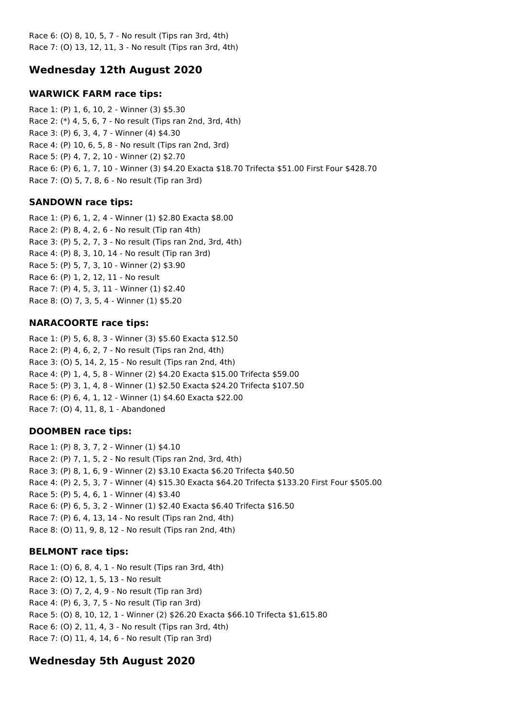Race 6: (O) 8, 10, 5, 7 - No result (Tips ran 3rd, 4th) Race 7: (O) 13, 12, 11, 3 - No result (Tips ran 3rd, 4th)

# **Wednesday 12th August 2020**

### **WARWICK FARM race tips:**

Race 1: (P) 1, 6, 10, 2 - Winner (3) \$5.30 Race 2: (\*) 4, 5, 6, 7 - No result (Tips ran 2nd, 3rd, 4th) Race 3: (P) 6, 3, 4, 7 - Winner (4) \$4.30 Race 4: (P) 10, 6, 5, 8 - No result (Tips ran 2nd, 3rd) Race 5: (P) 4, 7, 2, 10 - Winner (2) \$2.70 Race 6: (P) 6, 1, 7, 10 - Winner (3) \$4.20 Exacta \$18.70 Trifecta \$51.00 First Four \$428.70 Race 7: (O) 5, 7, 8, 6 - No result (Tip ran 3rd)

### **SANDOWN race tips:**

Race 1: (P) 6, 1, 2, 4 - Winner (1) \$2.80 Exacta \$8.00 Race 2: (P) 8, 4, 2, 6 - No result (Tip ran 4th) Race 3: (P) 5, 2, 7, 3 - No result (Tips ran 2nd, 3rd, 4th) Race 4: (P) 8, 3, 10, 14 - No result (Tip ran 3rd) Race 5: (P) 5, 7, 3, 10 - Winner (2) \$3.90 Race 6: (P) 1, 2, 12, 11 - No result Race 7: (P) 4, 5, 3, 11 - Winner (1) \$2.40 Race 8: (O) 7, 3, 5, 4 - Winner (1) \$5.20

### **NARACOORTE race tips:**

Race 1: (P) 5, 6, 8, 3 - Winner (3) \$5.60 Exacta \$12.50 Race 2: (P) 4, 6, 2, 7 - No result (Tips ran 2nd, 4th) Race 3: (O) 5, 14, 2, 15 - No result (Tips ran 2nd, 4th) Race 4: (P) 1, 4, 5, 8 - Winner (2) \$4.20 Exacta \$15.00 Trifecta \$59.00 Race 5: (P) 3, 1, 4, 8 - Winner (1) \$2.50 Exacta \$24.20 Trifecta \$107.50 Race 6: (P) 6, 4, 1, 12 - Winner (1) \$4.60 Exacta \$22.00 Race 7: (O) 4, 11, 8, 1 - Abandoned

# **DOOMBEN race tips:**

Race 1: (P) 8, 3, 7, 2 - Winner (1) \$4.10 Race 2: (P) 7, 1, 5, 2 - No result (Tips ran 2nd, 3rd, 4th) Race 3: (P) 8, 1, 6, 9 - Winner (2) \$3.10 Exacta \$6.20 Trifecta \$40.50 Race 4: (P) 2, 5, 3, 7 - Winner (4) \$15.30 Exacta \$64.20 Trifecta \$133.20 First Four \$505.00 Race 5: (P) 5, 4, 6, 1 - Winner (4) \$3.40 Race 6: (P) 6, 5, 3, 2 - Winner (1) \$2.40 Exacta \$6.40 Trifecta \$16.50 Race 7: (P) 6, 4, 13, 14 - No result (Tips ran 2nd, 4th) Race 8: (O) 11, 9, 8, 12 - No result (Tips ran 2nd, 4th)

# **BELMONT race tips:**

Race 1: (O) 6, 8, 4, 1 - No result (Tips ran 3rd, 4th) Race 2: (O) 12, 1, 5, 13 - No result Race 3: (O) 7, 2, 4, 9 - No result (Tip ran 3rd) Race 4: (P) 6, 3, 7, 5 - No result (Tip ran 3rd) Race 5: (O) 8, 10, 12, 1 - Winner (2) \$26.20 Exacta \$66.10 Trifecta \$1,615.80 Race 6: (O) 2, 11, 4, 3 - No result (Tips ran 3rd, 4th) Race 7: (O) 11, 4, 14, 6 - No result (Tip ran 3rd)

# **Wednesday 5th August 2020**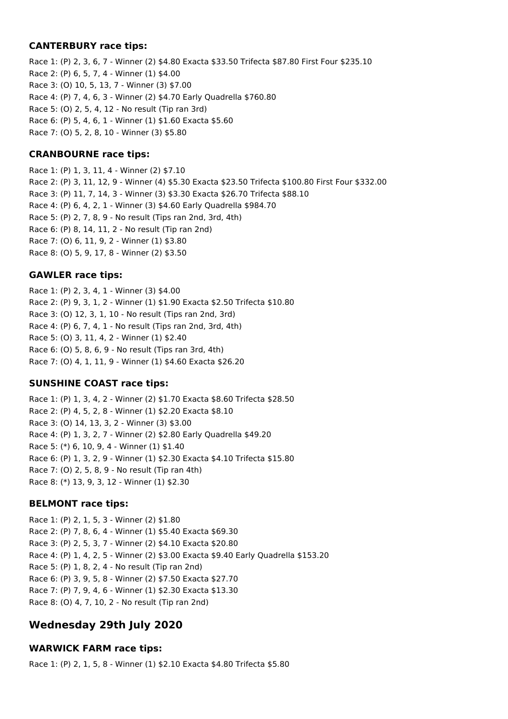#### **CANTERBURY race tips:**

Race 1: (P) 2, 3, 6, 7 - Winner (2) \$4.80 Exacta \$33.50 Trifecta \$87.80 First Four \$235.10 Race 2: (P) 6, 5, 7, 4 - Winner (1) \$4.00 Race 3: (O) 10, 5, 13, 7 - Winner (3) \$7.00 Race 4: (P) 7, 4, 6, 3 - Winner (2) \$4.70 Early Quadrella \$760.80 Race 5: (O) 2, 5, 4, 12 - No result (Tip ran 3rd) Race 6: (P) 5, 4, 6, 1 - Winner (1) \$1.60 Exacta \$5.60 Race 7: (O) 5, 2, 8, 10 - Winner (3) \$5.80

### **CRANBOURNE race tips:**

Race 1: (P) 1, 3, 11, 4 - Winner (2) \$7.10 Race 2: (P) 3, 11, 12, 9 - Winner (4) \$5.30 Exacta \$23.50 Trifecta \$100.80 First Four \$332.00 Race 3: (P) 11, 7, 14, 3 - Winner (3) \$3.30 Exacta \$26.70 Trifecta \$88.10 Race 4: (P) 6, 4, 2, 1 - Winner (3) \$4.60 Early Quadrella \$984.70 Race 5: (P) 2, 7, 8, 9 - No result (Tips ran 2nd, 3rd, 4th) Race 6: (P) 8, 14, 11, 2 - No result (Tip ran 2nd) Race 7: (O) 6, 11, 9, 2 - Winner (1) \$3.80 Race 8: (O) 5, 9, 17, 8 - Winner (2) \$3.50

#### **GAWLER race tips:**

Race 1: (P) 2, 3, 4, 1 - Winner (3) \$4.00 Race 2: (P) 9, 3, 1, 2 - Winner (1) \$1.90 Exacta \$2.50 Trifecta \$10.80 Race 3: (O) 12, 3, 1, 10 - No result (Tips ran 2nd, 3rd) Race 4: (P) 6, 7, 4, 1 - No result (Tips ran 2nd, 3rd, 4th) Race 5: (O) 3, 11, 4, 2 - Winner (1) \$2.40 Race 6: (O) 5, 8, 6, 9 - No result (Tips ran 3rd, 4th) Race 7: (O) 4, 1, 11, 9 - Winner (1) \$4.60 Exacta \$26.20

### **SUNSHINE COAST race tips:**

Race 1: (P) 1, 3, 4, 2 - Winner (2) \$1.70 Exacta \$8.60 Trifecta \$28.50 Race 2: (P) 4, 5, 2, 8 - Winner (1) \$2.20 Exacta \$8.10 Race 3: (O) 14, 13, 3, 2 - Winner (3) \$3.00 Race 4: (P) 1, 3, 2, 7 - Winner (2) \$2.80 Early Quadrella \$49.20 Race 5: (\*) 6, 10, 9, 4 - Winner (1) \$1.40 Race 6: (P) 1, 3, 2, 9 - Winner (1) \$2.30 Exacta \$4.10 Trifecta \$15.80 Race 7: (O) 2, 5, 8, 9 - No result (Tip ran 4th) Race 8: (\*) 13, 9, 3, 12 - Winner (1) \$2.30

#### **BELMONT race tips:**

Race 1: (P) 2, 1, 5, 3 - Winner (2) \$1.80 Race 2: (P) 7, 8, 6, 4 - Winner (1) \$5.40 Exacta \$69.30 Race 3: (P) 2, 5, 3, 7 - Winner (2) \$4.10 Exacta \$20.80 Race 4: (P) 1, 4, 2, 5 - Winner (2) \$3.00 Exacta \$9.40 Early Quadrella \$153.20 Race 5: (P) 1, 8, 2, 4 - No result (Tip ran 2nd) Race 6: (P) 3, 9, 5, 8 - Winner (2) \$7.50 Exacta \$27.70 Race 7: (P) 7, 9, 4, 6 - Winner (1) \$2.30 Exacta \$13.30 Race 8: (O) 4, 7, 10, 2 - No result (Tip ran 2nd)

# **Wednesday 29th July 2020**

### **WARWICK FARM race tips:**

Race 1: (P) 2, 1, 5, 8 - Winner (1) \$2.10 Exacta \$4.80 Trifecta \$5.80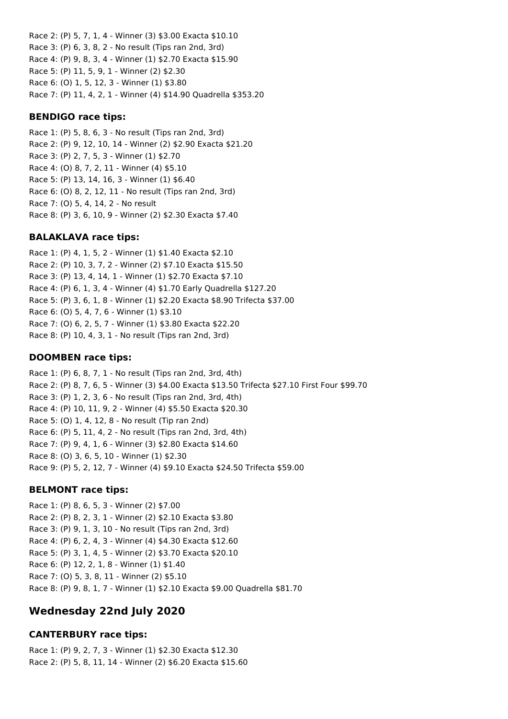Race 2: (P) 5, 7, 1, 4 - Winner (3) \$3.00 Exacta \$10.10 Race 3: (P) 6, 3, 8, 2 - No result (Tips ran 2nd, 3rd) Race 4: (P) 9, 8, 3, 4 - Winner (1) \$2.70 Exacta \$15.90 Race 5: (P) 11, 5, 9, 1 - Winner (2) \$2.30 Race 6: (O) 1, 5, 12, 3 - Winner (1) \$3.80 Race 7: (P) 11, 4, 2, 1 - Winner (4) \$14.90 Quadrella \$353.20

#### **BENDIGO race tips:**

Race 1: (P) 5, 8, 6, 3 - No result (Tips ran 2nd, 3rd) Race 2: (P) 9, 12, 10, 14 - Winner (2) \$2.90 Exacta \$21.20 Race 3: (P) 2, 7, 5, 3 - Winner (1) \$2.70 Race 4: (O) 8, 7, 2, 11 - Winner (4) \$5.10 Race 5: (P) 13, 14, 16, 3 - Winner (1) \$6.40 Race 6: (O) 8, 2, 12, 11 - No result (Tips ran 2nd, 3rd) Race 7: (O) 5, 4, 14, 2 - No result Race 8: (P) 3, 6, 10, 9 - Winner (2) \$2.30 Exacta \$7.40

### **BALAKLAVA race tips:**

Race 1: (P) 4, 1, 5, 2 - Winner (1) \$1.40 Exacta \$2.10 Race 2: (P) 10, 3, 7, 2 - Winner (2) \$7.10 Exacta \$15.50 Race 3: (P) 13, 4, 14, 1 - Winner (1) \$2.70 Exacta \$7.10 Race 4: (P) 6, 1, 3, 4 - Winner (4) \$1.70 Early Quadrella \$127.20 Race 5: (P) 3, 6, 1, 8 - Winner (1) \$2.20 Exacta \$8.90 Trifecta \$37.00 Race 6: (O) 5, 4, 7, 6 - Winner (1) \$3.10 Race 7: (O) 6, 2, 5, 7 - Winner (1) \$3.80 Exacta \$22.20 Race 8: (P) 10, 4, 3, 1 - No result (Tips ran 2nd, 3rd)

#### **DOOMBEN race tips:**

Race 1: (P) 6, 8, 7, 1 - No result (Tips ran 2nd, 3rd, 4th) Race 2: (P) 8, 7, 6, 5 - Winner (3) \$4.00 Exacta \$13.50 Trifecta \$27.10 First Four \$99.70 Race 3: (P) 1, 2, 3, 6 - No result (Tips ran 2nd, 3rd, 4th) Race 4: (P) 10, 11, 9, 2 - Winner (4) \$5.50 Exacta \$20.30 Race 5: (O) 1, 4, 12, 8 - No result (Tip ran 2nd) Race 6: (P) 5, 11, 4, 2 - No result (Tips ran 2nd, 3rd, 4th) Race 7: (P) 9, 4, 1, 6 - Winner (3) \$2.80 Exacta \$14.60 Race 8: (O) 3, 6, 5, 10 - Winner (1) \$2.30 Race 9: (P) 5, 2, 12, 7 - Winner (4) \$9.10 Exacta \$24.50 Trifecta \$59.00

#### **BELMONT race tips:**

Race 1: (P) 8, 6, 5, 3 - Winner (2) \$7.00 Race 2: (P) 8, 2, 3, 1 - Winner (2) \$2.10 Exacta \$3.80 Race 3: (P) 9, 1, 3, 10 - No result (Tips ran 2nd, 3rd) Race 4: (P) 6, 2, 4, 3 - Winner (4) \$4.30 Exacta \$12.60 Race 5: (P) 3, 1, 4, 5 - Winner (2) \$3.70 Exacta \$20.10 Race 6: (P) 12, 2, 1, 8 - Winner (1) \$1.40 Race 7: (O) 5, 3, 8, 11 - Winner (2) \$5.10 Race 8: (P) 9, 8, 1, 7 - Winner (1) \$2.10 Exacta \$9.00 Quadrella \$81.70

# **Wednesday 22nd July 2020**

### **CANTERBURY race tips:**

Race 1: (P) 9, 2, 7, 3 - Winner (1) \$2.30 Exacta \$12.30 Race 2: (P) 5, 8, 11, 14 - Winner (2) \$6.20 Exacta \$15.60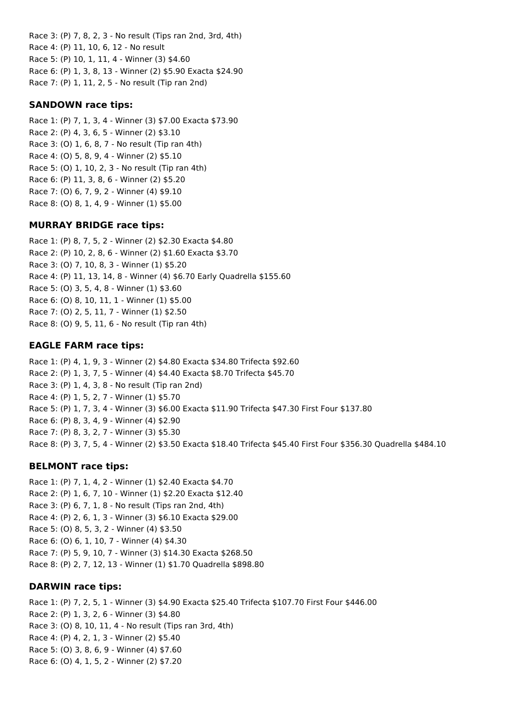Race 3: (P) 7, 8, 2, 3 - No result (Tips ran 2nd, 3rd, 4th) Race 4: (P) 11, 10, 6, 12 - No result Race 5: (P) 10, 1, 11, 4 - Winner (3) \$4.60 Race 6: (P) 1, 3, 8, 13 - Winner (2) \$5.90 Exacta \$24.90 Race 7: (P) 1, 11, 2, 5 - No result (Tip ran 2nd)

#### **SANDOWN race tips:**

Race 1: (P) 7, 1, 3, 4 - Winner (3) \$7.00 Exacta \$73.90 Race 2: (P) 4, 3, 6, 5 - Winner (2) \$3.10 Race 3: (O) 1, 6, 8, 7 - No result (Tip ran 4th) Race 4: (O) 5, 8, 9, 4 - Winner (2) \$5.10 Race 5: (O) 1, 10, 2, 3 - No result (Tip ran 4th) Race 6: (P) 11, 3, 8, 6 - Winner (2) \$5.20 Race 7: (O) 6, 7, 9, 2 - Winner (4) \$9.10 Race 8: (O) 8, 1, 4, 9 - Winner (1) \$5.00

#### **MURRAY BRIDGE race tips:**

Race 1: (P) 8, 7, 5, 2 - Winner (2) \$2.30 Exacta \$4.80 Race 2: (P) 10, 2, 8, 6 - Winner (2) \$1.60 Exacta \$3.70 Race 3: (O) 7, 10, 8, 3 - Winner (1) \$5.20 Race 4: (P) 11, 13, 14, 8 - Winner (4) \$6.70 Early Quadrella \$155.60 Race 5: (O) 3, 5, 4, 8 - Winner (1) \$3.60 Race 6: (O) 8, 10, 11, 1 - Winner (1) \$5.00 Race 7: (O) 2, 5, 11, 7 - Winner (1) \$2.50 Race 8: (O) 9, 5, 11, 6 - No result (Tip ran 4th)

### **EAGLE FARM race tips:**

Race 1: (P) 4, 1, 9, 3 - Winner (2) \$4.80 Exacta \$34.80 Trifecta \$92.60 Race 2: (P) 1, 3, 7, 5 - Winner (4) \$4.40 Exacta \$8.70 Trifecta \$45.70 Race 3: (P) 1, 4, 3, 8 - No result (Tip ran 2nd) Race 4: (P) 1, 5, 2, 7 - Winner (1) \$5.70 Race 5: (P) 1, 7, 3, 4 - Winner (3) \$6.00 Exacta \$11.90 Trifecta \$47.30 First Four \$137.80 Race 6: (P) 8, 3, 4, 9 - Winner (4) \$2.90 Race 7: (P) 8, 3, 2, 7 - Winner (3) \$5.30 Race 8: (P) 3, 7, 5, 4 - Winner (2) \$3.50 Exacta \$18.40 Trifecta \$45.40 First Four \$356.30 Quadrella \$484.10

#### **BELMONT race tips:**

Race 1: (P) 7, 1, 4, 2 - Winner (1) \$2.40 Exacta \$4.70 Race 2: (P) 1, 6, 7, 10 - Winner (1) \$2.20 Exacta \$12.40 Race 3: (P) 6, 7, 1, 8 - No result (Tips ran 2nd, 4th) Race 4: (P) 2, 6, 1, 3 - Winner (3) \$6.10 Exacta \$29.00 Race 5: (O) 8, 5, 3, 2 - Winner (4) \$3.50 Race 6: (O) 6, 1, 10, 7 - Winner (4) \$4.30 Race 7: (P) 5, 9, 10, 7 - Winner (3) \$14.30 Exacta \$268.50 Race 8: (P) 2, 7, 12, 13 - Winner (1) \$1.70 Quadrella \$898.80

#### **DARWIN race tips:**

Race 1: (P) 7, 2, 5, 1 - Winner (3) \$4.90 Exacta \$25.40 Trifecta \$107.70 First Four \$446.00 Race 2: (P) 1, 3, 2, 6 - Winner (3) \$4.80 Race 3: (O) 8, 10, 11, 4 - No result (Tips ran 3rd, 4th) Race 4: (P) 4, 2, 1, 3 - Winner (2) \$5.40 Race 5: (O) 3, 8, 6, 9 - Winner (4) \$7.60 Race 6: (O) 4, 1, 5, 2 - Winner (2) \$7.20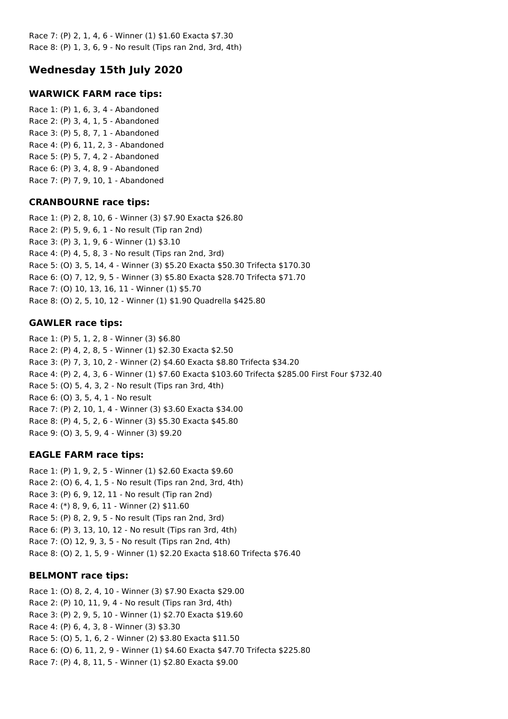Race 7: (P) 2, 1, 4, 6 - Winner (1) \$1.60 Exacta \$7.30 Race 8: (P) 1, 3, 6, 9 - No result (Tips ran 2nd, 3rd, 4th)

# **Wednesday 15th July 2020**

### **WARWICK FARM race tips:**

Race 1: (P) 1, 6, 3, 4 - Abandoned Race 2: (P) 3, 4, 1, 5 - Abandoned Race 3: (P) 5, 8, 7, 1 - Abandoned Race 4: (P) 6, 11, 2, 3 - Abandoned Race 5: (P) 5, 7, 4, 2 - Abandoned Race 6: (P) 3, 4, 8, 9 - Abandoned Race 7: (P) 7, 9, 10, 1 - Abandoned

#### **CRANBOURNE race tips:**

Race 1: (P) 2, 8, 10, 6 - Winner (3) \$7.90 Exacta \$26.80 Race 2: (P) 5, 9, 6, 1 - No result (Tip ran 2nd) Race 3: (P) 3, 1, 9, 6 - Winner (1) \$3.10 Race 4: (P) 4, 5, 8, 3 - No result (Tips ran 2nd, 3rd) Race 5: (O) 3, 5, 14, 4 - Winner (3) \$5.20 Exacta \$50.30 Trifecta \$170.30 Race 6: (O) 7, 12, 9, 5 - Winner (3) \$5.80 Exacta \$28.70 Trifecta \$71.70 Race 7: (O) 10, 13, 16, 11 - Winner (1) \$5.70 Race 8: (O) 2, 5, 10, 12 - Winner (1) \$1.90 Quadrella \$425.80

### **GAWLER race tips:**

Race 1: (P) 5, 1, 2, 8 - Winner (3) \$6.80 Race 2: (P) 4, 2, 8, 5 - Winner (1) \$2.30 Exacta \$2.50 Race 3: (P) 7, 3, 10, 2 - Winner (2) \$4.60 Exacta \$8.80 Trifecta \$34.20 Race 4: (P) 2, 4, 3, 6 - Winner (1) \$7.60 Exacta \$103.60 Trifecta \$285.00 First Four \$732.40 Race 5: (O) 5, 4, 3, 2 - No result (Tips ran 3rd, 4th) Race 6: (O) 3, 5, 4, 1 - No result Race 7: (P) 2, 10, 1, 4 - Winner (3) \$3.60 Exacta \$34.00 Race 8: (P) 4, 5, 2, 6 - Winner (3) \$5.30 Exacta \$45.80 Race 9: (O) 3, 5, 9, 4 - Winner (3) \$9.20

### **EAGLE FARM race tips:**

Race 1: (P) 1, 9, 2, 5 - Winner (1) \$2.60 Exacta \$9.60 Race 2: (O) 6, 4, 1, 5 - No result (Tips ran 2nd, 3rd, 4th) Race 3: (P) 6, 9, 12, 11 - No result (Tip ran 2nd) Race 4: (\*) 8, 9, 6, 11 - Winner (2) \$11.60 Race 5: (P) 8, 2, 9, 5 - No result (Tips ran 2nd, 3rd) Race 6: (P) 3, 13, 10, 12 - No result (Tips ran 3rd, 4th) Race 7: (O) 12, 9, 3, 5 - No result (Tips ran 2nd, 4th) Race 8: (O) 2, 1, 5, 9 - Winner (1) \$2.20 Exacta \$18.60 Trifecta \$76.40

### **BELMONT race tips:**

Race 1: (O) 8, 2, 4, 10 - Winner (3) \$7.90 Exacta \$29.00 Race 2: (P) 10, 11, 9, 4 - No result (Tips ran 3rd, 4th) Race 3: (P) 2, 9, 5, 10 - Winner (1) \$2.70 Exacta \$19.60 Race 4: (P) 6, 4, 3, 8 - Winner (3) \$3.30 Race 5: (O) 5, 1, 6, 2 - Winner (2) \$3.80 Exacta \$11.50 Race 6: (O) 6, 11, 2, 9 - Winner (1) \$4.60 Exacta \$47.70 Trifecta \$225.80 Race 7: (P) 4, 8, 11, 5 - Winner (1) \$2.80 Exacta \$9.00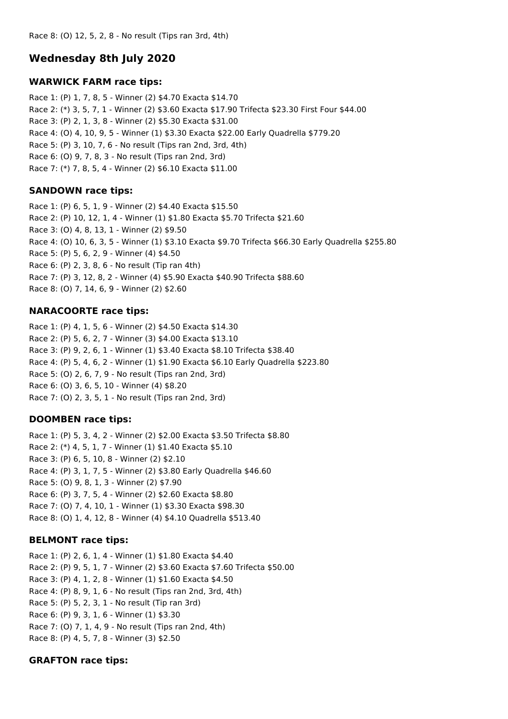# **Wednesday 8th July 2020**

#### **WARWICK FARM race tips:**

Race 1: (P) 1, 7, 8, 5 - Winner (2) \$4.70 Exacta \$14.70 Race 2: (\*) 3, 5, 7, 1 - Winner (2) \$3.60 Exacta \$17.90 Trifecta \$23.30 First Four \$44.00 Race 3: (P) 2, 1, 3, 8 - Winner (2) \$5.30 Exacta \$31.00 Race 4: (O) 4, 10, 9, 5 - Winner (1) \$3.30 Exacta \$22.00 Early Quadrella \$779.20 Race 5: (P) 3, 10, 7, 6 - No result (Tips ran 2nd, 3rd, 4th) Race 6: (O) 9, 7, 8, 3 - No result (Tips ran 2nd, 3rd) Race 7: (\*) 7, 8, 5, 4 - Winner (2) \$6.10 Exacta \$11.00

### **SANDOWN race tips:**

Race 1: (P) 6, 5, 1, 9 - Winner (2) \$4.40 Exacta \$15.50 Race 2: (P) 10, 12, 1, 4 - Winner (1) \$1.80 Exacta \$5.70 Trifecta \$21.60 Race 3: (O) 4, 8, 13, 1 - Winner (2) \$9.50 Race 4: (O) 10, 6, 3, 5 - Winner (1) \$3.10 Exacta \$9.70 Trifecta \$66.30 Early Quadrella \$255.80 Race 5: (P) 5, 6, 2, 9 - Winner (4) \$4.50 Race 6: (P) 2, 3, 8, 6 - No result (Tip ran 4th) Race 7: (P) 3, 12, 8, 2 - Winner (4) \$5.90 Exacta \$40.90 Trifecta \$88.60 Race 8: (O) 7, 14, 6, 9 - Winner (2) \$2.60

### **NARACOORTE race tips:**

Race 1: (P) 4, 1, 5, 6 - Winner (2) \$4.50 Exacta \$14.30 Race 2: (P) 5, 6, 2, 7 - Winner (3) \$4.00 Exacta \$13.10 Race 3: (P) 9, 2, 6, 1 - Winner (1) \$3.40 Exacta \$8.10 Trifecta \$38.40 Race 4: (P) 5, 4, 6, 2 - Winner (1) \$1.90 Exacta \$6.10 Early Quadrella \$223.80 Race 5: (O) 2, 6, 7, 9 - No result (Tips ran 2nd, 3rd) Race 6: (O) 3, 6, 5, 10 - Winner (4) \$8.20 Race 7: (O) 2, 3, 5, 1 - No result (Tips ran 2nd, 3rd)

### **DOOMBEN race tips:**

Race 1: (P) 5, 3, 4, 2 - Winner (2) \$2.00 Exacta \$3.50 Trifecta \$8.80 Race 2: (\*) 4, 5, 1, 7 - Winner (1) \$1.40 Exacta \$5.10 Race 3: (P) 6, 5, 10, 8 - Winner (2) \$2.10 Race 4: (P) 3, 1, 7, 5 - Winner (2) \$3.80 Early Quadrella \$46.60 Race 5: (O) 9, 8, 1, 3 - Winner (2) \$7.90 Race 6: (P) 3, 7, 5, 4 - Winner (2) \$2.60 Exacta \$8.80 Race 7: (O) 7, 4, 10, 1 - Winner (1) \$3.30 Exacta \$98.30 Race 8: (O) 1, 4, 12, 8 - Winner (4) \$4.10 Quadrella \$513.40

# **BELMONT race tips:**

Race 1: (P) 2, 6, 1, 4 - Winner (1) \$1.80 Exacta \$4.40 Race 2: (P) 9, 5, 1, 7 - Winner (2) \$3.60 Exacta \$7.60 Trifecta \$50.00 Race 3: (P) 4, 1, 2, 8 - Winner (1) \$1.60 Exacta \$4.50 Race 4: (P) 8, 9, 1, 6 - No result (Tips ran 2nd, 3rd, 4th) Race 5: (P) 5, 2, 3, 1 - No result (Tip ran 3rd) Race 6: (P) 9, 3, 1, 6 - Winner (1) \$3.30 Race 7: (O) 7, 1, 4, 9 - No result (Tips ran 2nd, 4th) Race 8: (P) 4, 5, 7, 8 - Winner (3) \$2.50

### **GRAFTON race tips:**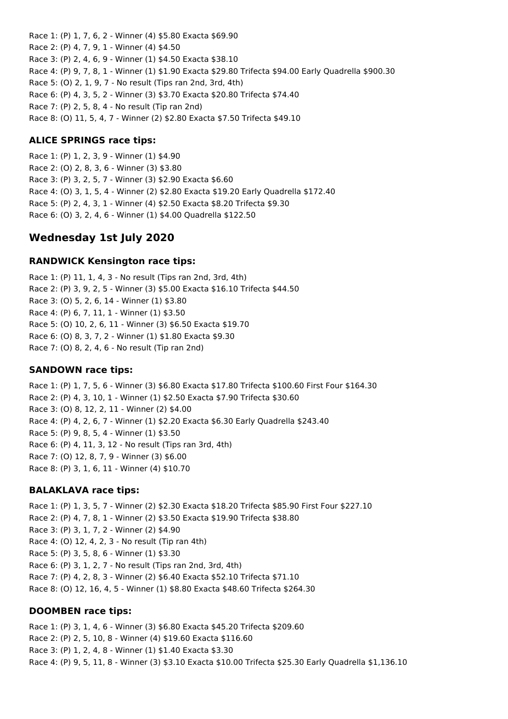Race 1: (P) 1, 7, 6, 2 - Winner (4) \$5.80 Exacta \$69.90 Race 2: (P) 4, 7, 9, 1 - Winner (4) \$4.50 Race 3: (P) 2, 4, 6, 9 - Winner (1) \$4.50 Exacta \$38.10 Race 4: (P) 9, 7, 8, 1 - Winner (1) \$1.90 Exacta \$29.80 Trifecta \$94.00 Early Quadrella \$900.30 Race 5: (O) 2, 1, 9, 7 - No result (Tips ran 2nd, 3rd, 4th) Race 6: (P) 4, 3, 5, 2 - Winner (3) \$3.70 Exacta \$20.80 Trifecta \$74.40 Race 7: (P) 2, 5, 8, 4 - No result (Tip ran 2nd) Race 8: (O) 11, 5, 4, 7 - Winner (2) \$2.80 Exacta \$7.50 Trifecta \$49.10

#### **ALICE SPRINGS race tips:**

Race 1: (P) 1, 2, 3, 9 - Winner (1) \$4.90 Race 2: (O) 2, 8, 3, 6 - Winner (3) \$3.80 Race 3: (P) 3, 2, 5, 7 - Winner (3) \$2.90 Exacta \$6.60 Race 4: (O) 3, 1, 5, 4 - Winner (2) \$2.80 Exacta \$19.20 Early Quadrella \$172.40 Race 5: (P) 2, 4, 3, 1 - Winner (4) \$2.50 Exacta \$8.20 Trifecta \$9.30 Race 6: (O) 3, 2, 4, 6 - Winner (1) \$4.00 Quadrella \$122.50

# **Wednesday 1st July 2020**

#### **RANDWICK Kensington race tips:**

Race 1: (P) 11, 1, 4, 3 - No result (Tips ran 2nd, 3rd, 4th) Race 2: (P) 3, 9, 2, 5 - Winner (3) \$5.00 Exacta \$16.10 Trifecta \$44.50 Race 3: (O) 5, 2, 6, 14 - Winner (1) \$3.80 Race 4: (P) 6, 7, 11, 1 - Winner (1) \$3.50 Race 5: (O) 10, 2, 6, 11 - Winner (3) \$6.50 Exacta \$19.70 Race 6: (O) 8, 3, 7, 2 - Winner (1) \$1.80 Exacta \$9.30 Race 7: (O) 8, 2, 4, 6 - No result (Tip ran 2nd)

#### **SANDOWN race tips:**

Race 1: (P) 1, 7, 5, 6 - Winner (3) \$6.80 Exacta \$17.80 Trifecta \$100.60 First Four \$164.30 Race 2: (P) 4, 3, 10, 1 - Winner (1) \$2.50 Exacta \$7.90 Trifecta \$30.60 Race 3: (O) 8, 12, 2, 11 - Winner (2) \$4.00 Race 4: (P) 4, 2, 6, 7 - Winner (1) \$2.20 Exacta \$6.30 Early Quadrella \$243.40 Race 5: (P) 9, 8, 5, 4 - Winner (1) \$3.50 Race 6: (P) 4, 11, 3, 12 - No result (Tips ran 3rd, 4th) Race 7: (O) 12, 8, 7, 9 - Winner (3) \$6.00 Race 8: (P) 3, 1, 6, 11 - Winner (4) \$10.70

#### **BALAKLAVA race tips:**

Race 1: (P) 1, 3, 5, 7 - Winner (2) \$2.30 Exacta \$18.20 Trifecta \$85.90 First Four \$227.10 Race 2: (P) 4, 7, 8, 1 - Winner (2) \$3.50 Exacta \$19.90 Trifecta \$38.80 Race 3: (P) 3, 1, 7, 2 - Winner (2) \$4.90 Race 4: (O) 12, 4, 2, 3 - No result (Tip ran 4th) Race 5: (P) 3, 5, 8, 6 - Winner (1) \$3.30 Race 6: (P) 3, 1, 2, 7 - No result (Tips ran 2nd, 3rd, 4th) Race 7: (P) 4, 2, 8, 3 - Winner (2) \$6.40 Exacta \$52.10 Trifecta \$71.10 Race 8: (O) 12, 16, 4, 5 - Winner (1) \$8.80 Exacta \$48.60 Trifecta \$264.30

#### **DOOMBEN race tips:**

Race 1: (P) 3, 1, 4, 6 - Winner (3) \$6.80 Exacta \$45.20 Trifecta \$209.60 Race 2: (P) 2, 5, 10, 8 - Winner (4) \$19.60 Exacta \$116.60 Race 3: (P) 1, 2, 4, 8 - Winner (1) \$1.40 Exacta \$3.30 Race 4: (P) 9, 5, 11, 8 - Winner (3) \$3.10 Exacta \$10.00 Trifecta \$25.30 Early Quadrella \$1,136.10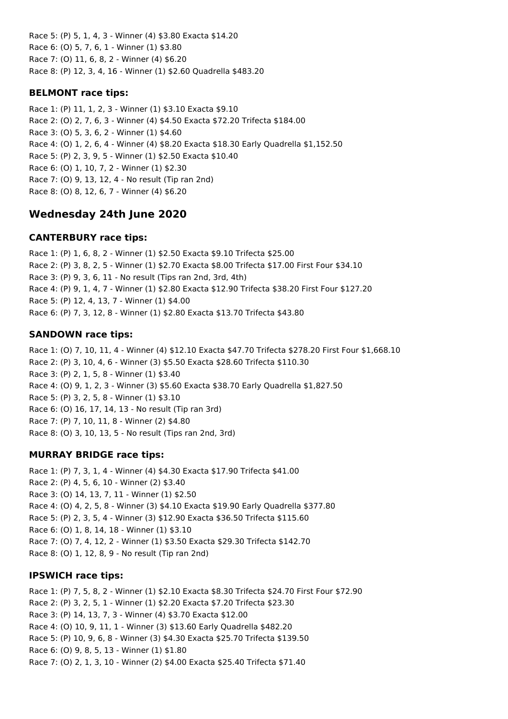Race 5: (P) 5, 1, 4, 3 - Winner (4) \$3.80 Exacta \$14.20 Race 6: (O) 5, 7, 6, 1 - Winner (1) \$3.80 Race 7: (O) 11, 6, 8, 2 - Winner (4) \$6.20 Race 8: (P) 12, 3, 4, 16 - Winner (1) \$2.60 Quadrella \$483.20

## **BELMONT race tips:**

Race 1: (P) 11, 1, 2, 3 - Winner (1) \$3.10 Exacta \$9.10 Race 2: (O) 2, 7, 6, 3 - Winner (4) \$4.50 Exacta \$72.20 Trifecta \$184.00 Race 3: (O) 5, 3, 6, 2 - Winner (1) \$4.60 Race 4: (O) 1, 2, 6, 4 - Winner (4) \$8.20 Exacta \$18.30 Early Quadrella \$1,152.50 Race 5: (P) 2, 3, 9, 5 - Winner (1) \$2.50 Exacta \$10.40 Race 6: (O) 1, 10, 7, 2 - Winner (1) \$2.30 Race 7: (O) 9, 13, 12, 4 - No result (Tip ran 2nd) Race 8: (O) 8, 12, 6, 7 - Winner (4) \$6.20

# **Wednesday 24th June 2020**

### **CANTERBURY race tips:**

Race 1: (P) 1, 6, 8, 2 - Winner (1) \$2.50 Exacta \$9.10 Trifecta \$25.00 Race 2: (P) 3, 8, 2, 5 - Winner (1) \$2.70 Exacta \$8.00 Trifecta \$17.00 First Four \$34.10 Race 3: (P) 9, 3, 6, 11 - No result (Tips ran 2nd, 3rd, 4th) Race 4: (P) 9, 1, 4, 7 - Winner (1) \$2.80 Exacta \$12.90 Trifecta \$38.20 First Four \$127.20 Race 5: (P) 12, 4, 13, 7 - Winner (1) \$4.00 Race 6: (P) 7, 3, 12, 8 - Winner (1) \$2.80 Exacta \$13.70 Trifecta \$43.80

# **SANDOWN race tips:**

Race 1: (O) 7, 10, 11, 4 - Winner (4) \$12.10 Exacta \$47.70 Trifecta \$278.20 First Four \$1,668.10 Race 2: (P) 3, 10, 4, 6 - Winner (3) \$5.50 Exacta \$28.60 Trifecta \$110.30 Race 3: (P) 2, 1, 5, 8 - Winner (1) \$3.40 Race 4: (O) 9, 1, 2, 3 - Winner (3) \$5.60 Exacta \$38.70 Early Quadrella \$1,827.50 Race 5: (P) 3, 2, 5, 8 - Winner (1) \$3.10 Race 6: (O) 16, 17, 14, 13 - No result (Tip ran 3rd) Race 7: (P) 7, 10, 11, 8 - Winner (2) \$4.80 Race 8: (O) 3, 10, 13, 5 - No result (Tips ran 2nd, 3rd)

# **MURRAY BRIDGE race tips:**

Race 1: (P) 7, 3, 1, 4 - Winner (4) \$4.30 Exacta \$17.90 Trifecta \$41.00 Race 2: (P) 4, 5, 6, 10 - Winner (2) \$3.40 Race 3: (O) 14, 13, 7, 11 - Winner (1) \$2.50 Race 4: (O) 4, 2, 5, 8 - Winner (3) \$4.10 Exacta \$19.90 Early Quadrella \$377.80 Race 5: (P) 2, 3, 5, 4 - Winner (3) \$12.90 Exacta \$36.50 Trifecta \$115.60 Race 6: (O) 1, 8, 14, 18 - Winner (1) \$3.10 Race 7: (O) 7, 4, 12, 2 - Winner (1) \$3.50 Exacta \$29.30 Trifecta \$142.70 Race 8: (O) 1, 12, 8, 9 - No result (Tip ran 2nd)

### **IPSWICH race tips:**

Race 1: (P) 7, 5, 8, 2 - Winner (1) \$2.10 Exacta \$8.30 Trifecta \$24.70 First Four \$72.90 Race 2: (P) 3, 2, 5, 1 - Winner (1) \$2.20 Exacta \$7.20 Trifecta \$23.30 Race 3: (P) 14, 13, 7, 3 - Winner (4) \$3.70 Exacta \$12.00 Race 4: (O) 10, 9, 11, 1 - Winner (3) \$13.60 Early Quadrella \$482.20 Race 5: (P) 10, 9, 6, 8 - Winner (3) \$4.30 Exacta \$25.70 Trifecta \$139.50 Race 6: (O) 9, 8, 5, 13 - Winner (1) \$1.80 Race 7: (O) 2, 1, 3, 10 - Winner (2) \$4.00 Exacta \$25.40 Trifecta \$71.40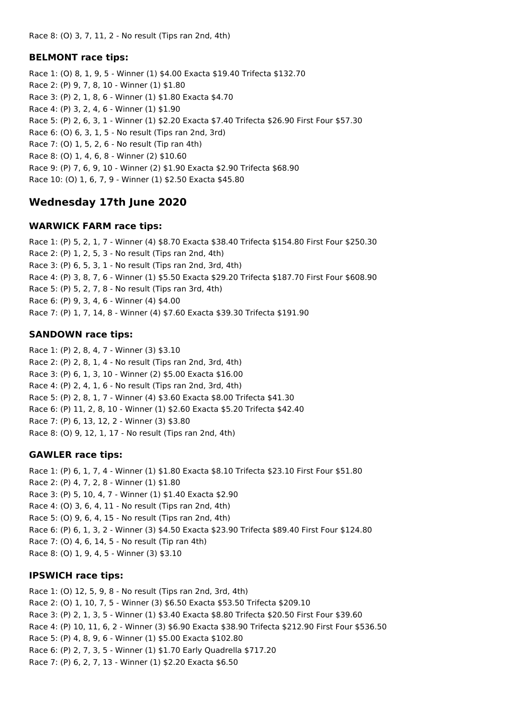# **BELMONT race tips:**

Race 1: (O) 8, 1, 9, 5 - Winner (1) \$4.00 Exacta \$19.40 Trifecta \$132.70 Race 2: (P) 9, 7, 8, 10 - Winner (1) \$1.80 Race 3: (P) 2, 1, 8, 6 - Winner (1) \$1.80 Exacta \$4.70 Race 4: (P) 3, 2, 4, 6 - Winner (1) \$1.90 Race 5: (P) 2, 6, 3, 1 - Winner (1) \$2.20 Exacta \$7.40 Trifecta \$26.90 First Four \$57.30 Race 6: (O) 6, 3, 1, 5 - No result (Tips ran 2nd, 3rd) Race 7: (O) 1, 5, 2, 6 - No result (Tip ran 4th) Race 8: (O) 1, 4, 6, 8 - Winner (2) \$10.60 Race 9: (P) 7, 6, 9, 10 - Winner (2) \$1.90 Exacta \$2.90 Trifecta \$68.90 Race 10: (O) 1, 6, 7, 9 - Winner (1) \$2.50 Exacta \$45.80

# **Wednesday 17th June 2020**

### **WARWICK FARM race tips:**

Race 1: (P) 5, 2, 1, 7 - Winner (4) \$8.70 Exacta \$38.40 Trifecta \$154.80 First Four \$250.30 Race 2: (P) 1, 2, 5, 3 - No result (Tips ran 2nd, 4th) Race 3: (P) 6, 5, 3, 1 - No result (Tips ran 2nd, 3rd, 4th) Race 4: (P) 3, 8, 7, 6 - Winner (1) \$5.50 Exacta \$29.20 Trifecta \$187.70 First Four \$608.90 Race 5: (P) 5, 2, 7, 8 - No result (Tips ran 3rd, 4th) Race 6: (P) 9, 3, 4, 6 - Winner (4) \$4.00 Race 7: (P) 1, 7, 14, 8 - Winner (4) \$7.60 Exacta \$39.30 Trifecta \$191.90

# **SANDOWN race tips:**

Race 1: (P) 2, 8, 4, 7 - Winner (3) \$3.10 Race 2: (P) 2, 8, 1, 4 - No result (Tips ran 2nd, 3rd, 4th) Race 3: (P) 6, 1, 3, 10 - Winner (2) \$5.00 Exacta \$16.00 Race 4: (P) 2, 4, 1, 6 - No result (Tips ran 2nd, 3rd, 4th) Race 5: (P) 2, 8, 1, 7 - Winner (4) \$3.60 Exacta \$8.00 Trifecta \$41.30 Race 6: (P) 11, 2, 8, 10 - Winner (1) \$2.60 Exacta \$5.20 Trifecta \$42.40 Race 7: (P) 6, 13, 12, 2 - Winner (3) \$3.80 Race 8: (O) 9, 12, 1, 17 - No result (Tips ran 2nd, 4th)

# **GAWLER race tips:**

Race 1: (P) 6, 1, 7, 4 - Winner (1) \$1.80 Exacta \$8.10 Trifecta \$23.10 First Four \$51.80 Race 2: (P) 4, 7, 2, 8 - Winner (1) \$1.80 Race 3: (P) 5, 10, 4, 7 - Winner (1) \$1.40 Exacta \$2.90 Race 4: (O) 3, 6, 4, 11 - No result (Tips ran 2nd, 4th) Race 5: (O) 9, 6, 4, 15 - No result (Tips ran 2nd, 4th) Race 6: (P) 6, 1, 3, 2 - Winner (3) \$4.50 Exacta \$23.90 Trifecta \$89.40 First Four \$124.80 Race 7: (O) 4, 6, 14, 5 - No result (Tip ran 4th) Race 8: (O) 1, 9, 4, 5 - Winner (3) \$3.10

# **IPSWICH race tips:**

Race 1: (O) 12, 5, 9, 8 - No result (Tips ran 2nd, 3rd, 4th) Race 2: (O) 1, 10, 7, 5 - Winner (3) \$6.50 Exacta \$53.50 Trifecta \$209.10 Race 3: (P) 2, 1, 3, 5 - Winner (1) \$3.40 Exacta \$8.80 Trifecta \$20.50 First Four \$39.60 Race 4: (P) 10, 11, 6, 2 - Winner (3) \$6.90 Exacta \$38.90 Trifecta \$212.90 First Four \$536.50 Race 5: (P) 4, 8, 9, 6 - Winner (1) \$5.00 Exacta \$102.80 Race 6: (P) 2, 7, 3, 5 - Winner (1) \$1.70 Early Quadrella \$717.20 Race 7: (P) 6, 2, 7, 13 - Winner (1) \$2.20 Exacta \$6.50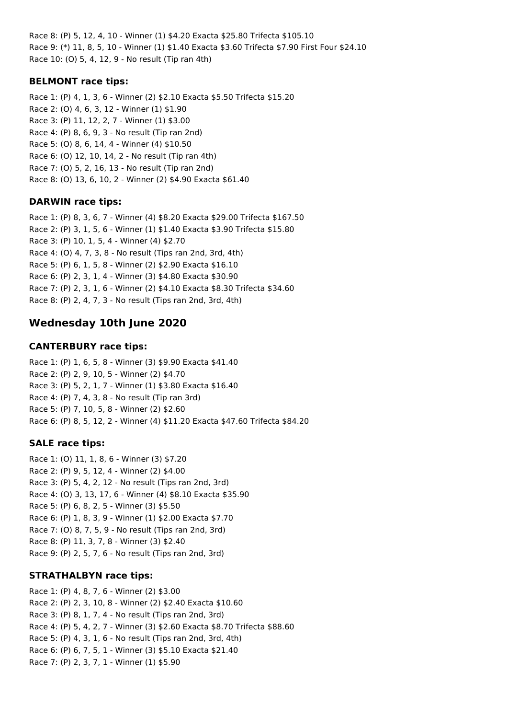Race 8: (P) 5, 12, 4, 10 - Winner (1) \$4.20 Exacta \$25.80 Trifecta \$105.10 Race 9: (\*) 11, 8, 5, 10 - Winner (1) \$1.40 Exacta \$3.60 Trifecta \$7.90 First Four \$24.10 Race 10: (O) 5, 4, 12, 9 - No result (Tip ran 4th)

### **BELMONT race tips:**

Race 1: (P) 4, 1, 3, 6 - Winner (2) \$2.10 Exacta \$5.50 Trifecta \$15.20 Race 2: (O) 4, 6, 3, 12 - Winner (1) \$1.90 Race 3: (P) 11, 12, 2, 7 - Winner (1) \$3.00 Race 4: (P) 8, 6, 9, 3 - No result (Tip ran 2nd) Race 5: (O) 8, 6, 14, 4 - Winner (4) \$10.50 Race 6: (O) 12, 10, 14, 2 - No result (Tip ran 4th) Race 7: (O) 5, 2, 16, 13 - No result (Tip ran 2nd) Race 8: (O) 13, 6, 10, 2 - Winner (2) \$4.90 Exacta \$61.40

### **DARWIN race tips:**

Race 1: (P) 8, 3, 6, 7 - Winner (4) \$8.20 Exacta \$29.00 Trifecta \$167.50 Race 2: (P) 3, 1, 5, 6 - Winner (1) \$1.40 Exacta \$3.90 Trifecta \$15.80 Race 3: (P) 10, 1, 5, 4 - Winner (4) \$2.70 Race 4: (O) 4, 7, 3, 8 - No result (Tips ran 2nd, 3rd, 4th) Race 5: (P) 6, 1, 5, 8 - Winner (2) \$2.90 Exacta \$16.10 Race 6: (P) 2, 3, 1, 4 - Winner (3) \$4.80 Exacta \$30.90 Race 7: (P) 2, 3, 1, 6 - Winner (2) \$4.10 Exacta \$8.30 Trifecta \$34.60 Race 8: (P) 2, 4, 7, 3 - No result (Tips ran 2nd, 3rd, 4th)

# **Wednesday 10th June 2020**

### **CANTERBURY race tips:**

Race 1: (P) 1, 6, 5, 8 - Winner (3) \$9.90 Exacta \$41.40 Race 2: (P) 2, 9, 10, 5 - Winner (2) \$4.70 Race 3: (P) 5, 2, 1, 7 - Winner (1) \$3.80 Exacta \$16.40 Race 4: (P) 7, 4, 3, 8 - No result (Tip ran 3rd) Race 5: (P) 7, 10, 5, 8 - Winner (2) \$2.60 Race 6: (P) 8, 5, 12, 2 - Winner (4) \$11.20 Exacta \$47.60 Trifecta \$84.20

# **SALE race tips:**

Race 1: (O) 11, 1, 8, 6 - Winner (3) \$7.20 Race 2: (P) 9, 5, 12, 4 - Winner (2) \$4.00 Race 3: (P) 5, 4, 2, 12 - No result (Tips ran 2nd, 3rd) Race 4: (O) 3, 13, 17, 6 - Winner (4) \$8.10 Exacta \$35.90 Race 5: (P) 6, 8, 2, 5 - Winner (3) \$5.50 Race 6: (P) 1, 8, 3, 9 - Winner (1) \$2.00 Exacta \$7.70 Race 7: (O) 8, 7, 5, 9 - No result (Tips ran 2nd, 3rd) Race 8: (P) 11, 3, 7, 8 - Winner (3) \$2.40 Race 9: (P) 2, 5, 7, 6 - No result (Tips ran 2nd, 3rd)

# **STRATHALBYN race tips:**

Race 1: (P) 4, 8, 7, 6 - Winner (2) \$3.00 Race 2: (P) 2, 3, 10, 8 - Winner (2) \$2.40 Exacta \$10.60 Race 3: (P) 8, 1, 7, 4 - No result (Tips ran 2nd, 3rd) Race 4: (P) 5, 4, 2, 7 - Winner (3) \$2.60 Exacta \$8.70 Trifecta \$88.60 Race 5: (P) 4, 3, 1, 6 - No result (Tips ran 2nd, 3rd, 4th) Race 6: (P) 6, 7, 5, 1 - Winner (3) \$5.10 Exacta \$21.40 Race 7: (P) 2, 3, 7, 1 - Winner (1) \$5.90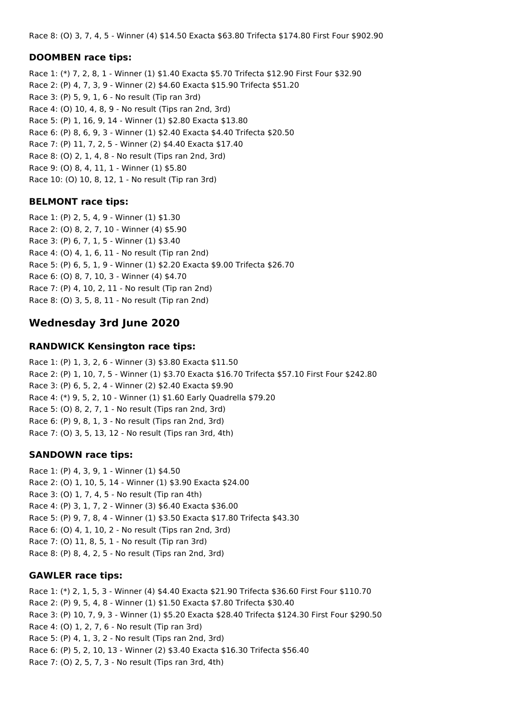Race 8: (O) 3, 7, 4, 5 - Winner (4) \$14.50 Exacta \$63.80 Trifecta \$174.80 First Four \$902.90

### **DOOMBEN race tips:**

Race 1: (\*) 7, 2, 8, 1 - Winner (1) \$1.40 Exacta \$5.70 Trifecta \$12.90 First Four \$32.90 Race 2: (P) 4, 7, 3, 9 - Winner (2) \$4.60 Exacta \$15.90 Trifecta \$51.20 Race 3: (P) 5, 9, 1, 6 - No result (Tip ran 3rd) Race 4: (O) 10, 4, 8, 9 - No result (Tips ran 2nd, 3rd) Race 5: (P) 1, 16, 9, 14 - Winner (1) \$2.80 Exacta \$13.80 Race 6: (P) 8, 6, 9, 3 - Winner (1) \$2.40 Exacta \$4.40 Trifecta \$20.50 Race 7: (P) 11, 7, 2, 5 - Winner (2) \$4.40 Exacta \$17.40 Race 8: (O) 2, 1, 4, 8 - No result (Tips ran 2nd, 3rd) Race 9: (O) 8, 4, 11, 1 - Winner (1) \$5.80 Race 10: (O) 10, 8, 12, 1 - No result (Tip ran 3rd)

# **BELMONT race tips:**

Race 1: (P) 2, 5, 4, 9 - Winner (1) \$1.30 Race 2: (O) 8, 2, 7, 10 - Winner (4) \$5.90 Race 3: (P) 6, 7, 1, 5 - Winner (1) \$3.40 Race 4: (O) 4, 1, 6, 11 - No result (Tip ran 2nd) Race 5: (P) 6, 5, 1, 9 - Winner (1) \$2.20 Exacta \$9.00 Trifecta \$26.70 Race 6: (O) 8, 7, 10, 3 - Winner (4) \$4.70 Race 7: (P) 4, 10, 2, 11 - No result (Tip ran 2nd) Race 8: (O) 3, 5, 8, 11 - No result (Tip ran 2nd)

# **Wednesday 3rd June 2020**

### **RANDWICK Kensington race tips:**

Race 1: (P) 1, 3, 2, 6 - Winner (3) \$3.80 Exacta \$11.50 Race 2: (P) 1, 10, 7, 5 - Winner (1) \$3.70 Exacta \$16.70 Trifecta \$57.10 First Four \$242.80 Race 3: (P) 6, 5, 2, 4 - Winner (2) \$2.40 Exacta \$9.90 Race 4: (\*) 9, 5, 2, 10 - Winner (1) \$1.60 Early Quadrella \$79.20 Race 5: (O) 8, 2, 7, 1 - No result (Tips ran 2nd, 3rd) Race 6: (P) 9, 8, 1, 3 - No result (Tips ran 2nd, 3rd) Race 7: (O) 3, 5, 13, 12 - No result (Tips ran 3rd, 4th)

# **SANDOWN race tips:**

Race 1: (P) 4, 3, 9, 1 - Winner (1) \$4.50 Race 2: (O) 1, 10, 5, 14 - Winner (1) \$3.90 Exacta \$24.00 Race 3: (O) 1, 7, 4, 5 - No result (Tip ran 4th) Race 4: (P) 3, 1, 7, 2 - Winner (3) \$6.40 Exacta \$36.00 Race 5: (P) 9, 7, 8, 4 - Winner (1) \$3.50 Exacta \$17.80 Trifecta \$43.30 Race 6: (O) 4, 1, 10, 2 - No result (Tips ran 2nd, 3rd) Race 7: (O) 11, 8, 5, 1 - No result (Tip ran 3rd) Race 8: (P) 8, 4, 2, 5 - No result (Tips ran 2nd, 3rd)

# **GAWLER race tips:**

Race 1: (\*) 2, 1, 5, 3 - Winner (4) \$4.40 Exacta \$21.90 Trifecta \$36.60 First Four \$110.70 Race 2: (P) 9, 5, 4, 8 - Winner (1) \$1.50 Exacta \$7.80 Trifecta \$30.40 Race 3: (P) 10, 7, 9, 3 - Winner (1) \$5.20 Exacta \$28.40 Trifecta \$124.30 First Four \$290.50 Race 4: (O) 1, 2, 7, 6 - No result (Tip ran 3rd) Race 5: (P) 4, 1, 3, 2 - No result (Tips ran 2nd, 3rd) Race 6: (P) 5, 2, 10, 13 - Winner (2) \$3.40 Exacta \$16.30 Trifecta \$56.40 Race 7: (O) 2, 5, 7, 3 - No result (Tips ran 3rd, 4th)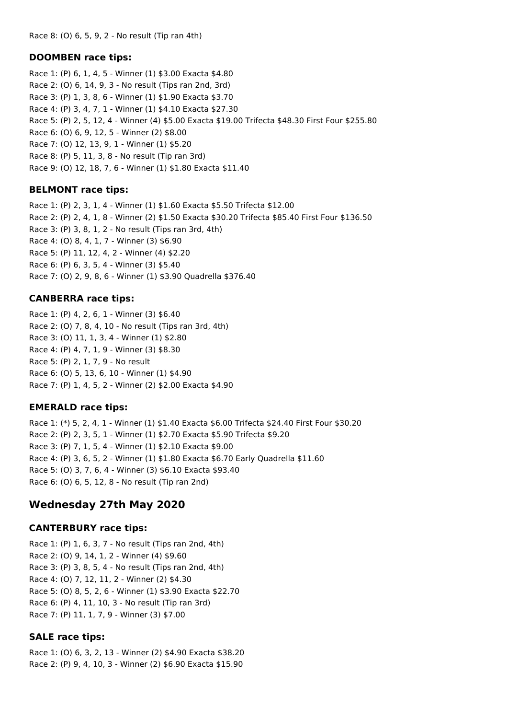#### **DOOMBEN race tips:**

Race 1: (P) 6, 1, 4, 5 - Winner (1) \$3.00 Exacta \$4.80 Race 2: (O) 6, 14, 9, 3 - No result (Tips ran 2nd, 3rd) Race 3: (P) 1, 3, 8, 6 - Winner (1) \$1.90 Exacta \$3.70 Race 4: (P) 3, 4, 7, 1 - Winner (1) \$4.10 Exacta \$27.30 Race 5: (P) 2, 5, 12, 4 - Winner (4) \$5.00 Exacta \$19.00 Trifecta \$48.30 First Four \$255.80 Race 6: (O) 6, 9, 12, 5 - Winner (2) \$8.00 Race 7: (O) 12, 13, 9, 1 - Winner (1) \$5.20 Race 8: (P) 5, 11, 3, 8 - No result (Tip ran 3rd) Race 9: (O) 12, 18, 7, 6 - Winner (1) \$1.80 Exacta \$11.40

#### **BELMONT race tips:**

Race 1: (P) 2, 3, 1, 4 - Winner (1) \$1.60 Exacta \$5.50 Trifecta \$12.00 Race 2: (P) 2, 4, 1, 8 - Winner (2) \$1.50 Exacta \$30.20 Trifecta \$85.40 First Four \$136.50 Race 3: (P) 3, 8, 1, 2 - No result (Tips ran 3rd, 4th) Race 4: (O) 8, 4, 1, 7 - Winner (3) \$6.90 Race 5: (P) 11, 12, 4, 2 - Winner (4) \$2.20 Race 6: (P) 6, 3, 5, 4 - Winner (3) \$5.40 Race 7: (O) 2, 9, 8, 6 - Winner (1) \$3.90 Quadrella \$376.40

#### **CANBERRA race tips:**

Race 1: (P) 4, 2, 6, 1 - Winner (3) \$6.40 Race 2: (O) 7, 8, 4, 10 - No result (Tips ran 3rd, 4th) Race 3: (O) 11, 1, 3, 4 - Winner (1) \$2.80 Race 4: (P) 4, 7, 1, 9 - Winner (3) \$8.30 Race 5: (P) 2, 1, 7, 9 - No result Race 6: (O) 5, 13, 6, 10 - Winner (1) \$4.90 Race 7: (P) 1, 4, 5, 2 - Winner (2) \$2.00 Exacta \$4.90

#### **EMERALD race tips:**

Race 1: (\*) 5, 2, 4, 1 - Winner (1) \$1.40 Exacta \$6.00 Trifecta \$24.40 First Four \$30.20 Race 2: (P) 2, 3, 5, 1 - Winner (1) \$2.70 Exacta \$5.90 Trifecta \$9.20 Race 3: (P) 7, 1, 5, 4 - Winner (1) \$2.10 Exacta \$9.00 Race 4: (P) 3, 6, 5, 2 - Winner (1) \$1.80 Exacta \$6.70 Early Quadrella \$11.60 Race 5: (O) 3, 7, 6, 4 - Winner (3) \$6.10 Exacta \$93.40 Race 6: (O) 6, 5, 12, 8 - No result (Tip ran 2nd)

### **Wednesday 27th May 2020**

#### **CANTERBURY race tips:**

Race 1: (P) 1, 6, 3, 7 - No result (Tips ran 2nd, 4th) Race 2: (O) 9, 14, 1, 2 - Winner (4) \$9.60 Race 3: (P) 3, 8, 5, 4 - No result (Tips ran 2nd, 4th) Race 4: (O) 7, 12, 11, 2 - Winner (2) \$4.30 Race 5: (O) 8, 5, 2, 6 - Winner (1) \$3.90 Exacta \$22.70 Race 6: (P) 4, 11, 10, 3 - No result (Tip ran 3rd) Race 7: (P) 11, 1, 7, 9 - Winner (3) \$7.00

#### **SALE race tips:**

Race 1: (O) 6, 3, 2, 13 - Winner (2) \$4.90 Exacta \$38.20 Race 2: (P) 9, 4, 10, 3 - Winner (2) \$6.90 Exacta \$15.90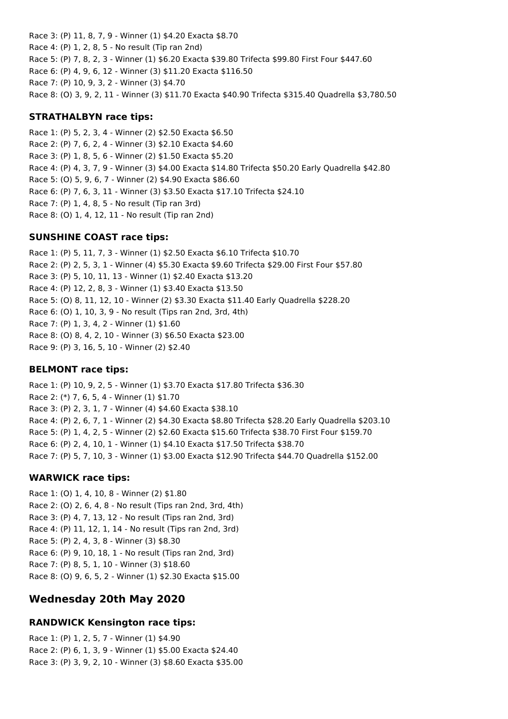Race 3: (P) 11, 8, 7, 9 - Winner (1) \$4.20 Exacta \$8.70 Race 4: (P) 1, 2, 8, 5 - No result (Tip ran 2nd) Race 5: (P) 7, 8, 2, 3 - Winner (1) \$6.20 Exacta \$39.80 Trifecta \$99.80 First Four \$447.60 Race 6: (P) 4, 9, 6, 12 - Winner (3) \$11.20 Exacta \$116.50 Race 7: (P) 10, 9, 3, 2 - Winner (3) \$4.70 Race 8: (O) 3, 9, 2, 11 - Winner (3) \$11.70 Exacta \$40.90 Trifecta \$315.40 Quadrella \$3,780.50

### **STRATHALBYN race tips:**

Race 1: (P) 5, 2, 3, 4 - Winner (2) \$2.50 Exacta \$6.50 Race 2: (P) 7, 6, 2, 4 - Winner (3) \$2.10 Exacta \$4.60 Race 3: (P) 1, 8, 5, 6 - Winner (2) \$1.50 Exacta \$5.20 Race 4: (P) 4, 3, 7, 9 - Winner (3) \$4.00 Exacta \$14.80 Trifecta \$50.20 Early Quadrella \$42.80 Race 5: (O) 5, 9, 6, 7 - Winner (2) \$4.90 Exacta \$86.60 Race 6: (P) 7, 6, 3, 11 - Winner (3) \$3.50 Exacta \$17.10 Trifecta \$24.10 Race 7: (P) 1, 4, 8, 5 - No result (Tip ran 3rd) Race 8: (O) 1, 4, 12, 11 - No result (Tip ran 2nd)

#### **SUNSHINE COAST race tips:**

Race 1: (P) 5, 11, 7, 3 - Winner (1) \$2.50 Exacta \$6.10 Trifecta \$10.70 Race 2: (P) 2, 5, 3, 1 - Winner (4) \$5.30 Exacta \$9.60 Trifecta \$29.00 First Four \$57.80 Race 3: (P) 5, 10, 11, 13 - Winner (1) \$2.40 Exacta \$13.20 Race 4: (P) 12, 2, 8, 3 - Winner (1) \$3.40 Exacta \$13.50 Race 5: (O) 8, 11, 12, 10 - Winner (2) \$3.30 Exacta \$11.40 Early Quadrella \$228.20 Race 6: (O) 1, 10, 3, 9 - No result (Tips ran 2nd, 3rd, 4th) Race 7: (P) 1, 3, 4, 2 - Winner (1) \$1.60 Race 8: (O) 8, 4, 2, 10 - Winner (3) \$6.50 Exacta \$23.00 Race 9: (P) 3, 16, 5, 10 - Winner (2) \$2.40

#### **BELMONT race tips:**

Race 1: (P) 10, 9, 2, 5 - Winner (1) \$3.70 Exacta \$17.80 Trifecta \$36.30 Race 2: (\*) 7, 6, 5, 4 - Winner (1) \$1.70 Race 3: (P) 2, 3, 1, 7 - Winner (4) \$4.60 Exacta \$38.10 Race 4: (P) 2, 6, 7, 1 - Winner (2) \$4.30 Exacta \$8.80 Trifecta \$28.20 Early Quadrella \$203.10 Race 5: (P) 1, 4, 2, 5 - Winner (2) \$2.60 Exacta \$15.60 Trifecta \$38.70 First Four \$159.70 Race 6: (P) 2, 4, 10, 1 - Winner (1) \$4.10 Exacta \$17.50 Trifecta \$38.70 Race 7: (P) 5, 7, 10, 3 - Winner (1) \$3.00 Exacta \$12.90 Trifecta \$44.70 Quadrella \$152.00

### **WARWICK race tips:**

Race 1: (O) 1, 4, 10, 8 - Winner (2) \$1.80 Race 2: (O) 2, 6, 4, 8 - No result (Tips ran 2nd, 3rd, 4th) Race 3: (P) 4, 7, 13, 12 - No result (Tips ran 2nd, 3rd) Race 4: (P) 11, 12, 1, 14 - No result (Tips ran 2nd, 3rd) Race 5: (P) 2, 4, 3, 8 - Winner (3) \$8.30 Race 6: (P) 9, 10, 18, 1 - No result (Tips ran 2nd, 3rd) Race 7: (P) 8, 5, 1, 10 - Winner (3) \$18.60 Race 8: (O) 9, 6, 5, 2 - Winner (1) \$2.30 Exacta \$15.00

# **Wednesday 20th May 2020**

### **RANDWICK Kensington race tips:**

Race 1: (P) 1, 2, 5, 7 - Winner (1) \$4.90 Race 2: (P) 6, 1, 3, 9 - Winner (1) \$5.00 Exacta \$24.40 Race 3: (P) 3, 9, 2, 10 - Winner (3) \$8.60 Exacta \$35.00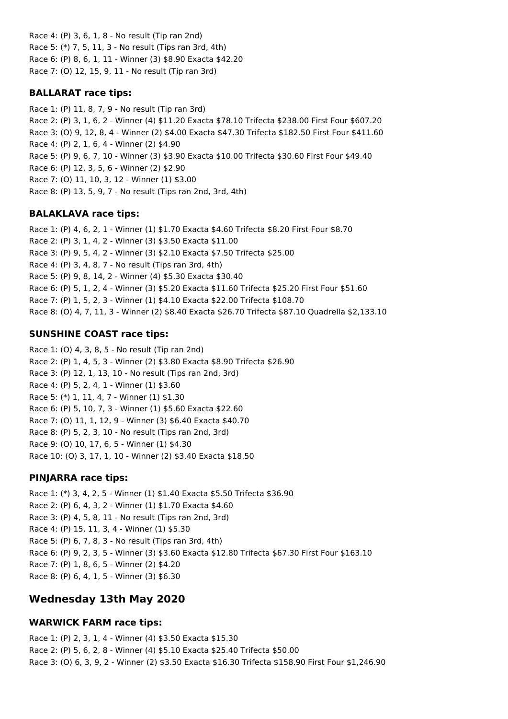Race 4: (P) 3, 6, 1, 8 - No result (Tip ran 2nd) Race 5: (\*) 7, 5, 11, 3 - No result (Tips ran 3rd, 4th) Race 6: (P) 8, 6, 1, 11 - Winner (3) \$8.90 Exacta \$42.20 Race 7: (O) 12, 15, 9, 11 - No result (Tip ran 3rd)

## **BALLARAT race tips:**

Race 1: (P) 11, 8, 7, 9 - No result (Tip ran 3rd) Race 2: (P) 3, 1, 6, 2 - Winner (4) \$11.20 Exacta \$78.10 Trifecta \$238.00 First Four \$607.20 Race 3: (O) 9, 12, 8, 4 - Winner (2) \$4.00 Exacta \$47.30 Trifecta \$182.50 First Four \$411.60 Race 4: (P) 2, 1, 6, 4 - Winner (2) \$4.90 Race 5: (P) 9, 6, 7, 10 - Winner (3) \$3.90 Exacta \$10.00 Trifecta \$30.60 First Four \$49.40 Race 6: (P) 12, 3, 5, 6 - Winner (2) \$2.90 Race 7: (O) 11, 10, 3, 12 - Winner (1) \$3.00 Race 8: (P) 13, 5, 9, 7 - No result (Tips ran 2nd, 3rd, 4th)

# **BALAKLAVA race tips:**

Race 1: (P) 4, 6, 2, 1 - Winner (1) \$1.70 Exacta \$4.60 Trifecta \$8.20 First Four \$8.70 Race 2: (P) 3, 1, 4, 2 - Winner (3) \$3.50 Exacta \$11.00 Race 3: (P) 9, 5, 4, 2 - Winner (3) \$2.10 Exacta \$7.50 Trifecta \$25.00 Race 4: (P) 3, 4, 8, 7 - No result (Tips ran 3rd, 4th) Race 5: (P) 9, 8, 14, 2 - Winner (4) \$5.30 Exacta \$30.40 Race 6: (P) 5, 1, 2, 4 - Winner (3) \$5.20 Exacta \$11.60 Trifecta \$25.20 First Four \$51.60 Race 7: (P) 1, 5, 2, 3 - Winner (1) \$4.10 Exacta \$22.00 Trifecta \$108.70 Race 8: (O) 4, 7, 11, 3 - Winner (2) \$8.40 Exacta \$26.70 Trifecta \$87.10 Quadrella \$2,133.10

# **SUNSHINE COAST race tips:**

Race 1: (O) 4, 3, 8, 5 - No result (Tip ran 2nd) Race 2: (P) 1, 4, 5, 3 - Winner (2) \$3.80 Exacta \$8.90 Trifecta \$26.90 Race 3: (P) 12, 1, 13, 10 - No result (Tips ran 2nd, 3rd) Race 4: (P) 5, 2, 4, 1 - Winner (1) \$3.60 Race 5: (\*) 1, 11, 4, 7 - Winner (1) \$1.30 Race 6: (P) 5, 10, 7, 3 - Winner (1) \$5.60 Exacta \$22.60 Race 7: (O) 11, 1, 12, 9 - Winner (3) \$6.40 Exacta \$40.70 Race 8: (P) 5, 2, 3, 10 - No result (Tips ran 2nd, 3rd) Race 9: (O) 10, 17, 6, 5 - Winner (1) \$4.30 Race 10: (O) 3, 17, 1, 10 - Winner (2) \$3.40 Exacta \$18.50

# **PINJARRA race tips:**

Race 1: (\*) 3, 4, 2, 5 - Winner (1) \$1.40 Exacta \$5.50 Trifecta \$36.90 Race 2: (P) 6, 4, 3, 2 - Winner (1) \$1.70 Exacta \$4.60 Race 3: (P) 4, 5, 8, 11 - No result (Tips ran 2nd, 3rd) Race 4: (P) 15, 11, 3, 4 - Winner (1) \$5.30 Race 5: (P) 6, 7, 8, 3 - No result (Tips ran 3rd, 4th) Race 6: (P) 9, 2, 3, 5 - Winner (3) \$3.60 Exacta \$12.80 Trifecta \$67.30 First Four \$163.10 Race 7: (P) 1, 8, 6, 5 - Winner (2) \$4.20 Race 8: (P) 6, 4, 1, 5 - Winner (3) \$6.30

# **Wednesday 13th May 2020**

# **WARWICK FARM race tips:**

Race 1: (P) 2, 3, 1, 4 - Winner (4) \$3.50 Exacta \$15.30 Race 2: (P) 5, 6, 2, 8 - Winner (4) \$5.10 Exacta \$25.40 Trifecta \$50.00 Race 3: (O) 6, 3, 9, 2 - Winner (2) \$3.50 Exacta \$16.30 Trifecta \$158.90 First Four \$1,246.90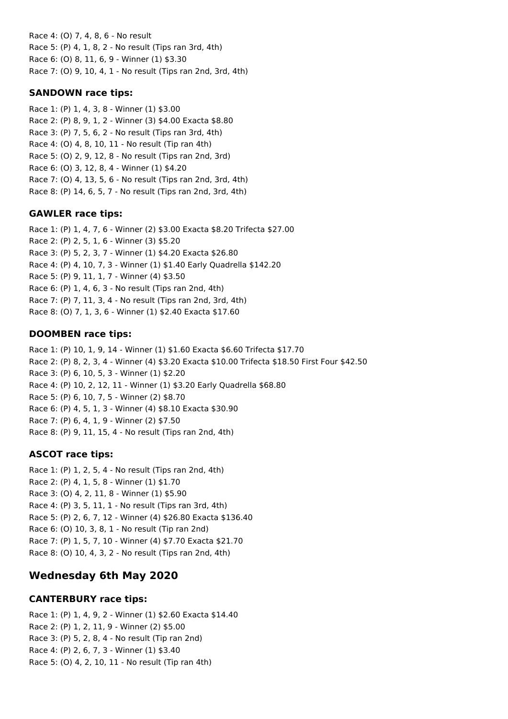Race 4: (O) 7, 4, 8, 6 - No result Race 5: (P) 4, 1, 8, 2 - No result (Tips ran 3rd, 4th) Race 6: (O) 8, 11, 6, 9 - Winner (1) \$3.30 Race 7: (O) 9, 10, 4, 1 - No result (Tips ran 2nd, 3rd, 4th)

### **SANDOWN race tips:**

Race 1: (P) 1, 4, 3, 8 - Winner (1) \$3.00 Race 2: (P) 8, 9, 1, 2 - Winner (3) \$4.00 Exacta \$8.80 Race 3: (P) 7, 5, 6, 2 - No result (Tips ran 3rd, 4th) Race 4: (O) 4, 8, 10, 11 - No result (Tip ran 4th) Race 5: (O) 2, 9, 12, 8 - No result (Tips ran 2nd, 3rd) Race 6: (O) 3, 12, 8, 4 - Winner (1) \$4.20 Race 7: (O) 4, 13, 5, 6 - No result (Tips ran 2nd, 3rd, 4th) Race 8: (P) 14, 6, 5, 7 - No result (Tips ran 2nd, 3rd, 4th)

# **GAWLER race tips:**

Race 1: (P) 1, 4, 7, 6 - Winner (2) \$3.00 Exacta \$8.20 Trifecta \$27.00 Race 2: (P) 2, 5, 1, 6 - Winner (3) \$5.20 Race 3: (P) 5, 2, 3, 7 - Winner (1) \$4.20 Exacta \$26.80 Race 4: (P) 4, 10, 7, 3 - Winner (1) \$1.40 Early Quadrella \$142.20 Race 5: (P) 9, 11, 1, 7 - Winner (4) \$3.50 Race 6: (P) 1, 4, 6, 3 - No result (Tips ran 2nd, 4th) Race 7: (P) 7, 11, 3, 4 - No result (Tips ran 2nd, 3rd, 4th) Race 8: (O) 7, 1, 3, 6 - Winner (1) \$2.40 Exacta \$17.60

# **DOOMBEN race tips:**

Race 1: (P) 10, 1, 9, 14 - Winner (1) \$1.60 Exacta \$6.60 Trifecta \$17.70 Race 2: (P) 8, 2, 3, 4 - Winner (4) \$3.20 Exacta \$10.00 Trifecta \$18.50 First Four \$42.50 Race 3: (P) 6, 10, 5, 3 - Winner (1) \$2.20 Race 4: (P) 10, 2, 12, 11 - Winner (1) \$3.20 Early Quadrella \$68.80 Race 5: (P) 6, 10, 7, 5 - Winner (2) \$8.70 Race 6: (P) 4, 5, 1, 3 - Winner (4) \$8.10 Exacta \$30.90 Race 7: (P) 6, 4, 1, 9 - Winner (2) \$7.50 Race 8: (P) 9, 11, 15, 4 - No result (Tips ran 2nd, 4th)

# **ASCOT race tips:**

Race 1: (P) 1, 2, 5, 4 - No result (Tips ran 2nd, 4th) Race 2: (P) 4, 1, 5, 8 - Winner (1) \$1.70 Race 3: (O) 4, 2, 11, 8 - Winner (1) \$5.90 Race 4: (P) 3, 5, 11, 1 - No result (Tips ran 3rd, 4th) Race 5: (P) 2, 6, 7, 12 - Winner (4) \$26.80 Exacta \$136.40 Race 6: (O) 10, 3, 8, 1 - No result (Tip ran 2nd) Race 7: (P) 1, 5, 7, 10 - Winner (4) \$7.70 Exacta \$21.70 Race 8: (O) 10, 4, 3, 2 - No result (Tips ran 2nd, 4th)

# **Wednesday 6th May 2020**

### **CANTERBURY race tips:**

Race 1: (P) 1, 4, 9, 2 - Winner (1) \$2.60 Exacta \$14.40 Race 2: (P) 1, 2, 11, 9 - Winner (2) \$5.00 Race 3: (P) 5, 2, 8, 4 - No result (Tip ran 2nd) Race 4: (P) 2, 6, 7, 3 - Winner (1) \$3.40 Race 5: (O) 4, 2, 10, 11 - No result (Tip ran 4th)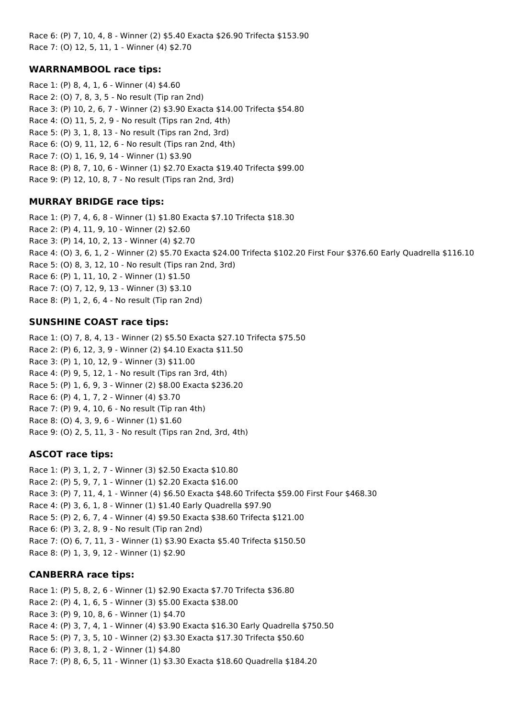Race 6: (P) 7, 10, 4, 8 - Winner (2) \$5.40 Exacta \$26.90 Trifecta \$153.90 Race 7: (O) 12, 5, 11, 1 - Winner (4) \$2.70

### **WARRNAMBOOL race tips:**

Race 1: (P) 8, 4, 1, 6 - Winner (4) \$4.60 Race 2: (O) 7, 8, 3, 5 - No result (Tip ran 2nd) Race 3: (P) 10, 2, 6, 7 - Winner (2) \$3.90 Exacta \$14.00 Trifecta \$54.80 Race 4: (O) 11, 5, 2, 9 - No result (Tips ran 2nd, 4th) Race 5: (P) 3, 1, 8, 13 - No result (Tips ran 2nd, 3rd) Race 6: (O) 9, 11, 12, 6 - No result (Tips ran 2nd, 4th) Race 7: (O) 1, 16, 9, 14 - Winner (1) \$3.90 Race 8: (P) 8, 7, 10, 6 - Winner (1) \$2.70 Exacta \$19.40 Trifecta \$99.00 Race 9: (P) 12, 10, 8, 7 - No result (Tips ran 2nd, 3rd)

#### **MURRAY BRIDGE race tips:**

Race 1: (P) 7, 4, 6, 8 - Winner (1) \$1.80 Exacta \$7.10 Trifecta \$18.30 Race 2: (P) 4, 11, 9, 10 - Winner (2) \$2.60 Race 3: (P) 14, 10, 2, 13 - Winner (4) \$2.70 Race 4: (O) 3, 6, 1, 2 - Winner (2) \$5.70 Exacta \$24.00 Trifecta \$102.20 First Four \$376.60 Early Quadrella \$116.10 Race 5: (O) 8, 3, 12, 10 - No result (Tips ran 2nd, 3rd) Race 6: (P) 1, 11, 10, 2 - Winner (1) \$1.50 Race 7: (O) 7, 12, 9, 13 - Winner (3) \$3.10 Race 8: (P) 1, 2, 6, 4 - No result (Tip ran 2nd)

#### **SUNSHINE COAST race tips:**

Race 1: (O) 7, 8, 4, 13 - Winner (2) \$5.50 Exacta \$27.10 Trifecta \$75.50 Race 2: (P) 6, 12, 3, 9 - Winner (2) \$4.10 Exacta \$11.50 Race 3: (P) 1, 10, 12, 9 - Winner (3) \$11.00 Race 4: (P) 9, 5, 12, 1 - No result (Tips ran 3rd, 4th) Race 5: (P) 1, 6, 9, 3 - Winner (2) \$8.00 Exacta \$236.20 Race 6: (P) 4, 1, 7, 2 - Winner (4) \$3.70 Race 7: (P) 9, 4, 10, 6 - No result (Tip ran 4th) Race 8: (O) 4, 3, 9, 6 - Winner (1) \$1.60 Race 9: (O) 2, 5, 11, 3 - No result (Tips ran 2nd, 3rd, 4th)

### **ASCOT race tips:**

Race 1: (P) 3, 1, 2, 7 - Winner (3) \$2.50 Exacta \$10.80 Race 2: (P) 5, 9, 7, 1 - Winner (1) \$2.20 Exacta \$16.00 Race 3: (P) 7, 11, 4, 1 - Winner (4) \$6.50 Exacta \$48.60 Trifecta \$59.00 First Four \$468.30 Race 4: (P) 3, 6, 1, 8 - Winner (1) \$1.40 Early Quadrella \$97.90 Race 5: (P) 2, 6, 7, 4 - Winner (4) \$9.50 Exacta \$38.60 Trifecta \$121.00 Race 6: (P) 3, 2, 8, 9 - No result (Tip ran 2nd) Race 7: (O) 6, 7, 11, 3 - Winner (1) \$3.90 Exacta \$5.40 Trifecta \$150.50 Race 8: (P) 1, 3, 9, 12 - Winner (1) \$2.90

#### **CANBERRA race tips:**

Race 1: (P) 5, 8, 2, 6 - Winner (1) \$2.90 Exacta \$7.70 Trifecta \$36.80 Race 2: (P) 4, 1, 6, 5 - Winner (3) \$5.00 Exacta \$38.00 Race 3: (P) 9, 10, 8, 6 - Winner (1) \$4.70 Race 4: (P) 3, 7, 4, 1 - Winner (4) \$3.90 Exacta \$16.30 Early Quadrella \$750.50 Race 5: (P) 7, 3, 5, 10 - Winner (2) \$3.30 Exacta \$17.30 Trifecta \$50.60 Race 6: (P) 3, 8, 1, 2 - Winner (1) \$4.80 Race 7: (P) 8, 6, 5, 11 - Winner (1) \$3.30 Exacta \$18.60 Quadrella \$184.20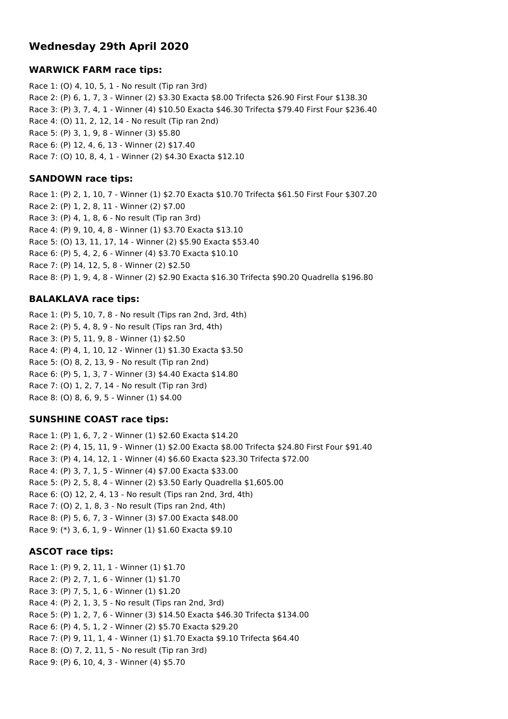# **Wednesday 29th April 2020**

### **WARWICK FARM race tips:**

Race 1: (O) 4, 10, 5, 1 - No result (Tip ran 3rd) Race 2: (P) 6, 1, 7, 3 - Winner (2) \$3.30 Exacta \$8.00 Trifecta \$26.90 First Four \$138.30 Race 3: (P) 3, 7, 4, 1 - Winner (4) \$10.50 Exacta \$46.30 Trifecta \$79.40 First Four \$236.40 Race 4: (O) 11, 2, 12, 14 - No result (Tip ran 2nd) Race 5: (P) 3, 1, 9, 8 - Winner (3) \$5.80 Race 6: (P) 12, 4, 6, 13 - Winner (2) \$17.40 Race 7: (O) 10, 8, 4, 1 - Winner (2) \$4.30 Exacta \$12.10

### **SANDOWN race tips:**

Race 1: (P) 2, 1, 10, 7 - Winner (1) \$2.70 Exacta \$10.70 Trifecta \$61.50 First Four \$307.20 Race 2: (P) 1, 2, 8, 11 - Winner (2) \$7.00 Race 3: (P) 4, 1, 8, 6 - No result (Tip ran 3rd) Race 4: (P) 9, 10, 4, 8 - Winner (1) \$3.70 Exacta \$13.10 Race 5: (O) 13, 11, 17, 14 - Winner (2) \$5.90 Exacta \$53.40 Race 6: (P) 5, 4, 2, 6 - Winner (4) \$3.70 Exacta \$10.10 Race 7: (P) 14, 12, 5, 8 - Winner (2) \$2.50 Race 8: (P) 1, 9, 4, 8 - Winner (2) \$2.90 Exacta \$16.30 Trifecta \$90.20 Quadrella \$196.80

### **BALAKLAVA race tips:**

Race 1: (P) 5, 10, 7, 8 - No result (Tips ran 2nd, 3rd, 4th) Race 2: (P) 5, 4, 8, 9 - No result (Tips ran 3rd, 4th) Race 3: (P) 5, 11, 9, 8 - Winner (1) \$2.50 Race 4: (P) 4, 1, 10, 12 - Winner (1) \$1.30 Exacta \$3.50 Race 5: (O) 8, 2, 13, 9 - No result (Tip ran 2nd) Race 6: (P) 5, 1, 3, 7 - Winner (3) \$4.40 Exacta \$14.80 Race 7: (O) 1, 2, 7, 14 - No result (Tip ran 3rd) Race 8: (O) 8, 6, 9, 5 - Winner (1) \$4.00

### **SUNSHINE COAST race tips:**

Race 1: (P) 1, 6, 7, 2 - Winner (1) \$2.60 Exacta \$14.20 Race 2: (P) 4, 15, 11, 9 - Winner (1) \$2.00 Exacta \$8.00 Trifecta \$24.80 First Four \$91.40 Race 3: (P) 4, 14, 12, 1 - Winner (4) \$6.60 Exacta \$23.30 Trifecta \$72.00 Race 4: (P) 3, 7, 1, 5 - Winner (4) \$7.00 Exacta \$33.00 Race 5: (P) 2, 5, 8, 4 - Winner (2) \$3.50 Early Quadrella \$1,605.00 Race 6: (O) 12, 2, 4, 13 - No result (Tips ran 2nd, 3rd, 4th) Race 7: (O) 2, 1, 8, 3 - No result (Tips ran 2nd, 4th) Race 8: (P) 5, 6, 7, 3 - Winner (3) \$7.00 Exacta \$48.00 Race 9: (\*) 3, 6, 1, 9 - Winner (1) \$1.60 Exacta \$9.10

### **ASCOT race tips:**

Race 1: (P) 9, 2, 11, 1 - Winner (1) \$1.70 Race 2: (P) 2, 7, 1, 6 - Winner (1) \$1.70 Race 3: (P) 7, 5, 1, 6 - Winner (1) \$1.20 Race 4: (P) 2, 1, 3, 5 - No result (Tips ran 2nd, 3rd) Race 5: (P) 1, 2, 7, 6 - Winner (3) \$14.50 Exacta \$46.30 Trifecta \$134.00 Race 6: (P) 4, 5, 1, 2 - Winner (2) \$5.70 Exacta \$29.20 Race 7: (P) 9, 11, 1, 4 - Winner (1) \$1.70 Exacta \$9.10 Trifecta \$64.40 Race 8: (O) 7, 2, 11, 5 - No result (Tip ran 3rd) Race 9: (P) 6, 10, 4, 3 - Winner (4) \$5.70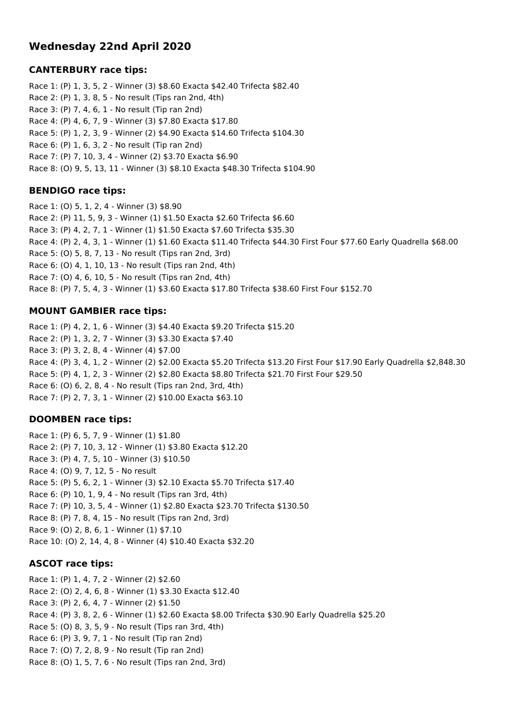# **Wednesday 22nd April 2020**

#### **CANTERBURY race tips:**

Race 1: (P) 1, 3, 5, 2 - Winner (3) \$8.60 Exacta \$42.40 Trifecta \$82.40 Race 2: (P) 1, 3, 8, 5 - No result (Tips ran 2nd, 4th) Race 3: (P) 7, 4, 6, 1 - No result (Tip ran 2nd) Race 4: (P) 4, 6, 7, 9 - Winner (3) \$7.80 Exacta \$17.80 Race 5: (P) 1, 2, 3, 9 - Winner (2) \$4.90 Exacta \$14.60 Trifecta \$104.30 Race 6: (P) 1, 6, 3, 2 - No result (Tip ran 2nd) Race 7: (P) 7, 10, 3, 4 - Winner (2) \$3.70 Exacta \$6.90 Race 8: (O) 9, 5, 13, 11 - Winner (3) \$8.10 Exacta \$48.30 Trifecta \$104.90

#### **BENDIGO race tips:**

Race 1: (O) 5, 1, 2, 4 - Winner (3) \$8.90 Race 2: (P) 11, 5, 9, 3 - Winner (1) \$1.50 Exacta \$2.60 Trifecta \$6.60 Race 3: (P) 4, 2, 7, 1 - Winner (1) \$1.50 Exacta \$7.60 Trifecta \$35.30 Race 4: (P) 2, 4, 3, 1 - Winner (1) \$1.60 Exacta \$11.40 Trifecta \$44.30 First Four \$77.60 Early Quadrella \$68.00 Race 5: (O) 5, 8, 7, 13 - No result (Tips ran 2nd, 3rd) Race 6: (O) 4, 1, 10, 13 - No result (Tips ran 2nd, 4th) Race 7: (O) 4, 6, 10, 5 - No result (Tips ran 2nd, 4th) Race 8: (P) 7, 5, 4, 3 - Winner (1) \$3.60 Exacta \$17.80 Trifecta \$38.60 First Four \$152.70

### **MOUNT GAMBIER race tips:**

Race 1: (P) 4, 2, 1, 6 - Winner (3) \$4.40 Exacta \$9.20 Trifecta \$15.20 Race 2: (P) 1, 3, 2, 7 - Winner (3) \$3.30 Exacta \$7.40 Race 3: (P) 3, 2, 8, 4 - Winner (4) \$7.00 Race 4: (P) 3, 4, 1, 2 - Winner (2) \$2.00 Exacta \$5.20 Trifecta \$13.20 First Four \$17.90 Early Quadrella \$2,848.30 Race 5: (P) 4, 1, 2, 3 - Winner (2) \$2.80 Exacta \$8.80 Trifecta \$21.70 First Four \$29.50 Race 6: (O) 6, 2, 8, 4 - No result (Tips ran 2nd, 3rd, 4th) Race 7: (P) 2, 7, 3, 1 - Winner (2) \$10.00 Exacta \$63.10

#### **DOOMBEN race tips:**

Race 1: (P) 6, 5, 7, 9 - Winner (1) \$1.80 Race 2: (P) 7, 10, 3, 12 - Winner (1) \$3.80 Exacta \$12.20 Race 3: (P) 4, 7, 5, 10 - Winner (3) \$10.50 Race 4: (O) 9, 7, 12, 5 - No result Race 5: (P) 5, 6, 2, 1 - Winner (3) \$2.10 Exacta \$5.70 Trifecta \$17.40 Race 6: (P) 10, 1, 9, 4 - No result (Tips ran 3rd, 4th) Race 7: (P) 10, 3, 5, 4 - Winner (1) \$2.80 Exacta \$23.70 Trifecta \$130.50 Race 8: (P) 7, 8, 4, 15 - No result (Tips ran 2nd, 3rd) Race 9: (O) 2, 8, 6, 1 - Winner (1) \$7.10 Race 10: (O) 2, 14, 4, 8 - Winner (4) \$10.40 Exacta \$32.20

### **ASCOT race tips:**

Race 1: (P) 1, 4, 7, 2 - Winner (2) \$2.60 Race 2: (O) 2, 4, 6, 8 - Winner (1) \$3.30 Exacta \$12.40 Race 3: (P) 2, 6, 4, 7 - Winner (2) \$1.50 Race 4: (P) 3, 8, 2, 6 - Winner (1) \$2.60 Exacta \$8.00 Trifecta \$30.90 Early Quadrella \$25.20 Race 5: (O) 8, 3, 5, 9 - No result (Tips ran 3rd, 4th) Race 6: (P) 3, 9, 7, 1 - No result (Tip ran 2nd) Race 7: (O) 7, 2, 8, 9 - No result (Tip ran 2nd) Race 8: (O) 1, 5, 7, 6 - No result (Tips ran 2nd, 3rd)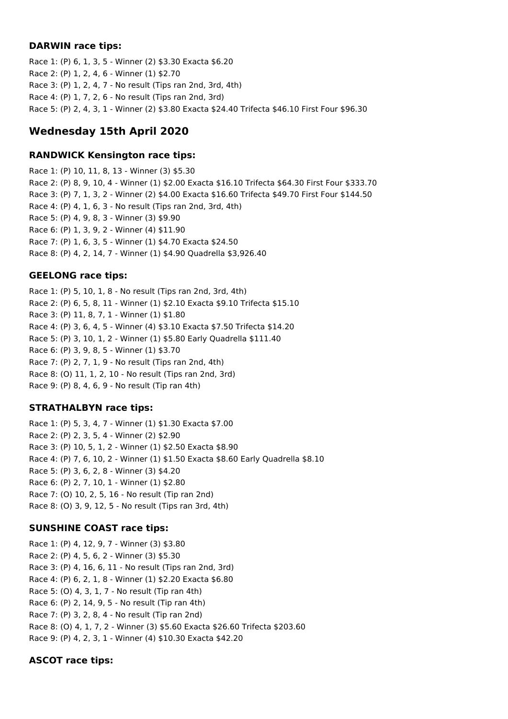#### **DARWIN race tips:**

Race 1: (P) 6, 1, 3, 5 - Winner (2) \$3.30 Exacta \$6.20 Race 2: (P) 1, 2, 4, 6 - Winner (1) \$2.70 Race 3: (P) 1, 2, 4, 7 - No result (Tips ran 2nd, 3rd, 4th) Race 4: (P) 1, 7, 2, 6 - No result (Tips ran 2nd, 3rd) Race 5: (P) 2, 4, 3, 1 - Winner (2) \$3.80 Exacta \$24.40 Trifecta \$46.10 First Four \$96.30

# **Wednesday 15th April 2020**

### **RANDWICK Kensington race tips:**

Race 1: (P) 10, 11, 8, 13 - Winner (3) \$5.30 Race 2: (P) 8, 9, 10, 4 - Winner (1) \$2.00 Exacta \$16.10 Trifecta \$64.30 First Four \$333.70 Race 3: (P) 7, 1, 3, 2 - Winner (2) \$4.00 Exacta \$16.60 Trifecta \$49.70 First Four \$144.50 Race 4: (P) 4, 1, 6, 3 - No result (Tips ran 2nd, 3rd, 4th) Race 5: (P) 4, 9, 8, 3 - Winner (3) \$9.90 Race 6: (P) 1, 3, 9, 2 - Winner (4) \$11.90 Race 7: (P) 1, 6, 3, 5 - Winner (1) \$4.70 Exacta \$24.50 Race 8: (P) 4, 2, 14, 7 - Winner (1) \$4.90 Quadrella \$3,926.40

# **GEELONG race tips:**

Race 1: (P) 5, 10, 1, 8 - No result (Tips ran 2nd, 3rd, 4th) Race 2: (P) 6, 5, 8, 11 - Winner (1) \$2.10 Exacta \$9.10 Trifecta \$15.10 Race 3: (P) 11, 8, 7, 1 - Winner (1) \$1.80 Race 4: (P) 3, 6, 4, 5 - Winner (4) \$3.10 Exacta \$7.50 Trifecta \$14.20 Race 5: (P) 3, 10, 1, 2 - Winner (1) \$5.80 Early Quadrella \$111.40 Race 6: (P) 3, 9, 8, 5 - Winner (1) \$3.70 Race 7: (P) 2, 7, 1, 9 - No result (Tips ran 2nd, 4th) Race 8: (O) 11, 1, 2, 10 - No result (Tips ran 2nd, 3rd) Race 9: (P) 8, 4, 6, 9 - No result (Tip ran 4th)

# **STRATHALBYN race tips:**

Race 1: (P) 5, 3, 4, 7 - Winner (1) \$1.30 Exacta \$7.00 Race 2: (P) 2, 3, 5, 4 - Winner (2) \$2.90 Race 3: (P) 10, 5, 1, 2 - Winner (1) \$2.50 Exacta \$8.90 Race 4: (P) 7, 6, 10, 2 - Winner (1) \$1.50 Exacta \$8.60 Early Quadrella \$8.10 Race 5: (P) 3, 6, 2, 8 - Winner (3) \$4.20 Race 6: (P) 2, 7, 10, 1 - Winner (1) \$2.80 Race 7: (O) 10, 2, 5, 16 - No result (Tip ran 2nd) Race 8: (O) 3, 9, 12, 5 - No result (Tips ran 3rd, 4th)

# **SUNSHINE COAST race tips:**

Race 1: (P) 4, 12, 9, 7 - Winner (3) \$3.80 Race 2: (P) 4, 5, 6, 2 - Winner (3) \$5.30 Race 3: (P) 4, 16, 6, 11 - No result (Tips ran 2nd, 3rd) Race 4: (P) 6, 2, 1, 8 - Winner (1) \$2.20 Exacta \$6.80 Race 5: (O) 4, 3, 1, 7 - No result (Tip ran 4th) Race 6: (P) 2, 14, 9, 5 - No result (Tip ran 4th) Race 7: (P) 3, 2, 8, 4 - No result (Tip ran 2nd) Race 8: (O) 4, 1, 7, 2 - Winner (3) \$5.60 Exacta \$26.60 Trifecta \$203.60 Race 9: (P) 4, 2, 3, 1 - Winner (4) \$10.30 Exacta \$42.20

# **ASCOT race tips:**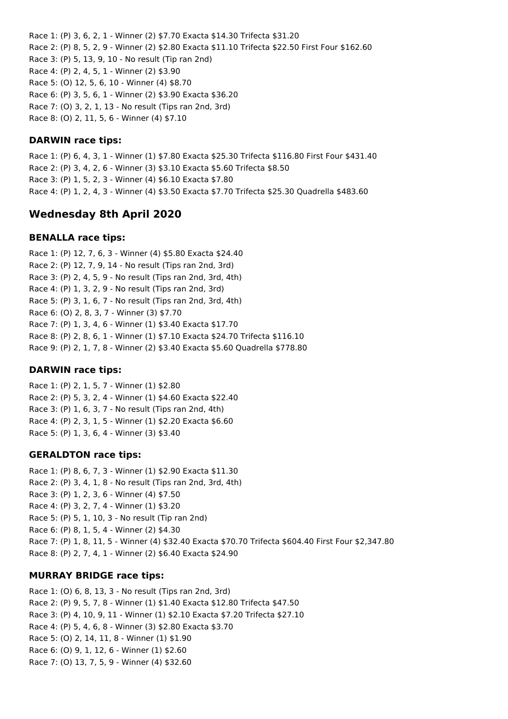Race 1: (P) 3, 6, 2, 1 - Winner (2) \$7.70 Exacta \$14.30 Trifecta \$31.20 Race 2: (P) 8, 5, 2, 9 - Winner (2) \$2.80 Exacta \$11.10 Trifecta \$22.50 First Four \$162.60 Race 3: (P) 5, 13, 9, 10 - No result (Tip ran 2nd) Race 4: (P) 2, 4, 5, 1 - Winner (2) \$3.90 Race 5: (O) 12, 5, 6, 10 - Winner (4) \$8.70 Race 6: (P) 3, 5, 6, 1 - Winner (2) \$3.90 Exacta \$36.20 Race 7: (O) 3, 2, 1, 13 - No result (Tips ran 2nd, 3rd) Race 8: (O) 2, 11, 5, 6 - Winner (4) \$7.10

#### **DARWIN race tips:**

Race 1: (P) 6, 4, 3, 1 - Winner (1) \$7.80 Exacta \$25.30 Trifecta \$116.80 First Four \$431.40 Race 2: (P) 3, 4, 2, 6 - Winner (3) \$3.10 Exacta \$5.60 Trifecta \$8.50 Race 3: (P) 1, 5, 2, 3 - Winner (4) \$6.10 Exacta \$7.80 Race 4: (P) 1, 2, 4, 3 - Winner (4) \$3.50 Exacta \$7.70 Trifecta \$25.30 Quadrella \$483.60

# **Wednesday 8th April 2020**

#### **BENALLA race tips:**

Race 1: (P) 12, 7, 6, 3 - Winner (4) \$5.80 Exacta \$24.40 Race 2: (P) 12, 7, 9, 14 - No result (Tips ran 2nd, 3rd) Race 3: (P) 2, 4, 5, 9 - No result (Tips ran 2nd, 3rd, 4th) Race 4: (P) 1, 3, 2, 9 - No result (Tips ran 2nd, 3rd) Race 5: (P) 3, 1, 6, 7 - No result (Tips ran 2nd, 3rd, 4th) Race 6: (O) 2, 8, 3, 7 - Winner (3) \$7.70 Race 7: (P) 1, 3, 4, 6 - Winner (1) \$3.40 Exacta \$17.70 Race 8: (P) 2, 8, 6, 1 - Winner (1) \$7.10 Exacta \$24.70 Trifecta \$116.10 Race 9: (P) 2, 1, 7, 8 - Winner (2) \$3.40 Exacta \$5.60 Quadrella \$778.80

#### **DARWIN race tips:**

Race 1: (P) 2, 1, 5, 7 - Winner (1) \$2.80 Race 2: (P) 5, 3, 2, 4 - Winner (1) \$4.60 Exacta \$22.40 Race 3: (P) 1, 6, 3, 7 - No result (Tips ran 2nd, 4th) Race 4: (P) 2, 3, 1, 5 - Winner (1) \$2.20 Exacta \$6.60 Race 5: (P) 1, 3, 6, 4 - Winner (3) \$3.40

#### **GERALDTON race tips:**

Race 1: (P) 8, 6, 7, 3 - Winner (1) \$2.90 Exacta \$11.30 Race 2: (P) 3, 4, 1, 8 - No result (Tips ran 2nd, 3rd, 4th) Race 3: (P) 1, 2, 3, 6 - Winner (4) \$7.50 Race 4: (P) 3, 2, 7, 4 - Winner (1) \$3.20 Race 5: (P) 5, 1, 10, 3 - No result (Tip ran 2nd) Race 6: (P) 8, 1, 5, 4 - Winner (2) \$4.30 Race 7: (P) 1, 8, 11, 5 - Winner (4) \$32.40 Exacta \$70.70 Trifecta \$604.40 First Four \$2,347.80 Race 8: (P) 2, 7, 4, 1 - Winner (2) \$6.40 Exacta \$24.90

### **MURRAY BRIDGE race tips:**

Race 1: (O) 6, 8, 13, 3 - No result (Tips ran 2nd, 3rd) Race 2: (P) 9, 5, 7, 8 - Winner (1) \$1.40 Exacta \$12.80 Trifecta \$47.50 Race 3: (P) 4, 10, 9, 11 - Winner (1) \$2.10 Exacta \$7.20 Trifecta \$27.10 Race 4: (P) 5, 4, 6, 8 - Winner (3) \$2.80 Exacta \$3.70 Race 5: (O) 2, 14, 11, 8 - Winner (1) \$1.90 Race 6: (O) 9, 1, 12, 6 - Winner (1) \$2.60 Race 7: (O) 13, 7, 5, 9 - Winner (4) \$32.60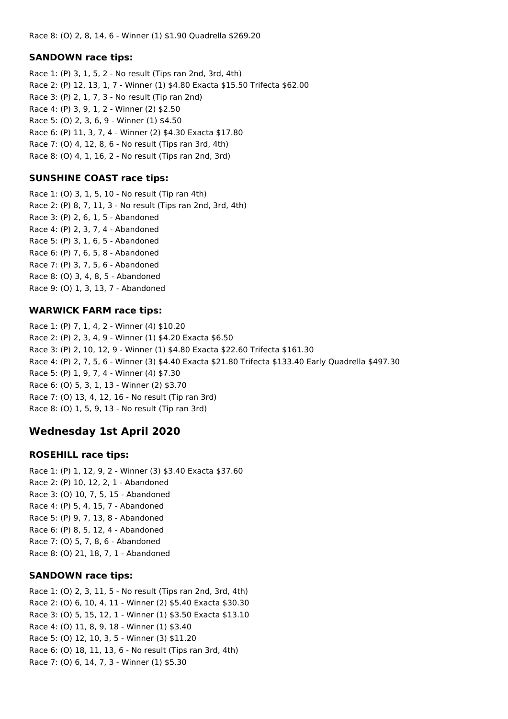#### **SANDOWN race tips:**

Race 1: (P) 3, 1, 5, 2 - No result (Tips ran 2nd, 3rd, 4th) Race 2: (P) 12, 13, 1, 7 - Winner (1) \$4.80 Exacta \$15.50 Trifecta \$62.00 Race 3: (P) 2, 1, 7, 3 - No result (Tip ran 2nd) Race 4: (P) 3, 9, 1, 2 - Winner (2) \$2.50 Race 5: (O) 2, 3, 6, 9 - Winner (1) \$4.50 Race 6: (P) 11, 3, 7, 4 - Winner (2) \$4.30 Exacta \$17.80 Race 7: (O) 4, 12, 8, 6 - No result (Tips ran 3rd, 4th) Race 8: (O) 4, 1, 16, 2 - No result (Tips ran 2nd, 3rd)

### **SUNSHINE COAST race tips:**

Race 1: (O) 3, 1, 5, 10 - No result (Tip ran 4th) Race 2: (P) 8, 7, 11, 3 - No result (Tips ran 2nd, 3rd, 4th) Race 3: (P) 2, 6, 1, 5 - Abandoned Race 4: (P) 2, 3, 7, 4 - Abandoned Race 5: (P) 3, 1, 6, 5 - Abandoned Race 6: (P) 7, 6, 5, 8 - Abandoned Race 7: (P) 3, 7, 5, 6 - Abandoned Race 8: (O) 3, 4, 8, 5 - Abandoned Race 9: (O) 1, 3, 13, 7 - Abandoned

#### **WARWICK FARM race tips:**

Race 1: (P) 7, 1, 4, 2 - Winner (4) \$10.20 Race 2: (P) 2, 3, 4, 9 - Winner (1) \$4.20 Exacta \$6.50 Race 3: (P) 2, 10, 12, 9 - Winner (1) \$4.80 Exacta \$22.60 Trifecta \$161.30 Race 4: (P) 2, 7, 5, 6 - Winner (3) \$4.40 Exacta \$21.80 Trifecta \$133.40 Early Quadrella \$497.30 Race 5: (P) 1, 9, 7, 4 - Winner (4) \$7.30 Race 6: (O) 5, 3, 1, 13 - Winner (2) \$3.70 Race 7: (O) 13, 4, 12, 16 - No result (Tip ran 3rd) Race 8: (O) 1, 5, 9, 13 - No result (Tip ran 3rd)

# **Wednesday 1st April 2020**

#### **ROSEHILL race tips:**

Race 1: (P) 1, 12, 9, 2 - Winner (3) \$3.40 Exacta \$37.60 Race 2: (P) 10, 12, 2, 1 - Abandoned Race 3: (O) 10, 7, 5, 15 - Abandoned Race 4: (P) 5, 4, 15, 7 - Abandoned Race 5: (P) 9, 7, 13, 8 - Abandoned Race 6: (P) 8, 5, 12, 4 - Abandoned Race 7: (O) 5, 7, 8, 6 - Abandoned Race 8: (O) 21, 18, 7, 1 - Abandoned

#### **SANDOWN race tips:**

Race 1: (O) 2, 3, 11, 5 - No result (Tips ran 2nd, 3rd, 4th) Race 2: (O) 6, 10, 4, 11 - Winner (2) \$5.40 Exacta \$30.30 Race 3: (O) 5, 15, 12, 1 - Winner (1) \$3.50 Exacta \$13.10 Race 4: (O) 11, 8, 9, 18 - Winner (1) \$3.40 Race 5: (O) 12, 10, 3, 5 - Winner (3) \$11.20 Race 6: (O) 18, 11, 13, 6 - No result (Tips ran 3rd, 4th) Race 7: (O) 6, 14, 7, 3 - Winner (1) \$5.30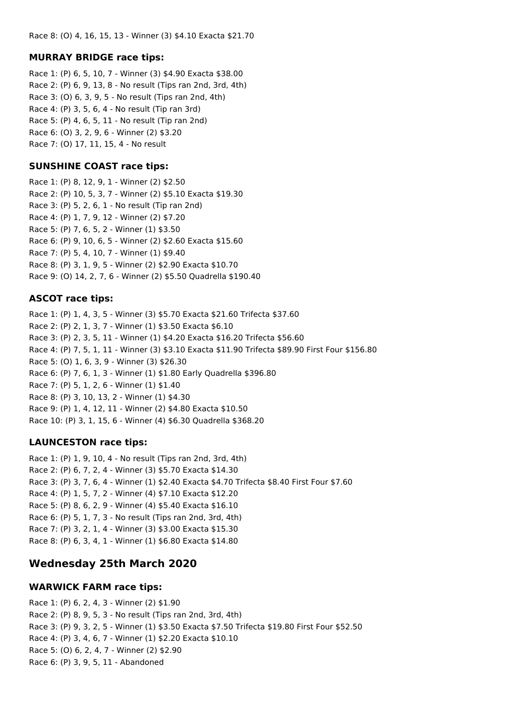#### **MURRAY BRIDGE race tips:**

Race 1: (P) 6, 5, 10, 7 - Winner (3) \$4.90 Exacta \$38.00 Race 2: (P) 6, 9, 13, 8 - No result (Tips ran 2nd, 3rd, 4th) Race 3: (O) 6, 3, 9, 5 - No result (Tips ran 2nd, 4th) Race 4: (P) 3, 5, 6, 4 - No result (Tip ran 3rd) Race 5: (P) 4, 6, 5, 11 - No result (Tip ran 2nd) Race 6: (O) 3, 2, 9, 6 - Winner (2) \$3.20 Race 7: (O) 17, 11, 15, 4 - No result

#### **SUNSHINE COAST race tips:**

Race 1: (P) 8, 12, 9, 1 - Winner (2) \$2.50 Race 2: (P) 10, 5, 3, 7 - Winner (2) \$5.10 Exacta \$19.30 Race 3: (P) 5, 2, 6, 1 - No result (Tip ran 2nd) Race 4: (P) 1, 7, 9, 12 - Winner (2) \$7.20 Race 5: (P) 7, 6, 5, 2 - Winner (1) \$3.50 Race 6: (P) 9, 10, 6, 5 - Winner (2) \$2.60 Exacta \$15.60 Race 7: (P) 5, 4, 10, 7 - Winner (1) \$9.40 Race 8: (P) 3, 1, 9, 5 - Winner (2) \$2.90 Exacta \$10.70 Race 9: (O) 14, 2, 7, 6 - Winner (2) \$5.50 Quadrella \$190.40

#### **ASCOT race tips:**

Race 1: (P) 1, 4, 3, 5 - Winner (3) \$5.70 Exacta \$21.60 Trifecta \$37.60 Race 2: (P) 2, 1, 3, 7 - Winner (1) \$3.50 Exacta \$6.10 Race 3: (P) 2, 3, 5, 11 - Winner (1) \$4.20 Exacta \$16.20 Trifecta \$56.60 Race 4: (P) 7, 5, 1, 11 - Winner (3) \$3.10 Exacta \$11.90 Trifecta \$89.90 First Four \$156.80 Race 5: (O) 1, 6, 3, 9 - Winner (3) \$26.30 Race 6: (P) 7, 6, 1, 3 - Winner (1) \$1.80 Early Quadrella \$396.80 Race 7: (P) 5, 1, 2, 6 - Winner (1) \$1.40 Race 8: (P) 3, 10, 13, 2 - Winner (1) \$4.30 Race 9: (P) 1, 4, 12, 11 - Winner (2) \$4.80 Exacta \$10.50 Race 10: (P) 3, 1, 15, 6 - Winner (4) \$6.30 Quadrella \$368.20

#### **LAUNCESTON race tips:**

Race 1: (P) 1, 9, 10, 4 - No result (Tips ran 2nd, 3rd, 4th) Race 2: (P) 6, 7, 2, 4 - Winner (3) \$5.70 Exacta \$14.30 Race 3: (P) 3, 7, 6, 4 - Winner (1) \$2.40 Exacta \$4.70 Trifecta \$8.40 First Four \$7.60 Race 4: (P) 1, 5, 7, 2 - Winner (4) \$7.10 Exacta \$12.20 Race 5: (P) 8, 6, 2, 9 - Winner (4) \$5.40 Exacta \$16.10 Race 6: (P) 5, 1, 7, 3 - No result (Tips ran 2nd, 3rd, 4th) Race 7: (P) 3, 2, 1, 4 - Winner (3) \$3.00 Exacta \$15.30 Race 8: (P) 6, 3, 4, 1 - Winner (1) \$6.80 Exacta \$14.80

### **Wednesday 25th March 2020**

#### **WARWICK FARM race tips:**

Race 1: (P) 6, 2, 4, 3 - Winner (2) \$1.90 Race 2: (P) 8, 9, 5, 3 - No result (Tips ran 2nd, 3rd, 4th) Race 3: (P) 9, 3, 2, 5 - Winner (1) \$3.50 Exacta \$7.50 Trifecta \$19.80 First Four \$52.50 Race 4: (P) 3, 4, 6, 7 - Winner (1) \$2.20 Exacta \$10.10 Race 5: (O) 6, 2, 4, 7 - Winner (2) \$2.90 Race 6: (P) 3, 9, 5, 11 - Abandoned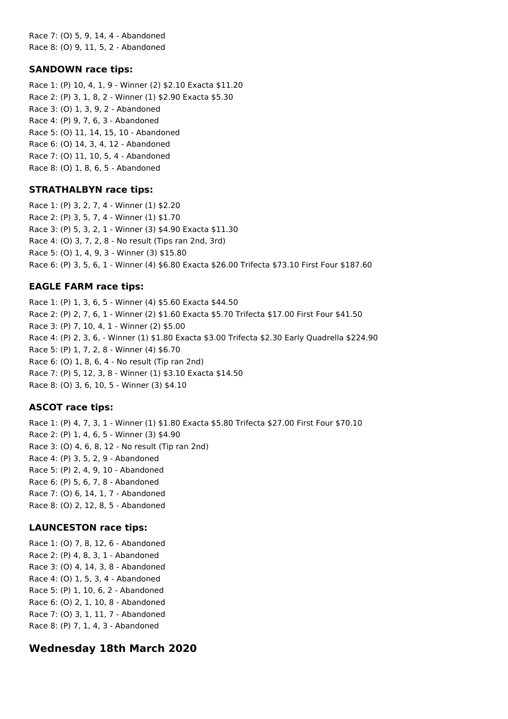Race 7: (O) 5, 9, 14, 4 - Abandoned Race 8: (O) 9, 11, 5, 2 - Abandoned

#### **SANDOWN race tips:**

Race 1: (P) 10, 4, 1, 9 - Winner (2) \$2.10 Exacta \$11.20 Race 2: (P) 3, 1, 8, 2 - Winner (1) \$2.90 Exacta \$5.30 Race 3: (O) 1, 3, 9, 2 - Abandoned Race 4: (P) 9, 7, 6, 3 - Abandoned Race 5: (O) 11, 14, 15, 10 - Abandoned Race 6: (O) 14, 3, 4, 12 - Abandoned Race 7: (O) 11, 10, 5, 4 - Abandoned Race 8: (O) 1, 8, 6, 5 - Abandoned

#### **STRATHALBYN race tips:**

Race 1: (P) 3, 2, 7, 4 - Winner (1) \$2.20 Race 2: (P) 3, 5, 7, 4 - Winner (1) \$1.70 Race 3: (P) 5, 3, 2, 1 - Winner (3) \$4.90 Exacta \$11.30 Race 4: (O) 3, 7, 2, 8 - No result (Tips ran 2nd, 3rd) Race 5: (O) 1, 4, 9, 3 - Winner (3) \$15.80 Race 6: (P) 3, 5, 6, 1 - Winner (4) \$6.80 Exacta \$26.00 Trifecta \$73.10 First Four \$187.60

#### **EAGLE FARM race tips:**

Race 1: (P) 1, 3, 6, 5 - Winner (4) \$5.60 Exacta \$44.50 Race 2: (P) 2, 7, 6, 1 - Winner (2) \$1.60 Exacta \$5.70 Trifecta \$17.00 First Four \$41.50 Race 3: (P) 7, 10, 4, 1 - Winner (2) \$5.00 Race 4: (P) 2, 3, 6, - Winner (1) \$1.80 Exacta \$3.00 Trifecta \$2.30 Early Quadrella \$224.90 Race 5: (P) 1, 7, 2, 8 - Winner (4) \$6.70 Race 6: (O) 1, 8, 6, 4 - No result (Tip ran 2nd) Race 7: (P) 5, 12, 3, 8 - Winner (1) \$3.10 Exacta \$14.50 Race 8: (O) 3, 6, 10, 5 - Winner (3) \$4.10

#### **ASCOT race tips:**

Race 1: (P) 4, 7, 3, 1 - Winner (1) \$1.80 Exacta \$5.80 Trifecta \$27.00 First Four \$70.10 Race 2: (P) 1, 4, 6, 5 - Winner (3) \$4.90 Race 3: (O) 4, 6, 8, 12 - No result (Tip ran 2nd) Race 4: (P) 3, 5, 2, 9 - Abandoned Race 5: (P) 2, 4, 9, 10 - Abandoned Race 6: (P) 5, 6, 7, 8 - Abandoned Race 7: (O) 6, 14, 1, 7 - Abandoned Race 8: (O) 2, 12, 8, 5 - Abandoned

#### **LAUNCESTON race tips:**

Race 1: (O) 7, 8, 12, 6 - Abandoned Race 2: (P) 4, 8, 3, 1 - Abandoned Race 3: (O) 4, 14, 3, 8 - Abandoned Race 4: (O) 1, 5, 3, 4 - Abandoned Race 5: (P) 1, 10, 6, 2 - Abandoned Race 6: (O) 2, 1, 10, 8 - Abandoned Race 7: (O) 3, 1, 11, 7 - Abandoned Race 8: (P) 7, 1, 4, 3 - Abandoned

### **Wednesday 18th March 2020**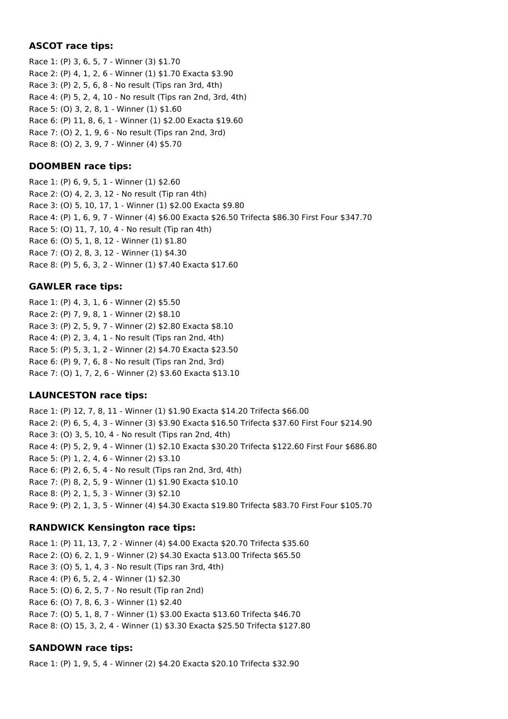### **ASCOT race tips:**

Race 1: (P) 3, 6, 5, 7 - Winner (3) \$1.70 Race 2: (P) 4, 1, 2, 6 - Winner (1) \$1.70 Exacta \$3.90 Race 3: (P) 2, 5, 6, 8 - No result (Tips ran 3rd, 4th) Race 4: (P) 5, 2, 4, 10 - No result (Tips ran 2nd, 3rd, 4th) Race 5: (O) 3, 2, 8, 1 - Winner (1) \$1.60 Race 6: (P) 11, 8, 6, 1 - Winner (1) \$2.00 Exacta \$19.60 Race 7: (O) 2, 1, 9, 6 - No result (Tips ran 2nd, 3rd) Race 8: (O) 2, 3, 9, 7 - Winner (4) \$5.70

#### **DOOMBEN race tips:**

Race 1: (P) 6, 9, 5, 1 - Winner (1) \$2.60 Race 2: (O) 4, 2, 3, 12 - No result (Tip ran 4th) Race 3: (O) 5, 10, 17, 1 - Winner (1) \$2.00 Exacta \$9.80 Race 4: (P) 1, 6, 9, 7 - Winner (4) \$6.00 Exacta \$26.50 Trifecta \$86.30 First Four \$347.70 Race 5: (O) 11, 7, 10, 4 - No result (Tip ran 4th) Race 6: (O) 5, 1, 8, 12 - Winner (1) \$1.80 Race 7: (O) 2, 8, 3, 12 - Winner (1) \$4.30 Race 8: (P) 5, 6, 3, 2 - Winner (1) \$7.40 Exacta \$17.60

#### **GAWLER race tips:**

Race 1: (P) 4, 3, 1, 6 - Winner (2) \$5.50 Race 2: (P) 7, 9, 8, 1 - Winner (2) \$8.10 Race 3: (P) 2, 5, 9, 7 - Winner (2) \$2.80 Exacta \$8.10 Race 4: (P) 2, 3, 4, 1 - No result (Tips ran 2nd, 4th) Race 5: (P) 5, 3, 1, 2 - Winner (2) \$4.70 Exacta \$23.50 Race 6: (P) 9, 7, 6, 8 - No result (Tips ran 2nd, 3rd) Race 7: (O) 1, 7, 2, 6 - Winner (2) \$3.60 Exacta \$13.10

### **LAUNCESTON race tips:**

Race 1: (P) 12, 7, 8, 11 - Winner (1) \$1.90 Exacta \$14.20 Trifecta \$66.00 Race 2: (P) 6, 5, 4, 3 - Winner (3) \$3.90 Exacta \$16.50 Trifecta \$37.60 First Four \$214.90 Race 3: (O) 3, 5, 10, 4 - No result (Tips ran 2nd, 4th) Race 4: (P) 5, 2, 9, 4 - Winner (1) \$2.10 Exacta \$30.20 Trifecta \$122.60 First Four \$686.80 Race 5: (P) 1, 2, 4, 6 - Winner (2) \$3.10 Race 6: (P) 2, 6, 5, 4 - No result (Tips ran 2nd, 3rd, 4th) Race 7: (P) 8, 2, 5, 9 - Winner (1) \$1.90 Exacta \$10.10 Race 8: (P) 2, 1, 5, 3 - Winner (3) \$2.10 Race 9: (P) 2, 1, 3, 5 - Winner (4) \$4.30 Exacta \$19.80 Trifecta \$83.70 First Four \$105.70

#### **RANDWICK Kensington race tips:**

Race 1: (P) 11, 13, 7, 2 - Winner (4) \$4.00 Exacta \$20.70 Trifecta \$35.60 Race 2: (O) 6, 2, 1, 9 - Winner (2) \$4.30 Exacta \$13.00 Trifecta \$65.50 Race 3: (O) 5, 1, 4, 3 - No result (Tips ran 3rd, 4th) Race 4: (P) 6, 5, 2, 4 - Winner (1) \$2.30 Race 5: (O) 6, 2, 5, 7 - No result (Tip ran 2nd) Race 6: (O) 7, 8, 6, 3 - Winner (1) \$2.40 Race 7: (O) 5, 1, 8, 7 - Winner (1) \$3.00 Exacta \$13.60 Trifecta \$46.70 Race 8: (O) 15, 3, 2, 4 - Winner (1) \$3.30 Exacta \$25.50 Trifecta \$127.80

#### **SANDOWN race tips:**

Race 1: (P) 1, 9, 5, 4 - Winner (2) \$4.20 Exacta \$20.10 Trifecta \$32.90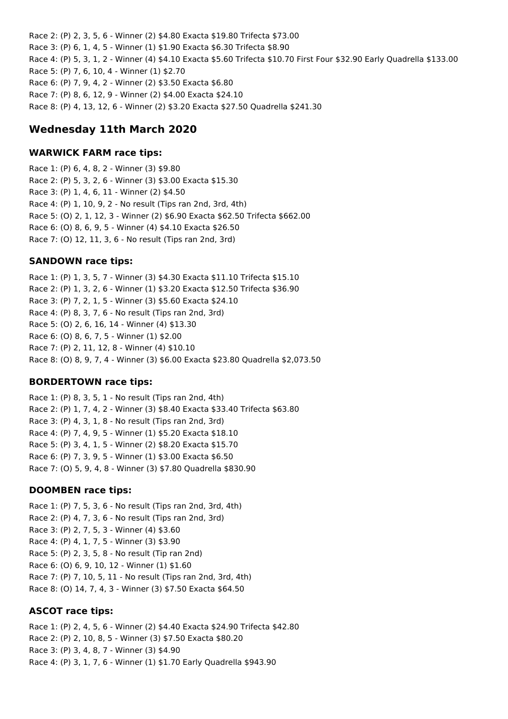Race 2: (P) 2, 3, 5, 6 - Winner (2) \$4.80 Exacta \$19.80 Trifecta \$73.00 Race 3: (P) 6, 1, 4, 5 - Winner (1) \$1.90 Exacta \$6.30 Trifecta \$8.90 Race 4: (P) 5, 3, 1, 2 - Winner (4) \$4.10 Exacta \$5.60 Trifecta \$10.70 First Four \$32.90 Early Quadrella \$133.00 Race 5: (P) 7, 6, 10, 4 - Winner (1) \$2.70 Race 6: (P) 7, 9, 4, 2 - Winner (2) \$3.50 Exacta \$6.80 Race 7: (P) 8, 6, 12, 9 - Winner (2) \$4.00 Exacta \$24.10 Race 8: (P) 4, 13, 12, 6 - Winner (2) \$3.20 Exacta \$27.50 Quadrella \$241.30

# **Wednesday 11th March 2020**

#### **WARWICK FARM race tips:**

Race 1: (P) 6, 4, 8, 2 - Winner (3) \$9.80 Race 2: (P) 5, 3, 2, 6 - Winner (3) \$3.00 Exacta \$15.30 Race 3: (P) 1, 4, 6, 11 - Winner (2) \$4.50 Race 4: (P) 1, 10, 9, 2 - No result (Tips ran 2nd, 3rd, 4th) Race 5: (O) 2, 1, 12, 3 - Winner (2) \$6.90 Exacta \$62.50 Trifecta \$662.00 Race 6: (O) 8, 6, 9, 5 - Winner (4) \$4.10 Exacta \$26.50 Race 7: (O) 12, 11, 3, 6 - No result (Tips ran 2nd, 3rd)

### **SANDOWN race tips:**

Race 1: (P) 1, 3, 5, 7 - Winner (3) \$4.30 Exacta \$11.10 Trifecta \$15.10 Race 2: (P) 1, 3, 2, 6 - Winner (1) \$3.20 Exacta \$12.50 Trifecta \$36.90 Race 3: (P) 7, 2, 1, 5 - Winner (3) \$5.60 Exacta \$24.10 Race 4: (P) 8, 3, 7, 6 - No result (Tips ran 2nd, 3rd) Race 5: (O) 2, 6, 16, 14 - Winner (4) \$13.30 Race 6: (O) 8, 6, 7, 5 - Winner (1) \$2.00 Race 7: (P) 2, 11, 12, 8 - Winner (4) \$10.10 Race 8: (O) 8, 9, 7, 4 - Winner (3) \$6.00 Exacta \$23.80 Quadrella \$2,073.50

### **BORDERTOWN race tips:**

Race 1: (P) 8, 3, 5, 1 - No result (Tips ran 2nd, 4th) Race 2: (P) 1, 7, 4, 2 - Winner (3) \$8.40 Exacta \$33.40 Trifecta \$63.80 Race 3: (P) 4, 3, 1, 8 - No result (Tips ran 2nd, 3rd) Race 4: (P) 7, 4, 9, 5 - Winner (1) \$5.20 Exacta \$18.10 Race 5: (P) 3, 4, 1, 5 - Winner (2) \$8.20 Exacta \$15.70 Race 6: (P) 7, 3, 9, 5 - Winner (1) \$3.00 Exacta \$6.50 Race 7: (O) 5, 9, 4, 8 - Winner (3) \$7.80 Quadrella \$830.90

#### **DOOMBEN race tips:**

Race 1: (P) 7, 5, 3, 6 - No result (Tips ran 2nd, 3rd, 4th) Race 2: (P) 4, 7, 3, 6 - No result (Tips ran 2nd, 3rd) Race 3: (P) 2, 7, 5, 3 - Winner (4) \$3.60 Race 4: (P) 4, 1, 7, 5 - Winner (3) \$3.90 Race 5: (P) 2, 3, 5, 8 - No result (Tip ran 2nd) Race 6: (O) 6, 9, 10, 12 - Winner (1) \$1.60 Race 7: (P) 7, 10, 5, 11 - No result (Tips ran 2nd, 3rd, 4th) Race 8: (O) 14, 7, 4, 3 - Winner (3) \$7.50 Exacta \$64.50

#### **ASCOT race tips:**

Race 1: (P) 2, 4, 5, 6 - Winner (2) \$4.40 Exacta \$24.90 Trifecta \$42.80 Race 2: (P) 2, 10, 8, 5 - Winner (3) \$7.50 Exacta \$80.20 Race 3: (P) 3, 4, 8, 7 - Winner (3) \$4.90 Race 4: (P) 3, 1, 7, 6 - Winner (1) \$1.70 Early Quadrella \$943.90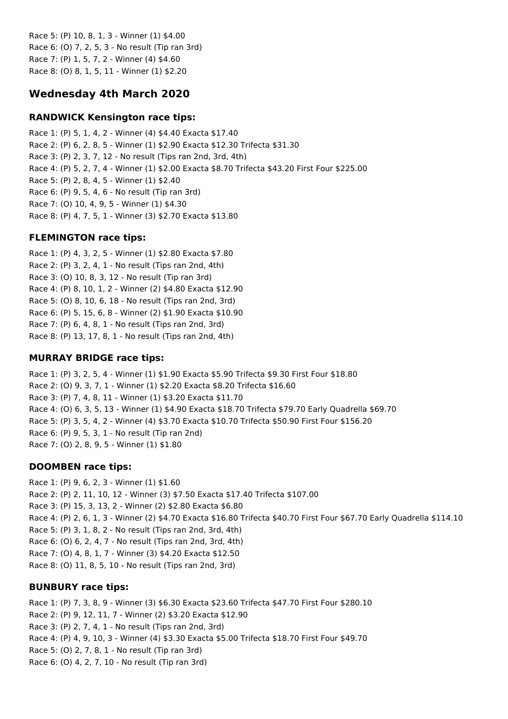Race 5: (P) 10, 8, 1, 3 - Winner (1) \$4.00 Race 6: (O) 7, 2, 5, 3 - No result (Tip ran 3rd) Race 7: (P) 1, 5, 7, 2 - Winner (4) \$4.60 Race 8: (O) 8, 1, 5, 11 - Winner (1) \$2.20

# **Wednesday 4th March 2020**

### **RANDWICK Kensington race tips:**

Race 1: (P) 5, 1, 4, 2 - Winner (4) \$4.40 Exacta \$17.40 Race 2: (P) 6, 2, 8, 5 - Winner (1) \$2.90 Exacta \$12.30 Trifecta \$31.30 Race 3: (P) 2, 3, 7, 12 - No result (Tips ran 2nd, 3rd, 4th) Race 4: (P) 5, 2, 7, 4 - Winner (1) \$2.00 Exacta \$8.70 Trifecta \$43.20 First Four \$225.00 Race 5: (P) 2, 8, 4, 5 - Winner (1) \$2.40 Race 6: (P) 9, 5, 4, 6 - No result (Tip ran 3rd) Race 7: (O) 10, 4, 9, 5 - Winner (1) \$4.30 Race 8: (P) 4, 7, 5, 1 - Winner (3) \$2.70 Exacta \$13.80

### **FLEMINGTON race tips:**

Race 1: (P) 4, 3, 2, 5 - Winner (1) \$2.80 Exacta \$7.80 Race 2: (P) 3, 2, 4, 1 - No result (Tips ran 2nd, 4th) Race 3: (O) 10, 8, 3, 12 - No result (Tip ran 3rd) Race 4: (P) 8, 10, 1, 2 - Winner (2) \$4.80 Exacta \$12.90 Race 5: (O) 8, 10, 6, 18 - No result (Tips ran 2nd, 3rd) Race 6: (P) 5, 15, 6, 8 - Winner (2) \$1.90 Exacta \$10.90 Race 7: (P) 6, 4, 8, 1 - No result (Tips ran 2nd, 3rd) Race 8: (P) 13, 17, 8, 1 - No result (Tips ran 2nd, 4th)

### **MURRAY BRIDGE race tips:**

Race 1: (P) 3, 2, 5, 4 - Winner (1) \$1.90 Exacta \$5.90 Trifecta \$9.30 First Four \$18.80 Race 2: (O) 9, 3, 7, 1 - Winner (1) \$2.20 Exacta \$8.20 Trifecta \$16.60 Race 3: (P) 7, 4, 8, 11 - Winner (1) \$3.20 Exacta \$11.70 Race 4: (O) 6, 3, 5, 13 - Winner (1) \$4.90 Exacta \$18.70 Trifecta \$79.70 Early Quadrella \$69.70 Race 5: (P) 3, 5, 4, 2 - Winner (4) \$3.70 Exacta \$10.70 Trifecta \$50.90 First Four \$156.20 Race 6: (P) 9, 5, 3, 1 - No result (Tip ran 2nd) Race 7: (O) 2, 8, 9, 5 - Winner (1) \$1.80

# **DOOMBEN race tips:**

Race 1: (P) 9, 6, 2, 3 - Winner (1) \$1.60 Race 2: (P) 2, 11, 10, 12 - Winner (3) \$7.50 Exacta \$17.40 Trifecta \$107.00 Race 3: (P) 15, 3, 13, 2 - Winner (2) \$2.80 Exacta \$6.80 Race 4: (P) 2, 6, 1, 3 - Winner (2) \$4.70 Exacta \$16.80 Trifecta \$40.70 First Four \$67.70 Early Quadrella \$114.10 Race 5: (P) 3, 1, 8, 2 - No result (Tips ran 2nd, 3rd, 4th) Race 6: (O) 6, 2, 4, 7 - No result (Tips ran 2nd, 3rd, 4th) Race 7: (O) 4, 8, 1, 7 - Winner (3) \$4.20 Exacta \$12.50 Race 8: (O) 11, 8, 5, 10 - No result (Tips ran 2nd, 3rd)

# **BUNBURY race tips:**

Race 1: (P) 7, 3, 8, 9 - Winner (3) \$6.30 Exacta \$23.60 Trifecta \$47.70 First Four \$280.10 Race 2: (P) 9, 12, 11, 7 - Winner (2) \$3.20 Exacta \$12.90 Race 3: (P) 2, 7, 4, 1 - No result (Tips ran 2nd, 3rd) Race 4: (P) 4, 9, 10, 3 - Winner (4) \$3.30 Exacta \$5.00 Trifecta \$18.70 First Four \$49.70 Race 5: (O) 2, 7, 8, 1 - No result (Tip ran 3rd) Race 6: (O) 4, 2, 7, 10 - No result (Tip ran 3rd)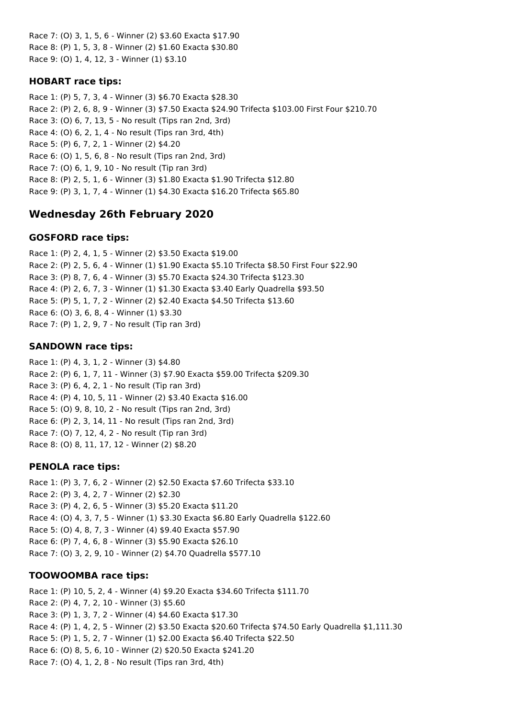Race 7: (O) 3, 1, 5, 6 - Winner (2) \$3.60 Exacta \$17.90 Race 8: (P) 1, 5, 3, 8 - Winner (2) \$1.60 Exacta \$30.80 Race 9: (O) 1, 4, 12, 3 - Winner (1) \$3.10

#### **HOBART race tips:**

Race 1: (P) 5, 7, 3, 4 - Winner (3) \$6.70 Exacta \$28.30 Race 2: (P) 2, 6, 8, 9 - Winner (3) \$7.50 Exacta \$24.90 Trifecta \$103.00 First Four \$210.70 Race 3: (O) 6, 7, 13, 5 - No result (Tips ran 2nd, 3rd) Race 4: (O) 6, 2, 1, 4 - No result (Tips ran 3rd, 4th) Race 5: (P) 6, 7, 2, 1 - Winner (2) \$4.20 Race 6: (O) 1, 5, 6, 8 - No result (Tips ran 2nd, 3rd) Race 7: (O) 6, 1, 9, 10 - No result (Tip ran 3rd) Race 8: (P) 2, 5, 1, 6 - Winner (3) \$1.80 Exacta \$1.90 Trifecta \$12.80 Race 9: (P) 3, 1, 7, 4 - Winner (1) \$4.30 Exacta \$16.20 Trifecta \$65.80

# **Wednesday 26th February 2020**

#### **GOSFORD race tips:**

Race 1: (P) 2, 4, 1, 5 - Winner (2) \$3.50 Exacta \$19.00 Race 2: (P) 2, 5, 6, 4 - Winner (1) \$1.90 Exacta \$5.10 Trifecta \$8.50 First Four \$22.90 Race 3: (P) 8, 7, 6, 4 - Winner (3) \$5.70 Exacta \$24.30 Trifecta \$123.30 Race 4: (P) 2, 6, 7, 3 - Winner (1) \$1.30 Exacta \$3.40 Early Quadrella \$93.50 Race 5: (P) 5, 1, 7, 2 - Winner (2) \$2.40 Exacta \$4.50 Trifecta \$13.60 Race 6: (O) 3, 6, 8, 4 - Winner (1) \$3.30 Race 7: (P) 1, 2, 9, 7 - No result (Tip ran 3rd)

### **SANDOWN race tips:**

Race 1: (P) 4, 3, 1, 2 - Winner (3) \$4.80 Race 2: (P) 6, 1, 7, 11 - Winner (3) \$7.90 Exacta \$59.00 Trifecta \$209.30 Race 3: (P) 6, 4, 2, 1 - No result (Tip ran 3rd) Race 4: (P) 4, 10, 5, 11 - Winner (2) \$3.40 Exacta \$16.00 Race 5: (O) 9, 8, 10, 2 - No result (Tips ran 2nd, 3rd) Race 6: (P) 2, 3, 14, 11 - No result (Tips ran 2nd, 3rd) Race 7: (O) 7, 12, 4, 2 - No result (Tip ran 3rd) Race 8: (O) 8, 11, 17, 12 - Winner (2) \$8.20

#### **PENOLA race tips:**

Race 1: (P) 3, 7, 6, 2 - Winner (2) \$2.50 Exacta \$7.60 Trifecta \$33.10 Race 2: (P) 3, 4, 2, 7 - Winner (2) \$2.30 Race 3: (P) 4, 2, 6, 5 - Winner (3) \$5.20 Exacta \$11.20 Race 4: (O) 4, 3, 7, 5 - Winner (1) \$3.30 Exacta \$6.80 Early Quadrella \$122.60 Race 5: (O) 4, 8, 7, 3 - Winner (4) \$9.40 Exacta \$57.90 Race 6: (P) 7, 4, 6, 8 - Winner (3) \$5.90 Exacta \$26.10 Race 7: (O) 3, 2, 9, 10 - Winner (2) \$4.70 Quadrella \$577.10

### **TOOWOOMBA race tips:**

Race 1: (P) 10, 5, 2, 4 - Winner (4) \$9.20 Exacta \$34.60 Trifecta \$111.70 Race 2: (P) 4, 7, 2, 10 - Winner (3) \$5.60 Race 3: (P) 1, 3, 7, 2 - Winner (4) \$4.60 Exacta \$17.30 Race 4: (P) 1, 4, 2, 5 - Winner (2) \$3.50 Exacta \$20.60 Trifecta \$74.50 Early Quadrella \$1,111.30 Race 5: (P) 1, 5, 2, 7 - Winner (1) \$2.00 Exacta \$6.40 Trifecta \$22.50 Race 6: (O) 8, 5, 6, 10 - Winner (2) \$20.50 Exacta \$241.20 Race 7: (O) 4, 1, 2, 8 - No result (Tips ran 3rd, 4th)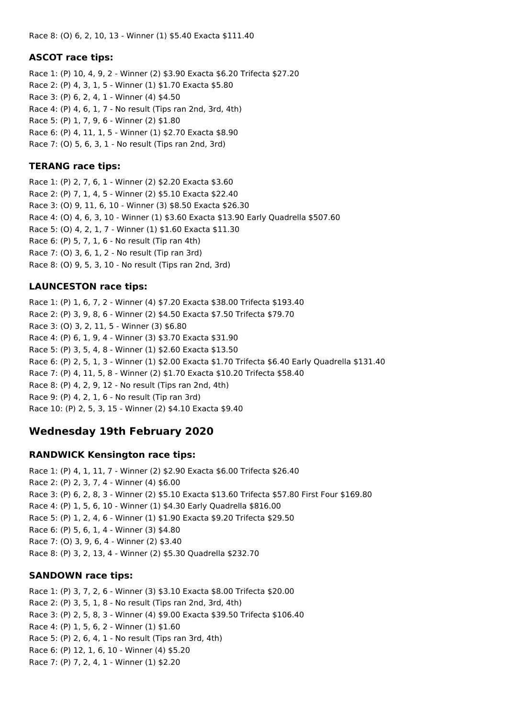### **ASCOT race tips:**

Race 1: (P) 10, 4, 9, 2 - Winner (2) \$3.90 Exacta \$6.20 Trifecta \$27.20 Race 2: (P) 4, 3, 1, 5 - Winner (1) \$1.70 Exacta \$5.80 Race 3: (P) 6, 2, 4, 1 - Winner (4) \$4.50 Race 4: (P) 4, 6, 1, 7 - No result (Tips ran 2nd, 3rd, 4th) Race 5: (P) 1, 7, 9, 6 - Winner (2) \$1.80 Race 6: (P) 4, 11, 1, 5 - Winner (1) \$2.70 Exacta \$8.90 Race 7: (O) 5, 6, 3, 1 - No result (Tips ran 2nd, 3rd)

### **TERANG race tips:**

Race 1: (P) 2, 7, 6, 1 - Winner (2) \$2.20 Exacta \$3.60 Race 2: (P) 7, 1, 4, 5 - Winner (2) \$5.10 Exacta \$22.40 Race 3: (O) 9, 11, 6, 10 - Winner (3) \$8.50 Exacta \$26.30 Race 4: (O) 4, 6, 3, 10 - Winner (1) \$3.60 Exacta \$13.90 Early Quadrella \$507.60 Race 5: (O) 4, 2, 1, 7 - Winner (1) \$1.60 Exacta \$11.30 Race 6: (P) 5, 7, 1, 6 - No result (Tip ran 4th) Race 7: (O) 3, 6, 1, 2 - No result (Tip ran 3rd) Race 8: (O) 9, 5, 3, 10 - No result (Tips ran 2nd, 3rd)

# **LAUNCESTON race tips:**

Race 1: (P) 1, 6, 7, 2 - Winner (4) \$7.20 Exacta \$38.00 Trifecta \$193.40 Race 2: (P) 3, 9, 8, 6 - Winner (2) \$4.50 Exacta \$7.50 Trifecta \$79.70 Race 3: (O) 3, 2, 11, 5 - Winner (3) \$6.80 Race 4: (P) 6, 1, 9, 4 - Winner (3) \$3.70 Exacta \$31.90 Race 5: (P) 3, 5, 4, 8 - Winner (1) \$2.60 Exacta \$13.50 Race 6: (P) 2, 5, 1, 3 - Winner (1) \$2.00 Exacta \$1.70 Trifecta \$6.40 Early Quadrella \$131.40 Race 7: (P) 4, 11, 5, 8 - Winner (2) \$1.70 Exacta \$10.20 Trifecta \$58.40 Race 8: (P) 4, 2, 9, 12 - No result (Tips ran 2nd, 4th) Race 9: (P) 4, 2, 1, 6 - No result (Tip ran 3rd) Race 10: (P) 2, 5, 3, 15 - Winner (2) \$4.10 Exacta \$9.40

# **Wednesday 19th February 2020**

### **RANDWICK Kensington race tips:**

Race 1: (P) 4, 1, 11, 7 - Winner (2) \$2.90 Exacta \$6.00 Trifecta \$26.40 Race 2: (P) 2, 3, 7, 4 - Winner (4) \$6.00 Race 3: (P) 6, 2, 8, 3 - Winner (2) \$5.10 Exacta \$13.60 Trifecta \$57.80 First Four \$169.80 Race 4: (P) 1, 5, 6, 10 - Winner (1) \$4.30 Early Quadrella \$816.00 Race 5: (P) 1, 2, 4, 6 - Winner (1) \$1.90 Exacta \$9.20 Trifecta \$29.50 Race 6: (P) 5, 6, 1, 4 - Winner (3) \$4.80 Race 7: (O) 3, 9, 6, 4 - Winner (2) \$3.40 Race 8: (P) 3, 2, 13, 4 - Winner (2) \$5.30 Quadrella \$232.70

# **SANDOWN race tips:**

Race 1: (P) 3, 7, 2, 6 - Winner (3) \$3.10 Exacta \$8.00 Trifecta \$20.00 Race 2: (P) 3, 5, 1, 8 - No result (Tips ran 2nd, 3rd, 4th) Race 3: (P) 2, 5, 8, 3 - Winner (4) \$9.00 Exacta \$39.50 Trifecta \$106.40 Race 4: (P) 1, 5, 6, 2 - Winner (1) \$1.60 Race 5: (P) 2, 6, 4, 1 - No result (Tips ran 3rd, 4th) Race 6: (P) 12, 1, 6, 10 - Winner (4) \$5.20 Race 7: (P) 7, 2, 4, 1 - Winner (1) \$2.20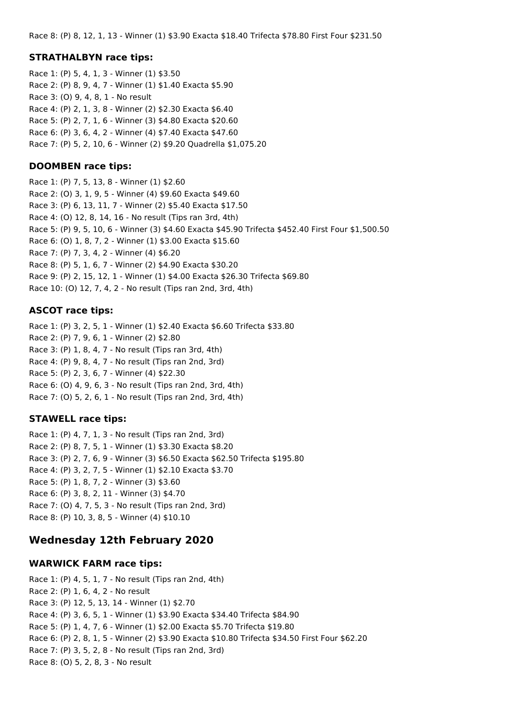#### **STRATHALBYN race tips:**

Race 1: (P) 5, 4, 1, 3 - Winner (1) \$3.50 Race 2: (P) 8, 9, 4, 7 - Winner (1) \$1.40 Exacta \$5.90 Race 3: (O) 9, 4, 8, 1 - No result Race 4: (P) 2, 1, 3, 8 - Winner (2) \$2.30 Exacta \$6.40 Race 5: (P) 2, 7, 1, 6 - Winner (3) \$4.80 Exacta \$20.60 Race 6: (P) 3, 6, 4, 2 - Winner (4) \$7.40 Exacta \$47.60 Race 7: (P) 5, 2, 10, 6 - Winner (2) \$9.20 Quadrella \$1,075.20

#### **DOOMBEN race tips:**

Race 1: (P) 7, 5, 13, 8 - Winner (1) \$2.60 Race 2: (O) 3, 1, 9, 5 - Winner (4) \$9.60 Exacta \$49.60 Race 3: (P) 6, 13, 11, 7 - Winner (2) \$5.40 Exacta \$17.50 Race 4: (O) 12, 8, 14, 16 - No result (Tips ran 3rd, 4th) Race 5: (P) 9, 5, 10, 6 - Winner (3) \$4.60 Exacta \$45.90 Trifecta \$452.40 First Four \$1,500.50 Race 6: (O) 1, 8, 7, 2 - Winner (1) \$3.00 Exacta \$15.60 Race 7: (P) 7, 3, 4, 2 - Winner (4) \$6.20 Race 8: (P) 5, 1, 6, 7 - Winner (2) \$4.90 Exacta \$30.20 Race 9: (P) 2, 15, 12, 1 - Winner (1) \$4.00 Exacta \$26.30 Trifecta \$69.80 Race 10: (O) 12, 7, 4, 2 - No result (Tips ran 2nd, 3rd, 4th)

#### **ASCOT race tips:**

Race 1: (P) 3, 2, 5, 1 - Winner (1) \$2.40 Exacta \$6.60 Trifecta \$33.80 Race 2: (P) 7, 9, 6, 1 - Winner (2) \$2.80 Race 3: (P) 1, 8, 4, 7 - No result (Tips ran 3rd, 4th) Race 4: (P) 9, 8, 4, 7 - No result (Tips ran 2nd, 3rd) Race 5: (P) 2, 3, 6, 7 - Winner (4) \$22.30 Race 6: (O) 4, 9, 6, 3 - No result (Tips ran 2nd, 3rd, 4th) Race 7: (O) 5, 2, 6, 1 - No result (Tips ran 2nd, 3rd, 4th)

#### **STAWELL race tips:**

Race 1: (P) 4, 7, 1, 3 - No result (Tips ran 2nd, 3rd) Race 2: (P) 8, 7, 5, 1 - Winner (1) \$3.30 Exacta \$8.20 Race 3: (P) 2, 7, 6, 9 - Winner (3) \$6.50 Exacta \$62.50 Trifecta \$195.80 Race 4: (P) 3, 2, 7, 5 - Winner (1) \$2.10 Exacta \$3.70 Race 5: (P) 1, 8, 7, 2 - Winner (3) \$3.60 Race 6: (P) 3, 8, 2, 11 - Winner (3) \$4.70 Race 7: (O) 4, 7, 5, 3 - No result (Tips ran 2nd, 3rd) Race 8: (P) 10, 3, 8, 5 - Winner (4) \$10.10

### **Wednesday 12th February 2020**

#### **WARWICK FARM race tips:**

Race 1: (P) 4, 5, 1, 7 - No result (Tips ran 2nd, 4th) Race 2: (P) 1, 6, 4, 2 - No result Race 3: (P) 12, 5, 13, 14 - Winner (1) \$2.70 Race 4: (P) 3, 6, 5, 1 - Winner (1) \$3.90 Exacta \$34.40 Trifecta \$84.90 Race 5: (P) 1, 4, 7, 6 - Winner (1) \$2.00 Exacta \$5.70 Trifecta \$19.80 Race 6: (P) 2, 8, 1, 5 - Winner (2) \$3.90 Exacta \$10.80 Trifecta \$34.50 First Four \$62.20 Race 7: (P) 3, 5, 2, 8 - No result (Tips ran 2nd, 3rd) Race 8: (O) 5, 2, 8, 3 - No result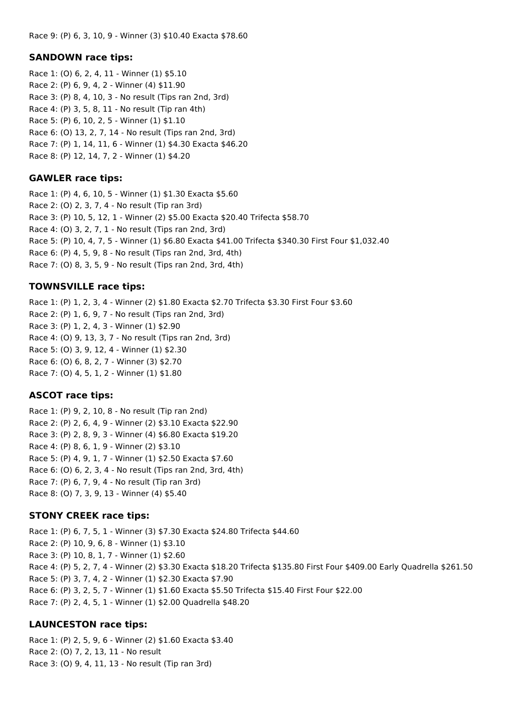#### **SANDOWN race tips:**

Race 1: (O) 6, 2, 4, 11 - Winner (1) \$5.10 Race 2: (P) 6, 9, 4, 2 - Winner (4) \$11.90 Race 3: (P) 8, 4, 10, 3 - No result (Tips ran 2nd, 3rd) Race 4: (P) 3, 5, 8, 11 - No result (Tip ran 4th) Race 5: (P) 6, 10, 2, 5 - Winner (1) \$1.10 Race 6: (O) 13, 2, 7, 14 - No result (Tips ran 2nd, 3rd) Race 7: (P) 1, 14, 11, 6 - Winner (1) \$4.30 Exacta \$46.20 Race 8: (P) 12, 14, 7, 2 - Winner (1) \$4.20

### **GAWLER race tips:**

Race 1: (P) 4, 6, 10, 5 - Winner (1) \$1.30 Exacta \$5.60 Race 2: (O) 2, 3, 7, 4 - No result (Tip ran 3rd) Race 3: (P) 10, 5, 12, 1 - Winner (2) \$5.00 Exacta \$20.40 Trifecta \$58.70 Race 4: (O) 3, 2, 7, 1 - No result (Tips ran 2nd, 3rd) Race 5: (P) 10, 4, 7, 5 - Winner (1) \$6.80 Exacta \$41.00 Trifecta \$340.30 First Four \$1,032.40 Race 6: (P) 4, 5, 9, 8 - No result (Tips ran 2nd, 3rd, 4th) Race 7: (O) 8, 3, 5, 9 - No result (Tips ran 2nd, 3rd, 4th)

### **TOWNSVILLE race tips:**

Race 1: (P) 1, 2, 3, 4 - Winner (2) \$1.80 Exacta \$2.70 Trifecta \$3.30 First Four \$3.60 Race 2: (P) 1, 6, 9, 7 - No result (Tips ran 2nd, 3rd) Race 3: (P) 1, 2, 4, 3 - Winner (1) \$2.90 Race 4: (O) 9, 13, 3, 7 - No result (Tips ran 2nd, 3rd) Race 5: (O) 3, 9, 12, 4 - Winner (1) \$2.30 Race 6: (O) 6, 8, 2, 7 - Winner (3) \$2.70 Race 7: (O) 4, 5, 1, 2 - Winner (1) \$1.80

### **ASCOT race tips:**

Race 1: (P) 9, 2, 10, 8 - No result (Tip ran 2nd) Race 2: (P) 2, 6, 4, 9 - Winner (2) \$3.10 Exacta \$22.90 Race 3: (P) 2, 8, 9, 3 - Winner (4) \$6.80 Exacta \$19.20 Race 4: (P) 8, 6, 1, 9 - Winner (2) \$3.10 Race 5: (P) 4, 9, 1, 7 - Winner (1) \$2.50 Exacta \$7.60 Race 6: (O) 6, 2, 3, 4 - No result (Tips ran 2nd, 3rd, 4th) Race 7: (P) 6, 7, 9, 4 - No result (Tip ran 3rd) Race 8: (O) 7, 3, 9, 13 - Winner (4) \$5.40

### **STONY CREEK race tips:**

Race 1: (P) 6, 7, 5, 1 - Winner (3) \$7.30 Exacta \$24.80 Trifecta \$44.60 Race 2: (P) 10, 9, 6, 8 - Winner (1) \$3.10 Race 3: (P) 10, 8, 1, 7 - Winner (1) \$2.60 Race 4: (P) 5, 2, 7, 4 - Winner (2) \$3.30 Exacta \$18.20 Trifecta \$135.80 First Four \$409.00 Early Quadrella \$261.50 Race 5: (P) 3, 7, 4, 2 - Winner (1) \$2.30 Exacta \$7.90 Race 6: (P) 3, 2, 5, 7 - Winner (1) \$1.60 Exacta \$5.50 Trifecta \$15.40 First Four \$22.00 Race 7: (P) 2, 4, 5, 1 - Winner (1) \$2.00 Quadrella \$48.20

# **LAUNCESTON race tips:**

Race 1: (P) 2, 5, 9, 6 - Winner (2) \$1.60 Exacta \$3.40 Race 2: (O) 7, 2, 13, 11 - No result Race 3: (O) 9, 4, 11, 13 - No result (Tip ran 3rd)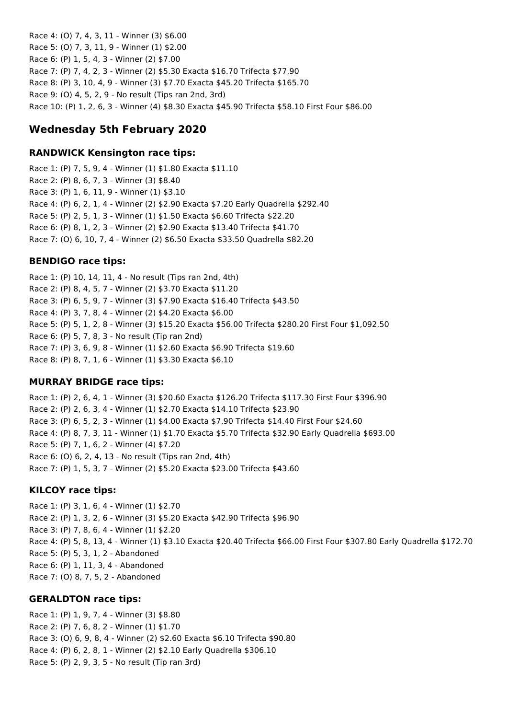Race 4: (O) 7, 4, 3, 11 - Winner (3) \$6.00 Race 5: (O) 7, 3, 11, 9 - Winner (1) \$2.00 Race 6: (P) 1, 5, 4, 3 - Winner (2) \$7.00 Race 7: (P) 7, 4, 2, 3 - Winner (2) \$5.30 Exacta \$16.70 Trifecta \$77.90 Race 8: (P) 3, 10, 4, 9 - Winner (3) \$7.70 Exacta \$45.20 Trifecta \$165.70 Race 9: (O) 4, 5, 2, 9 - No result (Tips ran 2nd, 3rd) Race 10: (P) 1, 2, 6, 3 - Winner (4) \$8.30 Exacta \$45.90 Trifecta \$58.10 First Four \$86.00

# **Wednesday 5th February 2020**

#### **RANDWICK Kensington race tips:**

Race 1: (P) 7, 5, 9, 4 - Winner (1) \$1.80 Exacta \$11.10 Race 2: (P) 8, 6, 7, 3 - Winner (3) \$8.40 Race 3: (P) 1, 6, 11, 9 - Winner (1) \$3.10 Race 4: (P) 6, 2, 1, 4 - Winner (2) \$2.90 Exacta \$7.20 Early Quadrella \$292.40 Race 5: (P) 2, 5, 1, 3 - Winner (1) \$1.50 Exacta \$6.60 Trifecta \$22.20 Race 6: (P) 8, 1, 2, 3 - Winner (2) \$2.90 Exacta \$13.40 Trifecta \$41.70 Race 7: (O) 6, 10, 7, 4 - Winner (2) \$6.50 Exacta \$33.50 Quadrella \$82.20

### **BENDIGO race tips:**

Race 1: (P) 10, 14, 11, 4 - No result (Tips ran 2nd, 4th) Race 2: (P) 8, 4, 5, 7 - Winner (2) \$3.70 Exacta \$11.20 Race 3: (P) 6, 5, 9, 7 - Winner (3) \$7.90 Exacta \$16.40 Trifecta \$43.50 Race 4: (P) 3, 7, 8, 4 - Winner (2) \$4.20 Exacta \$6.00 Race 5: (P) 5, 1, 2, 8 - Winner (3) \$15.20 Exacta \$56.00 Trifecta \$280.20 First Four \$1,092.50 Race 6: (P) 5, 7, 8, 3 - No result (Tip ran 2nd) Race 7: (P) 3, 6, 9, 8 - Winner (1) \$2.60 Exacta \$6.90 Trifecta \$19.60 Race 8: (P) 8, 7, 1, 6 - Winner (1) \$3.30 Exacta \$6.10

### **MURRAY BRIDGE race tips:**

Race 1: (P) 2, 6, 4, 1 - Winner (3) \$20.60 Exacta \$126.20 Trifecta \$117.30 First Four \$396.90 Race 2: (P) 2, 6, 3, 4 - Winner (1) \$2.70 Exacta \$14.10 Trifecta \$23.90 Race 3: (P) 6, 5, 2, 3 - Winner (1) \$4.00 Exacta \$7.90 Trifecta \$14.40 First Four \$24.60 Race 4: (P) 8, 7, 3, 11 - Winner (1) \$1.70 Exacta \$5.70 Trifecta \$32.90 Early Quadrella \$693.00 Race 5: (P) 7, 1, 6, 2 - Winner (4) \$7.20 Race 6: (O) 6, 2, 4, 13 - No result (Tips ran 2nd, 4th) Race 7: (P) 1, 5, 3, 7 - Winner (2) \$5.20 Exacta \$23.00 Trifecta \$43.60

#### **KILCOY race tips:**

Race 1: (P) 3, 1, 6, 4 - Winner (1) \$2.70 Race 2: (P) 1, 3, 2, 6 - Winner (3) \$5.20 Exacta \$42.90 Trifecta \$96.90 Race 3: (P) 7, 8, 6, 4 - Winner (1) \$2.20 Race 4: (P) 5, 8, 13, 4 - Winner (1) \$3.10 Exacta \$20.40 Trifecta \$66.00 First Four \$307.80 Early Quadrella \$172.70 Race 5: (P) 5, 3, 1, 2 - Abandoned Race 6: (P) 1, 11, 3, 4 - Abandoned Race 7: (O) 8, 7, 5, 2 - Abandoned

#### **GERALDTON race tips:**

Race 1: (P) 1, 9, 7, 4 - Winner (3) \$8.80 Race 2: (P) 7, 6, 8, 2 - Winner (1) \$1.70 Race 3: (O) 6, 9, 8, 4 - Winner (2) \$2.60 Exacta \$6.10 Trifecta \$90.80 Race 4: (P) 6, 2, 8, 1 - Winner (2) \$2.10 Early Quadrella \$306.10 Race 5: (P) 2, 9, 3, 5 - No result (Tip ran 3rd)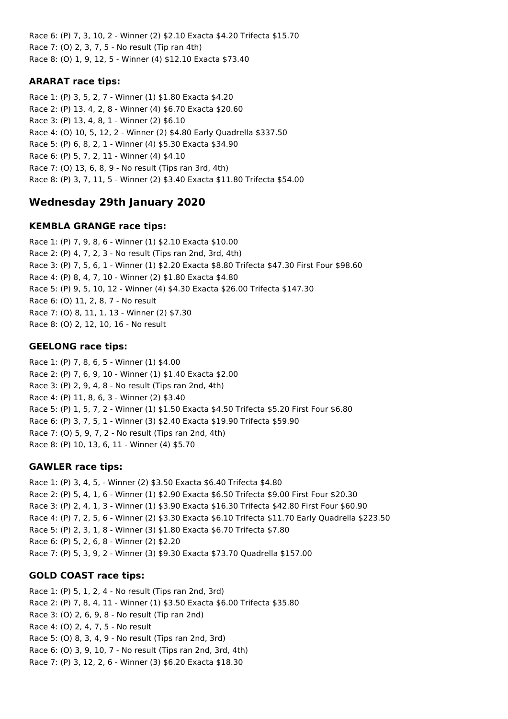Race 6: (P) 7, 3, 10, 2 - Winner (2) \$2.10 Exacta \$4.20 Trifecta \$15.70 Race 7: (O) 2, 3, 7, 5 - No result (Tip ran 4th) Race 8: (O) 1, 9, 12, 5 - Winner (4) \$12.10 Exacta \$73.40

### **ARARAT race tips:**

Race 1: (P) 3, 5, 2, 7 - Winner (1) \$1.80 Exacta \$4.20 Race 2: (P) 13, 4, 2, 8 - Winner (4) \$6.70 Exacta \$20.60 Race 3: (P) 13, 4, 8, 1 - Winner (2) \$6.10 Race 4: (O) 10, 5, 12, 2 - Winner (2) \$4.80 Early Quadrella \$337.50 Race 5: (P) 6, 8, 2, 1 - Winner (4) \$5.30 Exacta \$34.90 Race 6: (P) 5, 7, 2, 11 - Winner (4) \$4.10 Race 7: (O) 13, 6, 8, 9 - No result (Tips ran 3rd, 4th) Race 8: (P) 3, 7, 11, 5 - Winner (2) \$3.40 Exacta \$11.80 Trifecta \$54.00

# **Wednesday 29th January 2020**

### **KEMBLA GRANGE race tips:**

Race 1: (P) 7, 9, 8, 6 - Winner (1) \$2.10 Exacta \$10.00 Race 2: (P) 4, 7, 2, 3 - No result (Tips ran 2nd, 3rd, 4th) Race 3: (P) 7, 5, 6, 1 - Winner (1) \$2.20 Exacta \$8.80 Trifecta \$47.30 First Four \$98.60 Race 4: (P) 8, 4, 7, 10 - Winner (2) \$1.80 Exacta \$4.80 Race 5: (P) 9, 5, 10, 12 - Winner (4) \$4.30 Exacta \$26.00 Trifecta \$147.30 Race 6: (O) 11, 2, 8, 7 - No result Race 7: (O) 8, 11, 1, 13 - Winner (2) \$7.30 Race 8: (O) 2, 12, 10, 16 - No result

# **GEELONG race tips:**

Race 1: (P) 7, 8, 6, 5 - Winner (1) \$4.00 Race 2: (P) 7, 6, 9, 10 - Winner (1) \$1.40 Exacta \$2.00 Race 3: (P) 2, 9, 4, 8 - No result (Tips ran 2nd, 4th) Race 4: (P) 11, 8, 6, 3 - Winner (2) \$3.40 Race 5: (P) 1, 5, 7, 2 - Winner (1) \$1.50 Exacta \$4.50 Trifecta \$5.20 First Four \$6.80 Race 6: (P) 3, 7, 5, 1 - Winner (3) \$2.40 Exacta \$19.90 Trifecta \$59.90 Race 7: (O) 5, 9, 7, 2 - No result (Tips ran 2nd, 4th) Race 8: (P) 10, 13, 6, 11 - Winner (4) \$5.70

### **GAWLER race tips:**

Race 1: (P) 3, 4, 5, - Winner (2) \$3.50 Exacta \$6.40 Trifecta \$4.80 Race 2: (P) 5, 4, 1, 6 - Winner (1) \$2.90 Exacta \$6.50 Trifecta \$9.00 First Four \$20.30 Race 3: (P) 2, 4, 1, 3 - Winner (1) \$3.90 Exacta \$16.30 Trifecta \$42.80 First Four \$60.90 Race 4: (P) 7, 2, 5, 6 - Winner (2) \$3.30 Exacta \$6.10 Trifecta \$11.70 Early Quadrella \$223.50 Race 5: (P) 2, 3, 1, 8 - Winner (3) \$1.80 Exacta \$6.70 Trifecta \$7.80 Race 6: (P) 5, 2, 6, 8 - Winner (2) \$2.20 Race 7: (P) 5, 3, 9, 2 - Winner (3) \$9.30 Exacta \$73.70 Quadrella \$157.00

# **GOLD COAST race tips:**

Race 1: (P) 5, 1, 2, 4 - No result (Tips ran 2nd, 3rd) Race 2: (P) 7, 8, 4, 11 - Winner (1) \$3.50 Exacta \$6.00 Trifecta \$35.80 Race 3: (O) 2, 6, 9, 8 - No result (Tip ran 2nd) Race 4: (O) 2, 4, 7, 5 - No result Race 5: (O) 8, 3, 4, 9 - No result (Tips ran 2nd, 3rd) Race 6: (O) 3, 9, 10, 7 - No result (Tips ran 2nd, 3rd, 4th) Race 7: (P) 3, 12, 2, 6 - Winner (3) \$6.20 Exacta \$18.30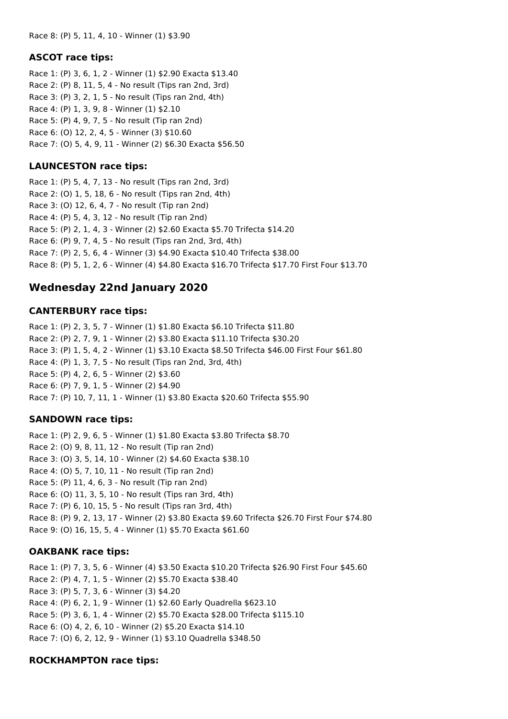#### **ASCOT race tips:**

Race 1: (P) 3, 6, 1, 2 - Winner (1) \$2.90 Exacta \$13.40 Race 2: (P) 8, 11, 5, 4 - No result (Tips ran 2nd, 3rd) Race 3: (P) 3, 2, 1, 5 - No result (Tips ran 2nd, 4th) Race 4: (P) 1, 3, 9, 8 - Winner (1) \$2.10 Race 5: (P) 4, 9, 7, 5 - No result (Tip ran 2nd) Race 6: (O) 12, 2, 4, 5 - Winner (3) \$10.60 Race 7: (O) 5, 4, 9, 11 - Winner (2) \$6.30 Exacta \$56.50

#### **LAUNCESTON race tips:**

Race 1: (P) 5, 4, 7, 13 - No result (Tips ran 2nd, 3rd) Race 2: (O) 1, 5, 18, 6 - No result (Tips ran 2nd, 4th) Race 3: (O) 12, 6, 4, 7 - No result (Tip ran 2nd) Race 4: (P) 5, 4, 3, 12 - No result (Tip ran 2nd) Race 5: (P) 2, 1, 4, 3 - Winner (2) \$2.60 Exacta \$5.70 Trifecta \$14.20 Race 6: (P) 9, 7, 4, 5 - No result (Tips ran 2nd, 3rd, 4th) Race 7: (P) 2, 5, 6, 4 - Winner (3) \$4.90 Exacta \$10.40 Trifecta \$38.00 Race 8: (P) 5, 1, 2, 6 - Winner (4) \$4.80 Exacta \$16.70 Trifecta \$17.70 First Four \$13.70

# **Wednesday 22nd January 2020**

#### **CANTERBURY race tips:**

Race 1: (P) 2, 3, 5, 7 - Winner (1) \$1.80 Exacta \$6.10 Trifecta \$11.80 Race 2: (P) 2, 7, 9, 1 - Winner (2) \$3.80 Exacta \$11.10 Trifecta \$30.20 Race 3: (P) 1, 5, 4, 2 - Winner (1) \$3.10 Exacta \$8.50 Trifecta \$46.00 First Four \$61.80 Race 4: (P) 1, 3, 7, 5 - No result (Tips ran 2nd, 3rd, 4th) Race 5: (P) 4, 2, 6, 5 - Winner (2) \$3.60 Race 6: (P) 7, 9, 1, 5 - Winner (2) \$4.90 Race 7: (P) 10, 7, 11, 1 - Winner (1) \$3.80 Exacta \$20.60 Trifecta \$55.90

#### **SANDOWN race tips:**

Race 1: (P) 2, 9, 6, 5 - Winner (1) \$1.80 Exacta \$3.80 Trifecta \$8.70 Race 2: (O) 9, 8, 11, 12 - No result (Tip ran 2nd) Race 3: (O) 3, 5, 14, 10 - Winner (2) \$4.60 Exacta \$38.10 Race 4: (O) 5, 7, 10, 11 - No result (Tip ran 2nd) Race 5: (P) 11, 4, 6, 3 - No result (Tip ran 2nd) Race 6: (O) 11, 3, 5, 10 - No result (Tips ran 3rd, 4th) Race 7: (P) 6, 10, 15, 5 - No result (Tips ran 3rd, 4th) Race 8: (P) 9, 2, 13, 17 - Winner (2) \$3.80 Exacta \$9.60 Trifecta \$26.70 First Four \$74.80 Race 9: (O) 16, 15, 5, 4 - Winner (1) \$5.70 Exacta \$61.60

#### **OAKBANK race tips:**

Race 1: (P) 7, 3, 5, 6 - Winner (4) \$3.50 Exacta \$10.20 Trifecta \$26.90 First Four \$45.60 Race 2: (P) 4, 7, 1, 5 - Winner (2) \$5.70 Exacta \$38.40 Race 3: (P) 5, 7, 3, 6 - Winner (3) \$4.20 Race 4: (P) 6, 2, 1, 9 - Winner (1) \$2.60 Early Quadrella \$623.10 Race 5: (P) 3, 6, 1, 4 - Winner (2) \$5.70 Exacta \$28.00 Trifecta \$115.10 Race 6: (O) 4, 2, 6, 10 - Winner (2) \$5.20 Exacta \$14.10 Race 7: (O) 6, 2, 12, 9 - Winner (1) \$3.10 Quadrella \$348.50

#### **ROCKHAMPTON race tips:**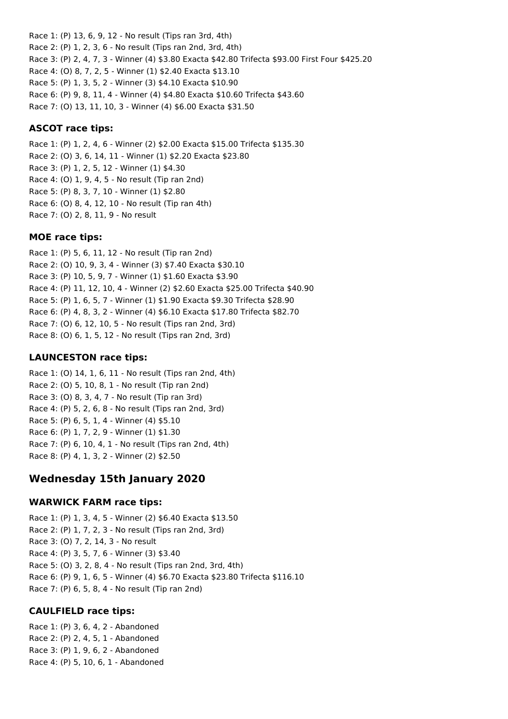Race 1: (P) 13, 6, 9, 12 - No result (Tips ran 3rd, 4th) Race 2: (P) 1, 2, 3, 6 - No result (Tips ran 2nd, 3rd, 4th) Race 3: (P) 2, 4, 7, 3 - Winner (4) \$3.80 Exacta \$42.80 Trifecta \$93.00 First Four \$425.20 Race 4: (O) 8, 7, 2, 5 - Winner (1) \$2.40 Exacta \$13.10 Race 5: (P) 1, 3, 5, 2 - Winner (3) \$4.10 Exacta \$10.90 Race 6: (P) 9, 8, 11, 4 - Winner (4) \$4.80 Exacta \$10.60 Trifecta \$43.60 Race 7: (O) 13, 11, 10, 3 - Winner (4) \$6.00 Exacta \$31.50

#### **ASCOT race tips:**

Race 1: (P) 1, 2, 4, 6 - Winner (2) \$2.00 Exacta \$15.00 Trifecta \$135.30 Race 2: (O) 3, 6, 14, 11 - Winner (1) \$2.20 Exacta \$23.80 Race 3: (P) 1, 2, 5, 12 - Winner (1) \$4.30 Race 4: (O) 1, 9, 4, 5 - No result (Tip ran 2nd) Race 5: (P) 8, 3, 7, 10 - Winner (1) \$2.80 Race 6: (O) 8, 4, 12, 10 - No result (Tip ran 4th) Race 7: (O) 2, 8, 11, 9 - No result

#### **MOE race tips:**

Race 1: (P) 5, 6, 11, 12 - No result (Tip ran 2nd) Race 2: (O) 10, 9, 3, 4 - Winner (3) \$7.40 Exacta \$30.10 Race 3: (P) 10, 5, 9, 7 - Winner (1) \$1.60 Exacta \$3.90 Race 4: (P) 11, 12, 10, 4 - Winner (2) \$2.60 Exacta \$25.00 Trifecta \$40.90 Race 5: (P) 1, 6, 5, 7 - Winner (1) \$1.90 Exacta \$9.30 Trifecta \$28.90 Race 6: (P) 4, 8, 3, 2 - Winner (4) \$6.10 Exacta \$17.80 Trifecta \$82.70 Race 7: (O) 6, 12, 10, 5 - No result (Tips ran 2nd, 3rd) Race 8: (O) 6, 1, 5, 12 - No result (Tips ran 2nd, 3rd)

#### **LAUNCESTON race tips:**

Race 1: (O) 14, 1, 6, 11 - No result (Tips ran 2nd, 4th) Race 2: (O) 5, 10, 8, 1 - No result (Tip ran 2nd) Race 3: (O) 8, 3, 4, 7 - No result (Tip ran 3rd) Race 4: (P) 5, 2, 6, 8 - No result (Tips ran 2nd, 3rd) Race 5: (P) 6, 5, 1, 4 - Winner (4) \$5.10 Race 6: (P) 1, 7, 2, 9 - Winner (1) \$1.30 Race 7: (P) 6, 10, 4, 1 - No result (Tips ran 2nd, 4th) Race 8: (P) 4, 1, 3, 2 - Winner (2) \$2.50

### **Wednesday 15th January 2020**

#### **WARWICK FARM race tips:**

Race 1: (P) 1, 3, 4, 5 - Winner (2) \$6.40 Exacta \$13.50 Race 2: (P) 1, 7, 2, 3 - No result (Tips ran 2nd, 3rd) Race 3: (O) 7, 2, 14, 3 - No result Race 4: (P) 3, 5, 7, 6 - Winner (3) \$3.40 Race 5: (O) 3, 2, 8, 4 - No result (Tips ran 2nd, 3rd, 4th) Race 6: (P) 9, 1, 6, 5 - Winner (4) \$6.70 Exacta \$23.80 Trifecta \$116.10 Race 7: (P) 6, 5, 8, 4 - No result (Tip ran 2nd)

#### **CAULFIELD race tips:**

Race 1: (P) 3, 6, 4, 2 - Abandoned Race 2: (P) 2, 4, 5, 1 - Abandoned Race 3: (P) 1, 9, 6, 2 - Abandoned Race 4: (P) 5, 10, 6, 1 - Abandoned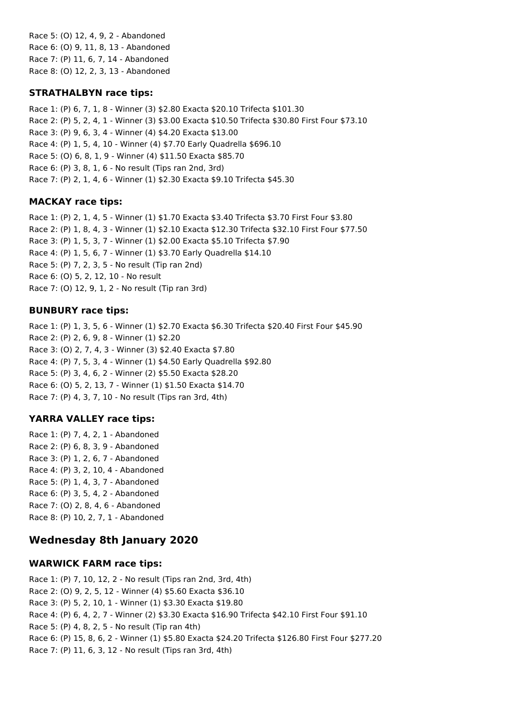Race 5: (O) 12, 4, 9, 2 - Abandoned Race 6: (O) 9, 11, 8, 13 - Abandoned Race 7: (P) 11, 6, 7, 14 - Abandoned Race 8: (O) 12, 2, 3, 13 - Abandoned

### **STRATHALBYN race tips:**

Race 1: (P) 6, 7, 1, 8 - Winner (3) \$2.80 Exacta \$20.10 Trifecta \$101.30 Race 2: (P) 5, 2, 4, 1 - Winner (3) \$3.00 Exacta \$10.50 Trifecta \$30.80 First Four \$73.10 Race 3: (P) 9, 6, 3, 4 - Winner (4) \$4.20 Exacta \$13.00 Race 4: (P) 1, 5, 4, 10 - Winner (4) \$7.70 Early Quadrella \$696.10 Race 5: (O) 6, 8, 1, 9 - Winner (4) \$11.50 Exacta \$85.70 Race 6: (P) 3, 8, 1, 6 - No result (Tips ran 2nd, 3rd) Race 7: (P) 2, 1, 4, 6 - Winner (1) \$2.30 Exacta \$9.10 Trifecta \$45.30

# **MACKAY race tips:**

Race 1: (P) 2, 1, 4, 5 - Winner (1) \$1.70 Exacta \$3.40 Trifecta \$3.70 First Four \$3.80 Race 2: (P) 1, 8, 4, 3 - Winner (1) \$2.10 Exacta \$12.30 Trifecta \$32.10 First Four \$77.50 Race 3: (P) 1, 5, 3, 7 - Winner (1) \$2.00 Exacta \$5.10 Trifecta \$7.90 Race 4: (P) 1, 5, 6, 7 - Winner (1) \$3.70 Early Quadrella \$14.10 Race 5: (P) 7, 2, 3, 5 - No result (Tip ran 2nd) Race 6: (O) 5, 2, 12, 10 - No result Race 7: (O) 12, 9, 1, 2 - No result (Tip ran 3rd)

### **BUNBURY race tips:**

Race 1: (P) 1, 3, 5, 6 - Winner (1) \$2.70 Exacta \$6.30 Trifecta \$20.40 First Four \$45.90 Race 2: (P) 2, 6, 9, 8 - Winner (1) \$2.20 Race 3: (O) 2, 7, 4, 3 - Winner (3) \$2.40 Exacta \$7.80 Race 4: (P) 7, 5, 3, 4 - Winner (1) \$4.50 Early Quadrella \$92.80 Race 5: (P) 3, 4, 6, 2 - Winner (2) \$5.50 Exacta \$28.20 Race 6: (O) 5, 2, 13, 7 - Winner (1) \$1.50 Exacta \$14.70 Race 7: (P) 4, 3, 7, 10 - No result (Tips ran 3rd, 4th)

# **YARRA VALLEY race tips:**

Race 1: (P) 7, 4, 2, 1 - Abandoned Race 2: (P) 6, 8, 3, 9 - Abandoned Race 3: (P) 1, 2, 6, 7 - Abandoned Race 4: (P) 3, 2, 10, 4 - Abandoned Race 5: (P) 1, 4, 3, 7 - Abandoned Race 6: (P) 3, 5, 4, 2 - Abandoned Race 7: (O) 2, 8, 4, 6 - Abandoned Race 8: (P) 10, 2, 7, 1 - Abandoned

# **Wednesday 8th January 2020**

### **WARWICK FARM race tips:**

Race 1: (P) 7, 10, 12, 2 - No result (Tips ran 2nd, 3rd, 4th) Race 2: (O) 9, 2, 5, 12 - Winner (4) \$5.60 Exacta \$36.10 Race 3: (P) 5, 2, 10, 1 - Winner (1) \$3.30 Exacta \$19.80 Race 4: (P) 6, 4, 2, 7 - Winner (2) \$3.30 Exacta \$16.90 Trifecta \$42.10 First Four \$91.10 Race 5: (P) 4, 8, 2, 5 - No result (Tip ran 4th) Race 6: (P) 15, 8, 6, 2 - Winner (1) \$5.80 Exacta \$24.20 Trifecta \$126.80 First Four \$277.20 Race 7: (P) 11, 6, 3, 12 - No result (Tips ran 3rd, 4th)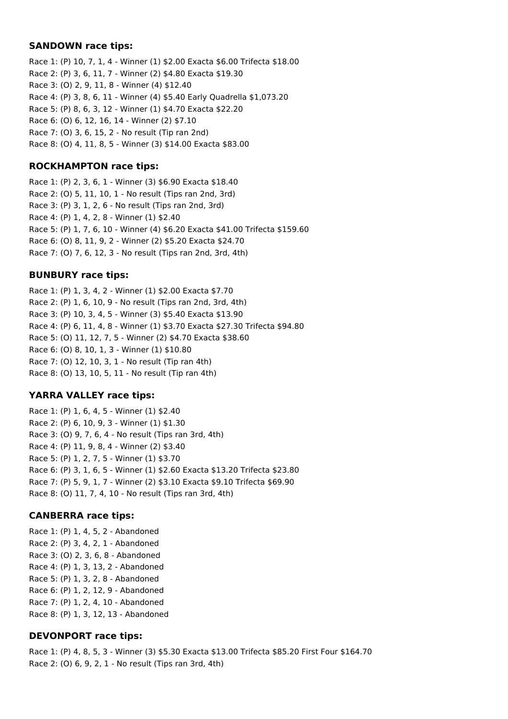#### **SANDOWN race tips:**

Race 1: (P) 10, 7, 1, 4 - Winner (1) \$2.00 Exacta \$6.00 Trifecta \$18.00 Race 2: (P) 3, 6, 11, 7 - Winner (2) \$4.80 Exacta \$19.30 Race 3: (O) 2, 9, 11, 8 - Winner (4) \$12.40 Race 4: (P) 3, 8, 6, 11 - Winner (4) \$5.40 Early Quadrella \$1,073.20 Race 5: (P) 8, 6, 3, 12 - Winner (1) \$4.70 Exacta \$22.20 Race 6: (O) 6, 12, 16, 14 - Winner (2) \$7.10 Race 7: (O) 3, 6, 15, 2 - No result (Tip ran 2nd) Race 8: (O) 4, 11, 8, 5 - Winner (3) \$14.00 Exacta \$83.00

#### **ROCKHAMPTON race tips:**

Race 1: (P) 2, 3, 6, 1 - Winner (3) \$6.90 Exacta \$18.40 Race 2: (O) 5, 11, 10, 1 - No result (Tips ran 2nd, 3rd) Race 3: (P) 3, 1, 2, 6 - No result (Tips ran 2nd, 3rd) Race 4: (P) 1, 4, 2, 8 - Winner (1) \$2.40 Race 5: (P) 1, 7, 6, 10 - Winner (4) \$6.20 Exacta \$41.00 Trifecta \$159.60 Race 6: (O) 8, 11, 9, 2 - Winner (2) \$5.20 Exacta \$24.70 Race 7: (O) 7, 6, 12, 3 - No result (Tips ran 2nd, 3rd, 4th)

#### **BUNBURY race tips:**

Race 1: (P) 1, 3, 4, 2 - Winner (1) \$2.00 Exacta \$7.70 Race 2: (P) 1, 6, 10, 9 - No result (Tips ran 2nd, 3rd, 4th) Race 3: (P) 10, 3, 4, 5 - Winner (3) \$5.40 Exacta \$13.90 Race 4: (P) 6, 11, 4, 8 - Winner (1) \$3.70 Exacta \$27.30 Trifecta \$94.80 Race 5: (O) 11, 12, 7, 5 - Winner (2) \$4.70 Exacta \$38.60 Race 6: (O) 8, 10, 1, 3 - Winner (1) \$10.80 Race 7: (O) 12, 10, 3, 1 - No result (Tip ran 4th) Race 8: (O) 13, 10, 5, 11 - No result (Tip ran 4th)

#### **YARRA VALLEY race tips:**

Race 1: (P) 1, 6, 4, 5 - Winner (1) \$2.40 Race 2: (P) 6, 10, 9, 3 - Winner (1) \$1.30 Race 3: (O) 9, 7, 6, 4 - No result (Tips ran 3rd, 4th) Race 4: (P) 11, 9, 8, 4 - Winner (2) \$3.40 Race 5: (P) 1, 2, 7, 5 - Winner (1) \$3.70 Race 6: (P) 3, 1, 6, 5 - Winner (1) \$2.60 Exacta \$13.20 Trifecta \$23.80 Race 7: (P) 5, 9, 1, 7 - Winner (2) \$3.10 Exacta \$9.10 Trifecta \$69.90 Race 8: (O) 11, 7, 4, 10 - No result (Tips ran 3rd, 4th)

#### **CANBERRA race tips:**

Race 1: (P) 1, 4, 5, 2 - Abandoned Race 2: (P) 3, 4, 2, 1 - Abandoned Race 3: (O) 2, 3, 6, 8 - Abandoned Race 4: (P) 1, 3, 13, 2 - Abandoned Race 5: (P) 1, 3, 2, 8 - Abandoned Race 6: (P) 1, 2, 12, 9 - Abandoned Race 7: (P) 1, 2, 4, 10 - Abandoned Race 8: (P) 1, 3, 12, 13 - Abandoned

#### **DEVONPORT race tips:**

Race 1: (P) 4, 8, 5, 3 - Winner (3) \$5.30 Exacta \$13.00 Trifecta \$85.20 First Four \$164.70 Race 2: (O) 6, 9, 2, 1 - No result (Tips ran 3rd, 4th)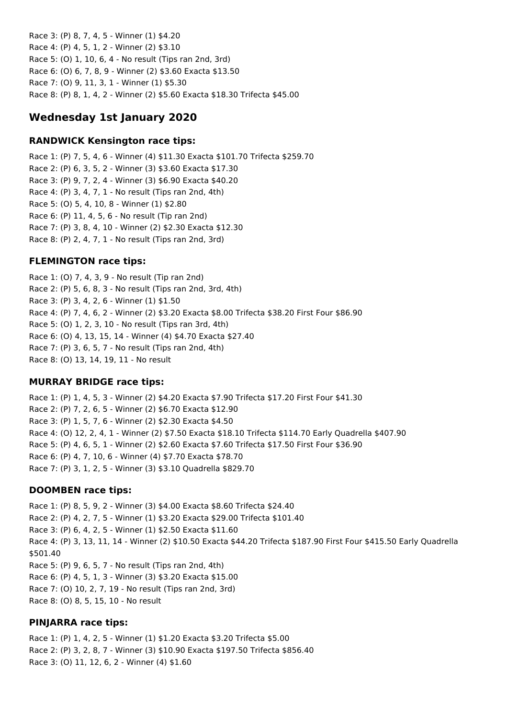Race 3: (P) 8, 7, 4, 5 - Winner (1) \$4.20 Race 4: (P) 4, 5, 1, 2 - Winner (2) \$3.10 Race 5: (O) 1, 10, 6, 4 - No result (Tips ran 2nd, 3rd) Race 6: (O) 6, 7, 8, 9 - Winner (2) \$3.60 Exacta \$13.50 Race 7: (O) 9, 11, 3, 1 - Winner (1) \$5.30 Race 8: (P) 8, 1, 4, 2 - Winner (2) \$5.60 Exacta \$18.30 Trifecta \$45.00

# **Wednesday 1st January 2020**

#### **RANDWICK Kensington race tips:**

Race 1: (P) 7, 5, 4, 6 - Winner (4) \$11.30 Exacta \$101.70 Trifecta \$259.70 Race 2: (P) 6, 3, 5, 2 - Winner (3) \$3.60 Exacta \$17.30 Race 3: (P) 9, 7, 2, 4 - Winner (3) \$6.90 Exacta \$40.20 Race 4: (P) 3, 4, 7, 1 - No result (Tips ran 2nd, 4th) Race 5: (O) 5, 4, 10, 8 - Winner (1) \$2.80 Race 6: (P) 11, 4, 5, 6 - No result (Tip ran 2nd) Race 7: (P) 3, 8, 4, 10 - Winner (2) \$2.30 Exacta \$12.30 Race 8: (P) 2, 4, 7, 1 - No result (Tips ran 2nd, 3rd)

### **FLEMINGTON race tips:**

Race 1: (O) 7, 4, 3, 9 - No result (Tip ran 2nd) Race 2: (P) 5, 6, 8, 3 - No result (Tips ran 2nd, 3rd, 4th) Race 3: (P) 3, 4, 2, 6 - Winner (1) \$1.50 Race 4: (P) 7, 4, 6, 2 - Winner (2) \$3.20 Exacta \$8.00 Trifecta \$38.20 First Four \$86.90 Race 5: (O) 1, 2, 3, 10 - No result (Tips ran 3rd, 4th) Race 6: (O) 4, 13, 15, 14 - Winner (4) \$4.70 Exacta \$27.40 Race 7: (P) 3, 6, 5, 7 - No result (Tips ran 2nd, 4th) Race 8: (O) 13, 14, 19, 11 - No result

### **MURRAY BRIDGE race tips:**

Race 1: (P) 1, 4, 5, 3 - Winner (2) \$4.20 Exacta \$7.90 Trifecta \$17.20 First Four \$41.30 Race 2: (P) 7, 2, 6, 5 - Winner (2) \$6.70 Exacta \$12.90 Race 3: (P) 1, 5, 7, 6 - Winner (2) \$2.30 Exacta \$4.50 Race 4: (O) 12, 2, 4, 1 - Winner (2) \$7.50 Exacta \$18.10 Trifecta \$114.70 Early Quadrella \$407.90 Race 5: (P) 4, 6, 5, 1 - Winner (2) \$2.60 Exacta \$7.60 Trifecta \$17.50 First Four \$36.90 Race 6: (P) 4, 7, 10, 6 - Winner (4) \$7.70 Exacta \$78.70 Race 7: (P) 3, 1, 2, 5 - Winner (3) \$3.10 Quadrella \$829.70

### **DOOMBEN race tips:**

Race 1: (P) 8, 5, 9, 2 - Winner (3) \$4.00 Exacta \$8.60 Trifecta \$24.40 Race 2: (P) 4, 2, 7, 5 - Winner (1) \$3.20 Exacta \$29.00 Trifecta \$101.40 Race 3: (P) 6, 4, 2, 5 - Winner (1) \$2.50 Exacta \$11.60 Race 4: (P) 3, 13, 11, 14 - Winner (2) \$10.50 Exacta \$44.20 Trifecta \$187.90 First Four \$415.50 Early Quadrella \$501.40 Race 5: (P) 9, 6, 5, 7 - No result (Tips ran 2nd, 4th) Race 6: (P) 4, 5, 1, 3 - Winner (3) \$3.20 Exacta \$15.00 Race 7: (O) 10, 2, 7, 19 - No result (Tips ran 2nd, 3rd) Race 8: (O) 8, 5, 15, 10 - No result

### **PINJARRA race tips:**

Race 1: (P) 1, 4, 2, 5 - Winner (1) \$1.20 Exacta \$3.20 Trifecta \$5.00 Race 2: (P) 3, 2, 8, 7 - Winner (3) \$10.90 Exacta \$197.50 Trifecta \$856.40 Race 3: (O) 11, 12, 6, 2 - Winner (4) \$1.60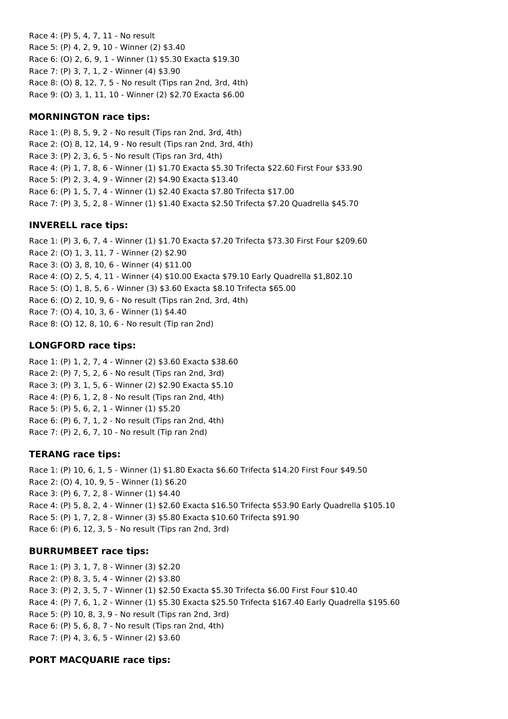Race 4: (P) 5, 4, 7, 11 - No result Race 5: (P) 4, 2, 9, 10 - Winner (2) \$3.40 Race 6: (O) 2, 6, 9, 1 - Winner (1) \$5.30 Exacta \$19.30 Race 7: (P) 3, 7, 1, 2 - Winner (4) \$3.90 Race 8: (O) 8, 12, 7, 5 - No result (Tips ran 2nd, 3rd, 4th) Race 9: (O) 3, 1, 11, 10 - Winner (2) \$2.70 Exacta \$6.00

### **MORNINGTON race tips:**

Race 1: (P) 8, 5, 9, 2 - No result (Tips ran 2nd, 3rd, 4th) Race 2: (O) 8, 12, 14, 9 - No result (Tips ran 2nd, 3rd, 4th) Race 3: (P) 2, 3, 6, 5 - No result (Tips ran 3rd, 4th) Race 4: (P) 1, 7, 8, 6 - Winner (1) \$1.70 Exacta \$5.30 Trifecta \$22.60 First Four \$33.90 Race 5: (P) 2, 3, 4, 9 - Winner (2) \$4.90 Exacta \$13.40 Race 6: (P) 1, 5, 7, 4 - Winner (1) \$2.40 Exacta \$7.80 Trifecta \$17.00 Race 7: (P) 3, 5, 2, 8 - Winner (1) \$1.40 Exacta \$2.50 Trifecta \$7.20 Quadrella \$45.70

### **INVERELL race tips:**

Race 1: (P) 3, 6, 7, 4 - Winner (1) \$1.70 Exacta \$7.20 Trifecta \$73.30 First Four \$209.60 Race 2: (O) 1, 3, 11, 7 - Winner (2) \$2.90 Race 3: (O) 3, 8, 10, 6 - Winner (4) \$11.00 Race 4: (O) 2, 5, 4, 11 - Winner (4) \$10.00 Exacta \$79.10 Early Quadrella \$1,802.10 Race 5: (O) 1, 8, 5, 6 - Winner (3) \$3.60 Exacta \$8.10 Trifecta \$65.00 Race 6: (O) 2, 10, 9, 6 - No result (Tips ran 2nd, 3rd, 4th) Race 7: (O) 4, 10, 3, 6 - Winner (1) \$4.40 Race 8: (O) 12, 8, 10, 6 - No result (Tip ran 2nd)

# **LONGFORD race tips:**

Race 1: (P) 1, 2, 7, 4 - Winner (2) \$3.60 Exacta \$38.60 Race 2: (P) 7, 5, 2, 6 - No result (Tips ran 2nd, 3rd) Race 3: (P) 3, 1, 5, 6 - Winner (2) \$2.90 Exacta \$5.10 Race 4: (P) 6, 1, 2, 8 - No result (Tips ran 2nd, 4th) Race 5: (P) 5, 6, 2, 1 - Winner (1) \$5.20 Race 6: (P) 6, 7, 1, 2 - No result (Tips ran 2nd, 4th) Race 7: (P) 2, 6, 7, 10 - No result (Tip ran 2nd)

# **TERANG race tips:**

Race 1: (P) 10, 6, 1, 5 - Winner (1) \$1.80 Exacta \$6.60 Trifecta \$14.20 First Four \$49.50 Race 2: (O) 4, 10, 9, 5 - Winner (1) \$6.20 Race 3: (P) 6, 7, 2, 8 - Winner (1) \$4.40 Race 4: (P) 5, 8, 2, 4 - Winner (1) \$2.60 Exacta \$16.50 Trifecta \$53.90 Early Quadrella \$105.10 Race 5: (P) 1, 7, 2, 8 - Winner (3) \$5.80 Exacta \$10.60 Trifecta \$91.90 Race 6: (P) 6, 12, 3, 5 - No result (Tips ran 2nd, 3rd)

### **BURRUMBEET race tips:**

Race 1: (P) 3, 1, 7, 8 - Winner (3) \$2.20 Race 2: (P) 8, 3, 5, 4 - Winner (2) \$3.80 Race 3: (P) 2, 3, 5, 7 - Winner (1) \$2.50 Exacta \$5.30 Trifecta \$6.00 First Four \$10.40 Race 4: (P) 7, 6, 1, 2 - Winner (1) \$5.30 Exacta \$25.50 Trifecta \$167.40 Early Quadrella \$195.60 Race 5: (P) 10, 8, 3, 9 - No result (Tips ran 2nd, 3rd) Race 6: (P) 5, 6, 8, 7 - No result (Tips ran 2nd, 4th) Race 7: (P) 4, 3, 6, 5 - Winner (2) \$3.60

### **PORT MACQUARIE race tips:**